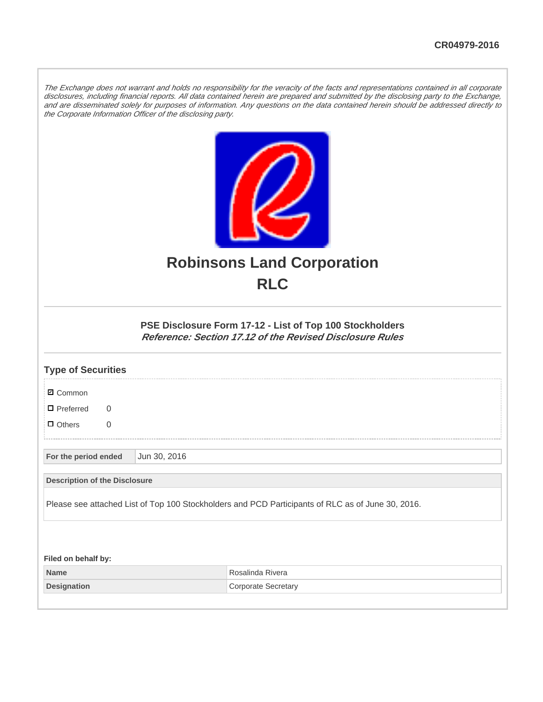The Exchange does not warrant and holds no responsibility for the veracity of the facts and representations contained in all corporate disclosures, including financial reports. All data contained herein are prepared and submitted by the disclosing party to the Exchange, and are disseminated solely for purposes of information. Any questions on the data contained herein should be addressed directly to the Corporate Information Officer of the disclosing party.



## **Robinsons Land Corporation RLC**

## **PSE Disclosure Form 17-12 - List of Top 100 Stockholders Reference: Section 17.12 of the Revised Disclosure Rules**

| <b>Type of Securities</b>                  |              |                                                                                                   |
|--------------------------------------------|--------------|---------------------------------------------------------------------------------------------------|
| <b>Ø</b> Common                            |              |                                                                                                   |
| $\blacksquare$ Preferred<br>$\overline{0}$ |              |                                                                                                   |
| $\Box$ Others<br>$\overline{0}$            |              |                                                                                                   |
| For the period ended                       | Jun 30, 2016 |                                                                                                   |
| <b>Description of the Disclosure</b>       |              |                                                                                                   |
|                                            |              | Please see attached List of Top 100 Stockholders and PCD Participants of RLC as of June 30, 2016. |
|                                            |              |                                                                                                   |
| Filed on behalf by:                        |              |                                                                                                   |
| <b>Name</b>                                |              | Rosalinda Rivera                                                                                  |
| <b>Designation</b>                         |              | <b>Corporate Secretary</b>                                                                        |
|                                            |              |                                                                                                   |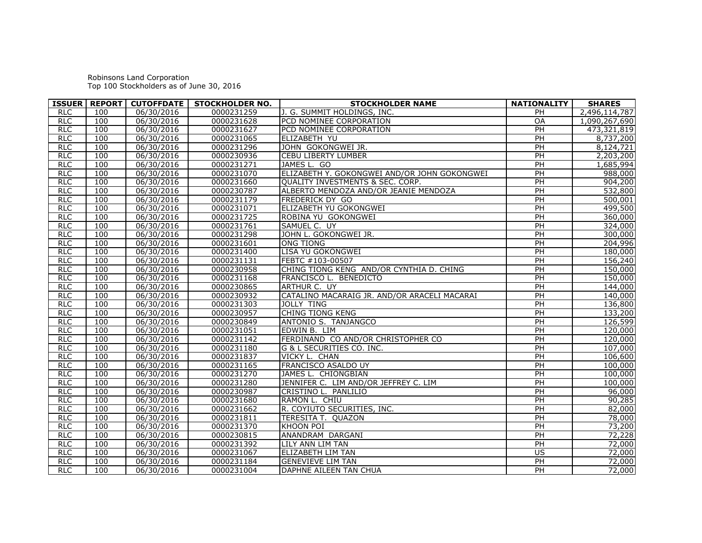Robinsons Land Corporation Top 100 Stockholders as of June 30, 2016

|            |     |            | ISSUER   REPORT   CUTOFFDATE   STOCKHOLDER NO. | <b>STOCKHOLDER NAME</b>                      | <b>NATIONALITY</b> | <b>SHARES</b> |
|------------|-----|------------|------------------------------------------------|----------------------------------------------|--------------------|---------------|
| <b>RLC</b> | 100 | 06/30/2016 | 0000231259                                     | J. G. SUMMIT HOLDINGS, INC.                  | PH                 | 2,496,114,787 |
| <b>RLC</b> | 100 | 06/30/2016 | 0000231628                                     | PCD NOMINEE CORPORATION                      | <b>OA</b>          | 1,090,267,690 |
| RLC        | 100 | 06/30/2016 | 0000231627                                     | PCD NOMINEE CORPORATION                      | PH                 | 473,321,819   |
| <b>RLC</b> | 100 | 06/30/2016 | 0000231065                                     | ELIZABETH YU                                 | PH                 | 8,737,200     |
| <b>RLC</b> | 100 | 06/30/2016 | 0000231296                                     | JOHN GOKONGWEI JR.                           | PH                 | 8,124,721     |
| <b>RLC</b> | 100 | 06/30/2016 | 0000230936                                     | <b>CEBU LIBERTY LUMBER</b>                   | $\overline{PH}$    | 2,203,200     |
| RLC        | 100 | 06/30/2016 | 0000231271                                     | JAMES L. GO                                  | PH                 | 1,685,994     |
| <b>RLC</b> | 100 | 06/30/2016 | 0000231070                                     | ELIZABETH Y. GOKONGWEI AND/OR JOHN GOKONGWEI | $\overline{PH}$    | 988,000       |
| <b>RLC</b> | 100 | 06/30/2016 | 0000231660                                     | QUALITY INVESTMENTS & SEC. CORP.             | $\overline{PH}$    | 904,200       |
| <b>RLC</b> | 100 | 06/30/2016 | 0000230787                                     | ALBERTO MENDOZA AND/OR JEANIE MENDOZA        | $\overline{PH}$    | 532,800       |
| <b>RLC</b> | 100 | 06/30/2016 | 0000231179                                     | <b>FREDERICK DY GO</b>                       | PH                 | 500,001       |
| <b>RLC</b> | 100 | 06/30/2016 | 0000231071                                     | ELIZABETH YU GOKONGWEI                       | $\overline{PH}$    | 499,500       |
| <b>RLC</b> | 100 | 06/30/2016 | 0000231725                                     | ROBINA YU GOKONGWEI                          | PH                 | 360,000       |
| <b>RLC</b> | 100 | 06/30/2016 | 0000231761                                     | SAMUEL C. UY                                 | PH                 | 324,000       |
| <b>RLC</b> | 100 | 06/30/2016 | 0000231298                                     | JOHN L. GOKONGWEI JR.                        | PH                 | 300,000       |
| RLC        | 100 | 06/30/2016 | 0000231601                                     | <b>ONG TIONG</b>                             | $\overline{PH}$    | 204,996       |
| <b>RLC</b> | 100 | 06/30/2016 | 0000231400                                     | LISA YU GOKONGWEI                            | $\overline{PH}$    | 180,000       |
| <b>RLC</b> | 100 | 06/30/2016 | 0000231131                                     | FEBTC #103-00507                             | PH                 | 156,240       |
| RLC        | 100 | 06/30/2016 | 0000230958                                     | CHING TIONG KENG AND/OR CYNTHIA D. CHING     | PH                 | 150,000       |
| RLC        | 100 | 06/30/2016 | 0000231168                                     | FRANCISCO L. BENEDICTO                       | $\overline{PH}$    | 150,000       |
| <b>RLC</b> | 100 | 06/30/2016 | 0000230865                                     | ARTHUR C. UY                                 | PH                 | 144,000       |
| <b>RLC</b> | 100 | 06/30/2016 | 0000230932                                     | CATALINO MACARAIG JR. AND/OR ARACELI MACARAI | PH                 | 140,000       |
| RLC        | 100 | 06/30/2016 | 0000231303                                     | <b>JOLLY TING</b>                            | PH                 | 136,800       |
| <b>RLC</b> | 100 | 06/30/2016 | 0000230957                                     | <b>CHING TIONG KENG</b>                      | PH                 | 133,200       |
| <b>RLC</b> | 100 | 06/30/2016 | 0000230849                                     | ANTONIO S. TANJANGCO                         | PH                 | 126,599       |
| <b>RLC</b> | 100 | 06/30/2016 | 0000231051                                     | EDWIN B. LIM                                 | PH                 | 120,000       |
| RLC        | 100 | 06/30/2016 | 0000231142                                     | FERDINAND CO AND/OR CHRISTOPHER CO           | PH                 | 120,000       |
| <b>RLC</b> | 100 | 06/30/2016 | 0000231180                                     | G & L SECURITIES CO. INC.                    | PH                 | 107,000       |
| <b>RLC</b> | 100 | 06/30/2016 | 0000231837                                     | VICKY L. CHAN                                | PH                 | 106,600       |
| <b>RLC</b> | 100 | 06/30/2016 | 0000231165                                     | <b>FRANCISCO ASALDO UY</b>                   | $\overline{PH}$    | 100,000       |
| <b>RLC</b> | 100 | 06/30/2016 | 0000231270                                     | JAMES L. CHIONGBIAN                          | $\overline{PH}$    | 100,000       |
| <b>RLC</b> | 100 | 06/30/2016 | 0000231280                                     | JENNIFER C. LIM AND/OR JEFFREY C. LIM        | PH                 | 100,000       |
| <b>RLC</b> | 100 | 06/30/2016 | 0000230987                                     | CRISTINO L. PANLILIO                         | $\overline{PH}$    | 96,000        |
| <b>RLC</b> | 100 | 06/30/2016 | 0000231680                                     | RAMON L. CHIU                                | PH                 | 90,285        |
| <b>RLC</b> | 100 | 06/30/2016 | 0000231662                                     | R. COYIUTO SECURITIES, INC.                  | PH                 | 82,000        |
| <b>RLC</b> | 100 | 06/30/2016 | 0000231811                                     | <b>TERESITA T. QUAZON</b>                    | PH                 | 78,000        |
| <b>RLC</b> | 100 | 06/30/2016 | 0000231370                                     | <b>KHOON POI</b>                             | $\overline{PH}$    | 73,200        |
| <b>RLC</b> | 100 | 06/30/2016 | 0000230815                                     | ANANDRAM DARGANI                             | PH                 | 72,228        |
| RLC        | 100 | 06/30/2016 | 0000231392                                     | LILY ANN LIM TAN                             | PH                 | 72,000        |
| RLC        | 100 | 06/30/2016 | 0000231067                                     | ELIZABETH LIM TAN                            | US                 | 72,000        |
| <b>RLC</b> | 100 | 06/30/2016 | 0000231184                                     | <b>GENEVIEVE LIM TAN</b>                     | PH                 | 72,000        |
| <b>RLC</b> | 100 | 06/30/2016 | 0000231004                                     | DAPHNE AILEEN TAN CHUA                       | PH                 | 72,000        |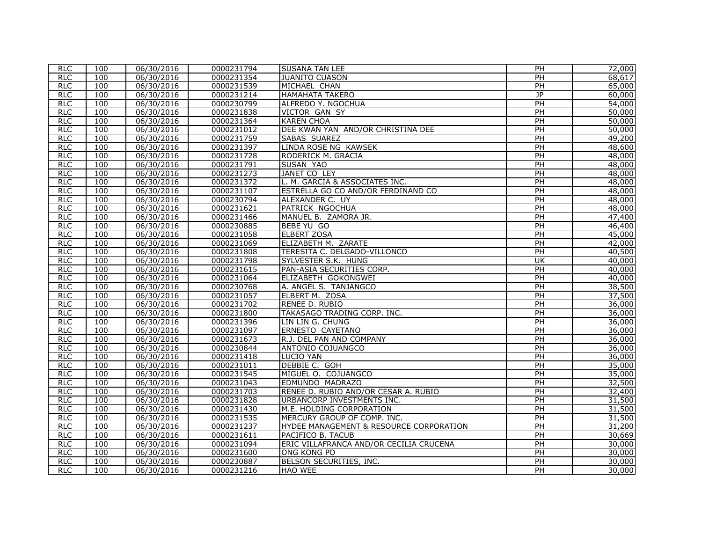| <b>RLC</b> | 100 | 06/30/2016 | 0000231794 | <b>SUSANA TAN LEE</b>                   | PH                      | 72,000 |
|------------|-----|------------|------------|-----------------------------------------|-------------------------|--------|
| <b>RLC</b> | 100 | 06/30/2016 | 0000231354 | JUANITO CUASON                          | PH                      | 68,617 |
| <b>RLC</b> | 100 | 06/30/2016 | 0000231539 | MICHAEL CHAN                            | PH                      | 65,000 |
| RLC        | 100 | 06/30/2016 | 0000231214 | <b>HAMAHATA TAKERO</b>                  | J <sub>P</sub>          | 60,000 |
| <b>RLC</b> | 100 | 06/30/2016 | 0000230799 | ALFREDO Y. NGOCHUA                      | $\overline{PH}$         | 54,000 |
| <b>RLC</b> | 100 | 06/30/2016 | 0000231838 | VICTOR GAN SY                           | $\overline{PH}$         | 50,000 |
| <b>RLC</b> | 100 | 06/30/2016 | 0000231364 | <b>KAREN CHOA</b>                       | PH                      | 50,000 |
| RLC        | 100 | 06/30/2016 | 0000231012 | DEE KWAN YAN AND/OR CHRISTINA DEE       | PH                      | 50,000 |
| RLC        | 100 | 06/30/2016 | 0000231759 | SABAS SUAREZ                            | PH                      | 49,200 |
| <b>RLC</b> | 100 | 06/30/2016 | 0000231397 | LINDA ROSE NG KAWSEK                    | PH                      | 48,600 |
| <b>RLC</b> | 100 | 06/30/2016 | 0000231728 | RODERICK M. GRACIA                      | $\overline{PH}$         | 48,000 |
| RLC        | 100 | 06/30/2016 | 0000231791 | SUSAN YAO                               | PH                      | 48,000 |
| <b>RLC</b> | 100 | 06/30/2016 | 0000231273 | <b>JANET CO LEY</b>                     | PH                      | 48,000 |
| RLC        | 100 | 06/30/2016 | 0000231372 | L. M. GARCIA & ASSOCIATES INC.          | $\overline{PH}$         | 48,000 |
| <b>RLC</b> | 100 | 06/30/2016 | 0000231107 | ESTRELLA GO CO AND/OR FERDINAND CO      | PH                      | 48,000 |
| <b>RLC</b> | 100 | 06/30/2016 | 0000230794 | ALEXANDER C. UY                         | PH                      | 48,000 |
| <b>RLC</b> | 100 | 06/30/2016 | 0000231621 | PATRICK NGOCHUA                         | $\overline{PH}$         | 48,000 |
| <b>RLC</b> | 100 | 06/30/2016 | 0000231466 | MANUEL B. ZAMORA JR.                    | PH                      | 47,400 |
| <b>RLC</b> | 100 | 06/30/2016 | 0000230885 | BEBE YU GO                              | PH                      | 46,400 |
| RLC        | 100 | 06/30/2016 | 0000231058 | <b>ELBERT ZOSA</b>                      | PH                      | 45,000 |
| <b>RLC</b> | 100 | 06/30/2016 | 0000231069 | ELIZABETH M. ZARATE                     | $\overline{PH}$         | 42,000 |
| <b>RLC</b> | 100 | 06/30/2016 | 0000231808 | TERESITA C. DELGADO-VILLONCO            | $\overline{PH}$         | 40,500 |
| RIC        | 100 | 06/30/2016 | 0000231798 | SYLVESTER S.K. HUNG                     | $\overline{\mathsf{U}}$ | 40,000 |
| <b>RLC</b> | 100 | 06/30/2016 | 0000231615 | PAN-ASIA SECURITIES CORP.               | PH                      | 40,000 |
| <b>RLC</b> | 100 | 06/30/2016 | 0000231064 | ELIZABETH GOKONGWEI                     | PH                      | 40,000 |
| <b>RLC</b> | 100 | 06/30/2016 | 0000230768 | A. ANGEL S. TANJANGCO                   | PH                      | 38,500 |
| <b>RLC</b> | 100 | 06/30/2016 | 0000231057 | ELBERT M. ZOSA                          | PH                      | 37,500 |
| RLC        | 100 | 06/30/2016 | 0000231702 | RENEE D. RUBIO                          | PH                      | 36,000 |
| <b>RLC</b> | 100 | 06/30/2016 | 0000231800 | TAKASAGO TRADING CORP. INC.             | $\overline{PH}$         | 36,000 |
| <b>RLC</b> | 100 | 06/30/2016 | 0000231396 | LIN LIN G. CHUNG                        | $\overline{PH}$         | 36,000 |
| <b>RLC</b> | 100 | 06/30/2016 | 0000231097 | ERNESTO CAYETANO                        | PH                      | 36,000 |
| RLC        | 100 | 06/30/2016 | 0000231673 | R.J. DEL PAN AND COMPANY                | PH                      | 36,000 |
| <b>RLC</b> | 100 | 06/30/2016 | 0000230844 | ANTONIO COJUANGCO                       | $\overline{PH}$         | 36,000 |
| <b>RLC</b> | 100 | 06/30/2016 | 0000231418 | <b>LUCIO YAN</b>                        | PH                      | 36,000 |
| <b>RLC</b> | 100 | 06/30/2016 | 0000231011 | DEBBIE C. GOH                           | PH                      | 35,000 |
| <b>RLC</b> | 100 | 06/30/2016 | 0000231545 | MIGUEL O. COJUANGCO                     | PH                      | 35,000 |
| <b>RLC</b> | 100 | 06/30/2016 | 0000231043 | EDMUNDO MADRAZO                         | PH                      | 32,500 |
| <b>RLC</b> | 100 | 06/30/2016 | 0000231703 | RENEE D. RUBIO AND/OR CESAR A. RUBIO    | PH                      | 32,400 |
| <b>RLC</b> | 100 | 06/30/2016 | 0000231828 | URBANCORP INVESTMENTS INC.              | PH                      | 31,500 |
| RLC        | 100 | 06/30/2016 | 0000231430 | M.E. HOLDING CORPORATION                | PH                      | 31,500 |
| RIC        | 100 | 06/30/2016 | 0000231535 | MERCURY GROUP OF COMP. INC.             | $\overline{PH}$         | 31,500 |
| <b>RLC</b> | 100 | 06/30/2016 | 0000231237 | HYDEE MANAGEMENT & RESOURCE CORPORATION | $\overline{PH}$         | 31,200 |
| RLC        | 100 | 06/30/2016 | 0000231611 | PACIFICO B. TACUB                       | PH                      | 30,669 |
| RLC        | 100 | 06/30/2016 | 0000231094 | ERIC VILLAFRANCA AND/OR CECILIA CRUCENA | PH                      | 30,000 |
| <b>RLC</b> | 100 | 06/30/2016 | 0000231600 | <b>ONG KONG PO</b>                      | $\overline{PH}$         | 30,000 |
| <b>RLC</b> | 100 | 06/30/2016 | 0000230887 | BELSON SECURITIES, INC.                 | PH                      | 30,000 |
| <b>RLC</b> | 100 | 06/30/2016 | 0000231216 | <b>HAO WEE</b>                          | PH                      | 30,000 |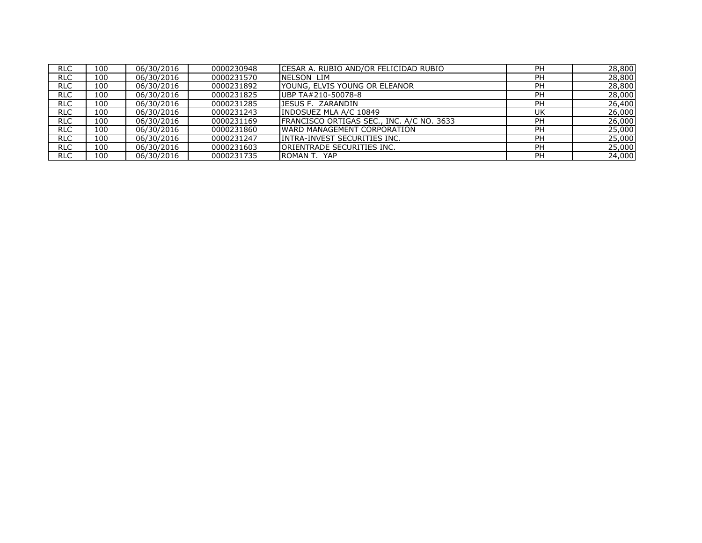| <b>RLC</b> | 100 | 06/30/2016 | 0000230948 | CESAR A. RUBIO AND/OR FELICIDAD RUBIO     | <b>PH</b> | 28,800 |
|------------|-----|------------|------------|-------------------------------------------|-----------|--------|
| <b>RLC</b> | 100 | 06/30/2016 | 0000231570 | NELSON LIM                                | PH        | 28,800 |
| <b>RLC</b> | 100 | 06/30/2016 | 0000231892 | IYOUNG, ELVIS YOUNG OR ELEANOR            | PH        | 28,800 |
| <b>RLC</b> | 100 | 06/30/2016 | 0000231825 | UBP TA#210-50078-8                        | PH        | 28,000 |
| <b>RLC</b> | 100 | 06/30/2016 | 0000231285 | JESUS F. ZARANDIN                         | PH        | 26,400 |
| <b>RLC</b> | 100 | 06/30/2016 | 0000231243 | INDOSUEZ MLA A/C 10849                    | UK        | 26,000 |
| <b>RLC</b> | 100 | 06/30/2016 | 0000231169 | FRANCISCO ORTIGAS SEC., INC. A/C NO. 3633 | <b>PH</b> | 26,000 |
| <b>RLC</b> | 100 | 06/30/2016 | 0000231860 | <b>WARD MANAGEMENT CORPORATION</b>        | <b>PH</b> | 25,000 |
| <b>RLC</b> | 100 | 06/30/2016 | 0000231247 | INTRA-INVEST SECURITIES INC.              | <b>PH</b> | 25,000 |
| RLC        | 100 | 06/30/2016 | 0000231603 | <b>ORIENTRADE SECURITIES INC.</b>         | PH        | 25,000 |
| RLC        | 100 | 06/30/2016 | 0000231735 | ROMAN T. YAP                              | PH        | 24,000 |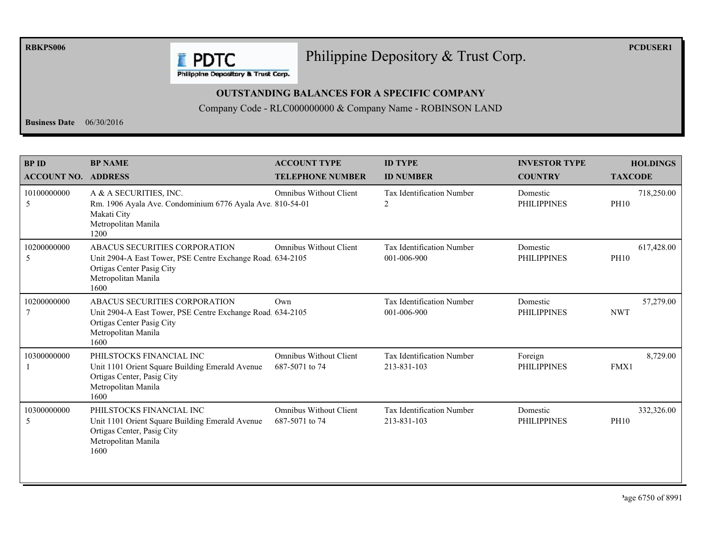**RBKPS006** 

## Philippine Depository & Trust Corp.

**PCDUSER1** 

**E** PDTC Philippine Depository & Trust Corp.

## **OUTSTANDING BALANCES FOR A SPECIFIC COMPANY**

Company Code - RLC000000000 & Company Name - ROBINSON LAND

**Business Date**  $06/30/2016$ 

| <b>BPID</b><br><b>ACCOUNT NO. ADDRESS</b> | <b>BP NAME</b>                                                                                                                                          | <b>ACCOUNT TYPE</b><br><b>TELEPHONE NUMBER</b>  | <b>ID TYPE</b><br><b>ID NUMBER</b>              | <b>INVESTOR TYPE</b><br><b>COUNTRY</b> | <b>HOLDINGS</b><br><b>TAXCODE</b> |
|-------------------------------------------|---------------------------------------------------------------------------------------------------------------------------------------------------------|-------------------------------------------------|-------------------------------------------------|----------------------------------------|-----------------------------------|
| 10100000000<br>5                          | A & A SECURITIES, INC.<br>Rm. 1906 Ayala Ave. Condominium 6776 Ayala Ave. 810-54-01<br>Makati City<br>Metropolitan Manila<br>1200                       | <b>Omnibus Without Client</b>                   | <b>Tax Identification Number</b><br>2           | Domestic<br><b>PHILIPPINES</b>         | 718,250.00<br><b>PH10</b>         |
| 10200000000<br>5                          | ABACUS SECURITIES CORPORATION<br>Unit 2904-A East Tower, PSE Centre Exchange Road. 634-2105<br>Ortigas Center Pasig City<br>Metropolitan Manila<br>1600 | <b>Omnibus Without Client</b>                   | Tax Identification Number<br>001-006-900        | Domestic<br><b>PHILIPPINES</b>         | 617,428.00<br><b>PH10</b>         |
| 10200000000                               | ABACUS SECURITIES CORPORATION<br>Unit 2904-A East Tower, PSE Centre Exchange Road 634-2105<br>Ortigas Center Pasig City<br>Metropolitan Manila<br>1600  | Own                                             | Tax Identification Number<br>001-006-900        | Domestic<br><b>PHILIPPINES</b>         | 57,279.00<br><b>NWT</b>           |
| 10300000000                               | PHILSTOCKS FINANCIAL INC<br>Unit 1101 Orient Square Building Emerald Avenue<br>Ortigas Center, Pasig City<br>Metropolitan Manila<br>1600                | <b>Omnibus Without Client</b><br>687-5071 to 74 | <b>Tax Identification Number</b><br>213-831-103 | Foreign<br><b>PHILIPPINES</b>          | 8,729.00<br>FMX1                  |
| 10300000000<br>5                          | PHILSTOCKS FINANCIAL INC<br>Unit 1101 Orient Square Building Emerald Avenue<br>Ortigas Center, Pasig City<br>Metropolitan Manila<br>1600                | <b>Omnibus Without Client</b><br>687-5071 to 74 | <b>Tax Identification Number</b><br>213-831-103 | Domestic<br><b>PHILIPPINES</b>         | 332,326.00<br><b>PH10</b>         |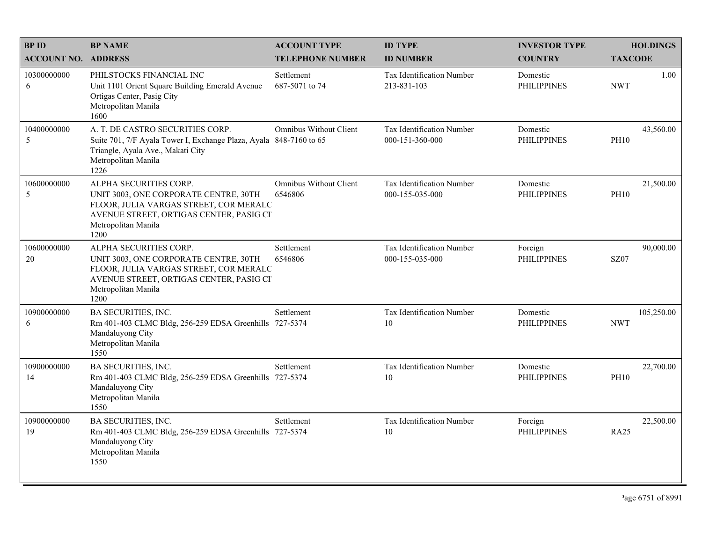| <b>BPID</b>                | <b>BP NAME</b>                                                                                                                                                                      | <b>ACCOUNT TYPE</b>                      | <b>ID TYPE</b>                               | <b>INVESTOR TYPE</b>           | <b>HOLDINGS</b>          |
|----------------------------|-------------------------------------------------------------------------------------------------------------------------------------------------------------------------------------|------------------------------------------|----------------------------------------------|--------------------------------|--------------------------|
| <b>ACCOUNT NO. ADDRESS</b> |                                                                                                                                                                                     | <b>TELEPHONE NUMBER</b>                  | <b>ID NUMBER</b>                             | <b>COUNTRY</b>                 | <b>TAXCODE</b>           |
| 10300000000<br>6           | PHILSTOCKS FINANCIAL INC<br>Unit 1101 Orient Square Building Emerald Avenue<br>Ortigas Center, Pasig City<br>Metropolitan Manila<br>1600                                            | Settlement<br>687-5071 to 74             | Tax Identification Number<br>213-831-103     | Domestic<br><b>PHILIPPINES</b> | 1.00<br><b>NWT</b>       |
| 10400000000<br>5           | A. T. DE CASTRO SECURITIES CORP.<br>Suite 701, 7/F Ayala Tower I, Exchange Plaza, Ayala 848-7160 to 65<br>Triangle, Ayala Ave., Makati City<br>Metropolitan Manila<br>1226          | Omnibus Without Client                   | Tax Identification Number<br>000-151-360-000 | Domestic<br><b>PHILIPPINES</b> | 43,560.00<br><b>PH10</b> |
| 10600000000<br>5           | ALPHA SECURITIES CORP.<br>UNIT 3003, ONE CORPORATE CENTRE, 30TH<br>FLOOR, JULIA VARGAS STREET, COR MERALC<br>AVENUE STREET, ORTIGAS CENTER, PASIG CI<br>Metropolitan Manila<br>1200 | <b>Omnibus Without Client</b><br>6546806 | Tax Identification Number<br>000-155-035-000 | Domestic<br><b>PHILIPPINES</b> | 21,500.00<br><b>PH10</b> |
| 10600000000<br>20          | ALPHA SECURITIES CORP.<br>UNIT 3003, ONE CORPORATE CENTRE, 30TH<br>FLOOR, JULIA VARGAS STREET, COR MERALC<br>AVENUE STREET, ORTIGAS CENTER, PASIG CI<br>Metropolitan Manila<br>1200 | Settlement<br>6546806                    | Tax Identification Number<br>000-155-035-000 | Foreign<br><b>PHILIPPINES</b>  | 90,000.00<br><b>SZ07</b> |
| 10900000000<br>6           | BA SECURITIES, INC.<br>Rm 401-403 CLMC Bldg, 256-259 EDSA Greenhills 727-5374<br>Mandaluyong City<br>Metropolitan Manila<br>1550                                                    | Settlement                               | Tax Identification Number<br>10              | Domestic<br><b>PHILIPPINES</b> | 105,250.00<br><b>NWT</b> |
| 10900000000<br>14          | <b>BA SECURITIES, INC.</b><br>Rm 401-403 CLMC Bldg, 256-259 EDSA Greenhills 727-5374<br>Mandaluyong City<br>Metropolitan Manila<br>1550                                             | Settlement                               | Tax Identification Number<br>10              | Domestic<br><b>PHILIPPINES</b> | 22,700.00<br><b>PH10</b> |
| 10900000000<br>19          | <b>BA SECURITIES, INC.</b><br>Rm 401-403 CLMC Bldg, 256-259 EDSA Greenhills 727-5374<br>Mandaluyong City<br>Metropolitan Manila<br>1550                                             | Settlement                               | Tax Identification Number<br>10              | Foreign<br><b>PHILIPPINES</b>  | 22,500.00<br><b>RA25</b> |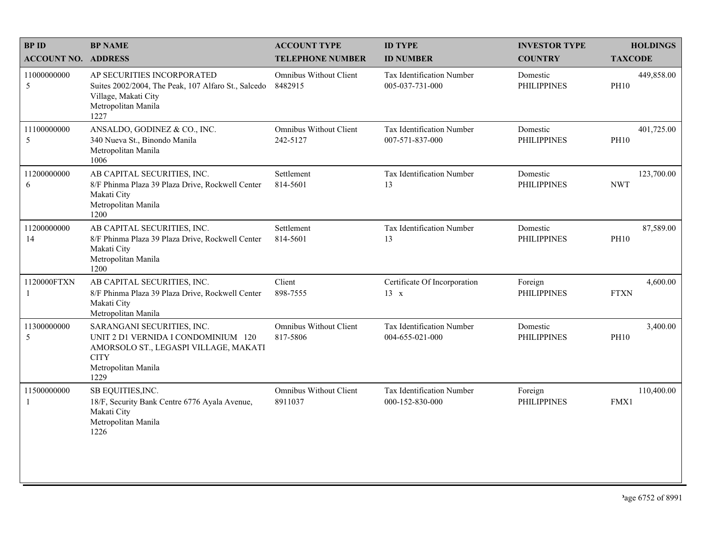| <b>BPID</b>                | <b>BP NAME</b>                                                                                                                                           | <b>ACCOUNT TYPE</b>                       | <b>ID TYPE</b>                                      | <b>INVESTOR TYPE</b>           | <b>HOLDINGS</b>           |
|----------------------------|----------------------------------------------------------------------------------------------------------------------------------------------------------|-------------------------------------------|-----------------------------------------------------|--------------------------------|---------------------------|
| <b>ACCOUNT NO. ADDRESS</b> |                                                                                                                                                          | <b>TELEPHONE NUMBER</b>                   | <b>ID NUMBER</b>                                    | <b>COUNTRY</b>                 | <b>TAXCODE</b>            |
| 11000000000<br>5           | AP SECURITIES INCORPORATED<br>Suites 2002/2004, The Peak, 107 Alfaro St., Salcedo<br>Village, Makati City<br>Metropolitan Manila<br>1227                 | <b>Omnibus Without Client</b><br>8482915  | <b>Tax Identification Number</b><br>005-037-731-000 | Domestic<br><b>PHILIPPINES</b> | 449,858.00<br><b>PH10</b> |
| 11100000000<br>5           | ANSALDO, GODINEZ & CO., INC.<br>340 Nueva St., Binondo Manila<br>Metropolitan Manila<br>1006                                                             | Omnibus Without Client<br>242-5127        | Tax Identification Number<br>007-571-837-000        | Domestic<br><b>PHILIPPINES</b> | 401,725.00<br><b>PH10</b> |
| 11200000000<br>6           | AB CAPITAL SECURITIES, INC.<br>8/F Phinma Plaza 39 Plaza Drive, Rockwell Center<br>Makati City<br>Metropolitan Manila<br>1200                            | Settlement<br>814-5601                    | Tax Identification Number<br>13                     | Domestic<br><b>PHILIPPINES</b> | 123,700.00<br><b>NWT</b>  |
| 11200000000<br>14          | AB CAPITAL SECURITIES, INC.<br>8/F Phinma Plaza 39 Plaza Drive, Rockwell Center<br>Makati City<br>Metropolitan Manila<br>1200                            | Settlement<br>814-5601                    | Tax Identification Number<br>13                     | Domestic<br><b>PHILIPPINES</b> | 87,589.00<br><b>PH10</b>  |
| 1120000FTXN                | AB CAPITAL SECURITIES, INC.<br>8/F Phinma Plaza 39 Plaza Drive, Rockwell Center<br>Makati City<br>Metropolitan Manila                                    | Client<br>898-7555                        | Certificate Of Incorporation<br>13 x                | Foreign<br><b>PHILIPPINES</b>  | 4,600.00<br><b>FTXN</b>   |
| 11300000000<br>5           | SARANGANI SECURITIES, INC.<br>UNIT 2 D1 VERNIDA I CONDOMINIUM 120<br>AMORSOLO ST., LEGASPI VILLAGE, MAKATI<br><b>CITY</b><br>Metropolitan Manila<br>1229 | <b>Omnibus Without Client</b><br>817-5806 | Tax Identification Number<br>004-655-021-000        | Domestic<br><b>PHILIPPINES</b> | 3,400.00<br><b>PH10</b>   |
| 11500000000<br>-1          | SB EQUITIES, INC.<br>18/F, Security Bank Centre 6776 Ayala Avenue,<br>Makati City<br>Metropolitan Manila<br>1226                                         | <b>Omnibus Without Client</b><br>8911037  | <b>Tax Identification Number</b><br>000-152-830-000 | Foreign<br><b>PHILIPPINES</b>  | 110,400.00<br>FMX1        |
|                            |                                                                                                                                                          |                                           |                                                     |                                |                           |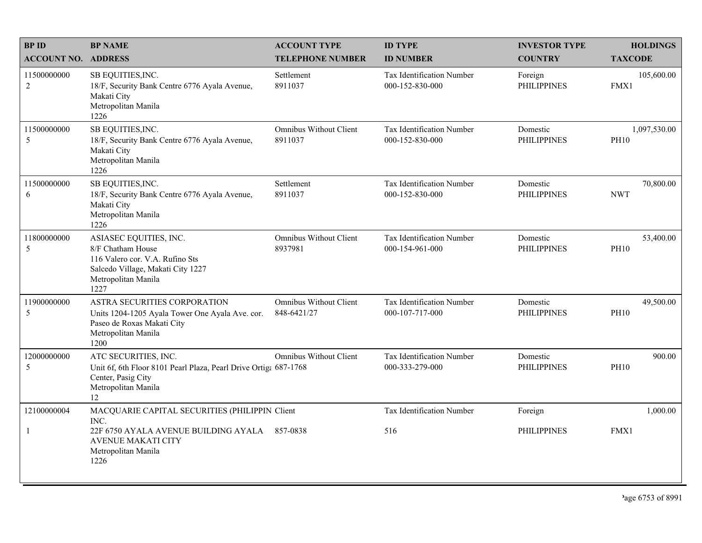| <b>BPID</b><br><b>ACCOUNT NO. ADDRESS</b> | <b>BP NAME</b>                                                                                                                                     | <b>ACCOUNT TYPE</b><br><b>TELEPHONE NUMBER</b> | <b>ID TYPE</b><br><b>ID NUMBER</b>           | <b>INVESTOR TYPE</b><br><b>COUNTRY</b> | <b>HOLDINGS</b><br><b>TAXCODE</b> |
|-------------------------------------------|----------------------------------------------------------------------------------------------------------------------------------------------------|------------------------------------------------|----------------------------------------------|----------------------------------------|-----------------------------------|
| 11500000000<br>$\overline{c}$             | SB EQUITIES, INC.<br>18/F, Security Bank Centre 6776 Ayala Avenue,<br>Makati City<br>Metropolitan Manila<br>1226                                   | Settlement<br>8911037                          | Tax Identification Number<br>000-152-830-000 | Foreign<br><b>PHILIPPINES</b>          | 105,600.00<br>FMX1                |
| 11500000000<br>5                          | SB EQUITIES, INC.<br>18/F, Security Bank Centre 6776 Ayala Avenue,<br>Makati City<br>Metropolitan Manila<br>1226                                   | Omnibus Without Client<br>8911037              | Tax Identification Number<br>000-152-830-000 | Domestic<br><b>PHILIPPINES</b>         | 1,097,530.00<br><b>PH10</b>       |
| 11500000000<br>6                          | SB EQUITIES, INC.<br>18/F, Security Bank Centre 6776 Ayala Avenue,<br>Makati City<br>Metropolitan Manila<br>1226                                   | Settlement<br>8911037                          | Tax Identification Number<br>000-152-830-000 | Domestic<br><b>PHILIPPINES</b>         | 70,800.00<br><b>NWT</b>           |
| 11800000000<br>5                          | ASIASEC EQUITIES, INC.<br>8/F Chatham House<br>116 Valero cor. V.A. Rufino Sts<br>Salcedo Village, Makati City 1227<br>Metropolitan Manila<br>1227 | Omnibus Without Client<br>8937981              | Tax Identification Number<br>000-154-961-000 | Domestic<br><b>PHILIPPINES</b>         | 53,400.00<br><b>PH10</b>          |
| 11900000000<br>5                          | ASTRA SECURITIES CORPORATION<br>Units 1204-1205 Ayala Tower One Ayala Ave. cor.<br>Paseo de Roxas Makati City<br>Metropolitan Manila<br>1200       | <b>Omnibus Without Client</b><br>848-6421/27   | Tax Identification Number<br>000-107-717-000 | Domestic<br><b>PHILIPPINES</b>         | 49,500.00<br><b>PH10</b>          |
| 12000000000<br>5                          | ATC SECURITIES, INC.<br>Unit 6f, 6th Floor 8101 Pearl Plaza, Pearl Drive Ortiga 687-1768<br>Center, Pasig City<br>Metropolitan Manila<br>12        | <b>Omnibus Without Client</b>                  | Tax Identification Number<br>000-333-279-000 | Domestic<br><b>PHILIPPINES</b>         | 900.00<br><b>PH10</b>             |
| 12100000004                               | MACQUARIE CAPITAL SECURITIES (PHILIPPIN Client<br>INC.                                                                                             |                                                | Tax Identification Number                    | Foreign                                | 1,000.00                          |
|                                           | 22F 6750 AYALA AVENUE BUILDING AYALA<br><b>AVENUE MAKATI CITY</b><br>Metropolitan Manila<br>1226                                                   | 857-0838                                       | 516                                          | <b>PHILIPPINES</b>                     | FMX1                              |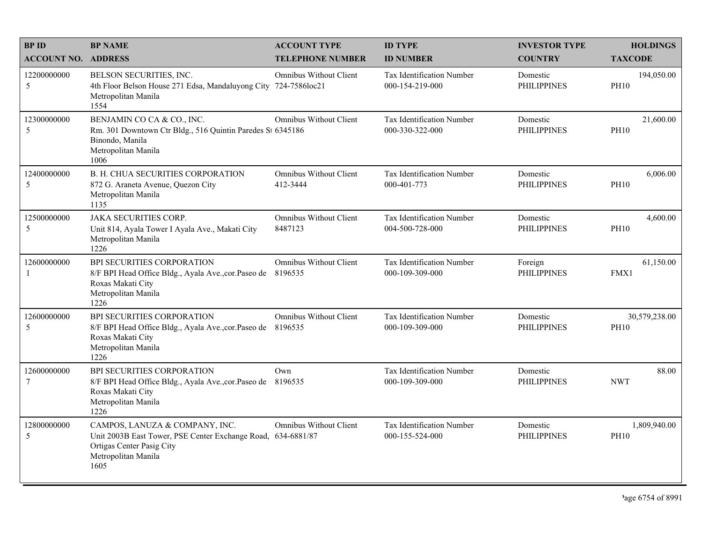| <b>BPID</b>                | <b>BP NAME</b>                                                                                                                                             | <b>ACCOUNT TYPE</b>                      | <b>ID TYPE</b>                               | <b>INVESTOR TYPE</b>           | <b>HOLDINGS</b>              |
|----------------------------|------------------------------------------------------------------------------------------------------------------------------------------------------------|------------------------------------------|----------------------------------------------|--------------------------------|------------------------------|
| <b>ACCOUNT NO. ADDRESS</b> |                                                                                                                                                            | <b>TELEPHONE NUMBER</b>                  | <b>ID NUMBER</b>                             | <b>COUNTRY</b>                 | <b>TAXCODE</b>               |
| 12200000000<br>5           | BELSON SECURITIES, INC.<br>4th Floor Belson House 271 Edsa, Mandaluyong City<br>Metropolitan Manila<br>1554                                                | Omnibus Without Client<br>724-7586loc21  | Tax Identification Number<br>000-154-219-000 | Domestic<br><b>PHILIPPINES</b> | 194,050.00<br><b>PH10</b>    |
| 12300000000<br>5           | BENJAMIN CO CA & CO., INC.<br>Rm. 301 Downtown Ctr Bldg., 516 Quintin Paredes St 6345186<br>Binondo, Manila<br>Metropolitan Manila<br>1006                 | Omnibus Without Client                   | Tax Identification Number<br>000-330-322-000 | Domestic<br><b>PHILIPPINES</b> | 21,600.00<br><b>PH10</b>     |
| 12400000000<br>5           | B. H. CHUA SECURITIES CORPORATION<br>872 G. Araneta Avenue, Quezon City<br>Metropolitan Manila<br>1135                                                     | Omnibus Without Client<br>412-3444       | Tax Identification Number<br>000-401-773     | Domestic<br><b>PHILIPPINES</b> | 6,006.00<br><b>PH10</b>      |
| 12500000000<br>5           | <b>JAKA SECURITIES CORP.</b><br>Unit 814, Ayala Tower I Ayala Ave., Makati City<br>Metropolitan Manila<br>1226                                             | Omnibus Without Client<br>8487123        | Tax Identification Number<br>004-500-728-000 | Domestic<br><b>PHILIPPINES</b> | 4,600.00<br><b>PH10</b>      |
| 12600000000<br>-1          | BPI SECURITIES CORPORATION<br>8/F BPI Head Office Bldg., Ayala Ave., cor. Paseo de<br>Roxas Makati City<br>Metropolitan Manila<br>1226                     | Omnibus Without Client<br>8196535        | Tax Identification Number<br>000-109-309-000 | Foreign<br><b>PHILIPPINES</b>  | 61,150.00<br>FMX1            |
| 12600000000<br>5           | BPI SECURITIES CORPORATION<br>8/F BPI Head Office Bldg., Ayala Ave., cor. Paseo de<br>Roxas Makati City<br>Metropolitan Manila<br>1226                     | <b>Omnibus Without Client</b><br>8196535 | Tax Identification Number<br>000-109-309-000 | Domestic<br><b>PHILIPPINES</b> | 30,579,238.00<br><b>PH10</b> |
| 12600000000<br>$\tau$      | BPI SECURITIES CORPORATION<br>8/F BPI Head Office Bldg., Ayala Ave., cor. Paseo de 8196535<br>Roxas Makati City<br>Metropolitan Manila<br>1226             | Own                                      | Tax Identification Number<br>000-109-309-000 | Domestic<br><b>PHILIPPINES</b> | 88.00<br><b>NWT</b>          |
| 12800000000<br>5           | CAMPOS, LANUZA & COMPANY, INC.<br>Unit 2003B East Tower, PSE Center Exchange Road, 634-6881/87<br>Ortigas Center Pasig City<br>Metropolitan Manila<br>1605 | <b>Omnibus Without Client</b>            | Tax Identification Number<br>000-155-524-000 | Domestic<br><b>PHILIPPINES</b> | 1,809,940.00<br><b>PH10</b>  |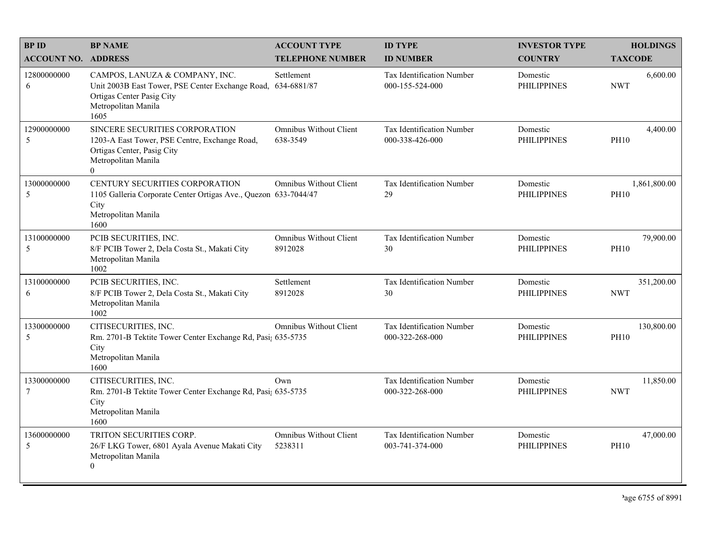| <b>BPID</b>                    | <b>BP NAME</b>                                                                                                                                             | <b>ACCOUNT TYPE</b>                       | <b>ID TYPE</b>                               | <b>INVESTOR TYPE</b>           | <b>HOLDINGS</b>             |
|--------------------------------|------------------------------------------------------------------------------------------------------------------------------------------------------------|-------------------------------------------|----------------------------------------------|--------------------------------|-----------------------------|
| <b>ACCOUNT NO. ADDRESS</b>     |                                                                                                                                                            | <b>TELEPHONE NUMBER</b>                   | <b>ID NUMBER</b>                             | <b>COUNTRY</b>                 | <b>TAXCODE</b>              |
| 12800000000<br>6               | CAMPOS, LANUZA & COMPANY, INC.<br>Unit 2003B East Tower, PSE Center Exchange Road, 634-6881/87<br>Ortigas Center Pasig City<br>Metropolitan Manila<br>1605 | Settlement                                | Tax Identification Number<br>000-155-524-000 | Domestic<br><b>PHILIPPINES</b> | 6,600.00<br><b>NWT</b>      |
| 12900000000<br>5               | SINCERE SECURITIES CORPORATION<br>1203-A East Tower, PSE Centre, Exchange Road,<br>Ortigas Center, Pasig City<br>Metropolitan Manila<br>$\overline{0}$     | <b>Omnibus Without Client</b><br>638-3549 | Tax Identification Number<br>000-338-426-000 | Domestic<br><b>PHILIPPINES</b> | 4,400.00<br><b>PH10</b>     |
| 13000000000<br>5               | CENTURY SECURITIES CORPORATION<br>1105 Galleria Corporate Center Ortigas Ave., Quezon 633-7044/47<br>City<br>Metropolitan Manila<br>1600                   | <b>Omnibus Without Client</b>             | Tax Identification Number<br>29              | Domestic<br><b>PHILIPPINES</b> | 1,861,800.00<br><b>PH10</b> |
| 13100000000<br>5               | PCIB SECURITIES, INC.<br>8/F PCIB Tower 2, Dela Costa St., Makati City<br>Metropolitan Manila<br>1002                                                      | <b>Omnibus Without Client</b><br>8912028  | Tax Identification Number<br>30              | Domestic<br><b>PHILIPPINES</b> | 79,900.00<br><b>PH10</b>    |
| 13100000000<br>6               | PCIB SECURITIES, INC.<br>8/F PCIB Tower 2, Dela Costa St., Makati City<br>Metropolitan Manila<br>1002                                                      | Settlement<br>8912028                     | Tax Identification Number<br>30              | Domestic<br><b>PHILIPPINES</b> | 351,200.00<br><b>NWT</b>    |
| 13300000000<br>5               | CITISECURITIES, INC.<br>Rm. 2701-B Tektite Tower Center Exchange Rd, Pasi; 635-5735<br>City<br>Metropolitan Manila<br>1600                                 | <b>Omnibus Without Client</b>             | Tax Identification Number<br>000-322-268-000 | Domestic<br><b>PHILIPPINES</b> | 130,800.00<br><b>PH10</b>   |
| 13300000000<br>$7\phantom{.0}$ | CITISECURITIES, INC.<br>Rm. 2701-B Tektite Tower Center Exchange Rd, Pasi; 635-5735<br>City<br>Metropolitan Manila<br>1600                                 | Own                                       | Tax Identification Number<br>000-322-268-000 | Domestic<br><b>PHILIPPINES</b> | 11,850.00<br><b>NWT</b>     |
| 13600000000<br>5               | TRITON SECURITIES CORP.<br>26/F LKG Tower, 6801 Ayala Avenue Makati City<br>Metropolitan Manila<br>0                                                       | <b>Omnibus Without Client</b><br>5238311  | Tax Identification Number<br>003-741-374-000 | Domestic<br><b>PHILIPPINES</b> | 47,000.00<br><b>PH10</b>    |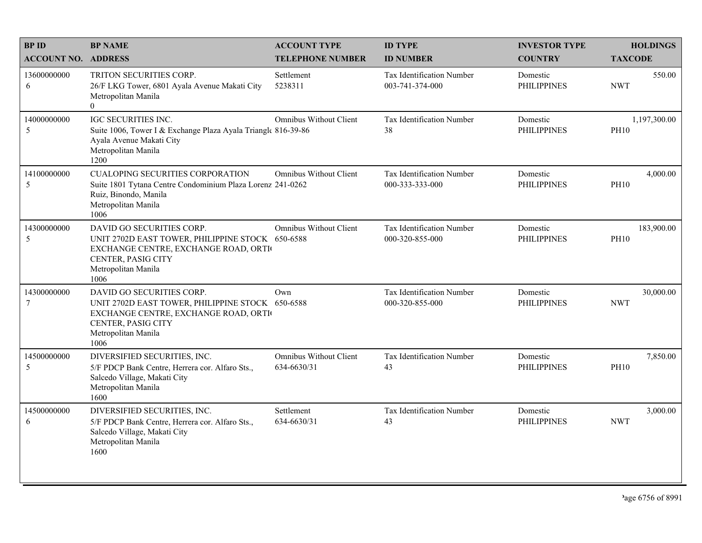| <b>BPID</b>                | <b>BP NAME</b>                                                                                                                                                             | <b>ACCOUNT TYPE</b>                          | <b>ID TYPE</b>                               | <b>INVESTOR TYPE</b>           | <b>HOLDINGS</b>             |
|----------------------------|----------------------------------------------------------------------------------------------------------------------------------------------------------------------------|----------------------------------------------|----------------------------------------------|--------------------------------|-----------------------------|
| <b>ACCOUNT NO. ADDRESS</b> |                                                                                                                                                                            | <b>TELEPHONE NUMBER</b>                      | <b>ID NUMBER</b>                             | <b>COUNTRY</b>                 | <b>TAXCODE</b>              |
| 13600000000<br>6           | TRITON SECURITIES CORP.<br>26/F LKG Tower, 6801 Ayala Avenue Makati City<br>Metropolitan Manila<br>$\theta$                                                                | Settlement<br>5238311                        | Tax Identification Number<br>003-741-374-000 | Domestic<br><b>PHILIPPINES</b> | 550.00<br><b>NWT</b>        |
| 14000000000<br>5           | IGC SECURITIES INC.<br>Suite 1006, Tower I & Exchange Plaza Ayala Triangle 816-39-86<br>Ayala Avenue Makati City<br>Metropolitan Manila<br>1200                            | <b>Omnibus Without Client</b>                | Tax Identification Number<br>38              | Domestic<br><b>PHILIPPINES</b> | 1,197,300.00<br><b>PH10</b> |
| 14100000000<br>5           | <b>CUALOPING SECURITIES CORPORATION</b><br>Suite 1801 Tytana Centre Condominium Plaza Lorenz 241-0262<br>Ruiz, Binondo, Manila<br>Metropolitan Manila<br>1006              | <b>Omnibus Without Client</b>                | Tax Identification Number<br>000-333-333-000 | Domestic<br><b>PHILIPPINES</b> | 4,000.00<br><b>PH10</b>     |
| 14300000000<br>5           | DAVID GO SECURITIES CORP.<br>UNIT 2702D EAST TOWER, PHILIPPINE STOCK 650-6588<br>EXCHANGE CENTRE, EXCHANGE ROAD, ORTI<br>CENTER, PASIG CITY<br>Metropolitan Manila<br>1006 | <b>Omnibus Without Client</b>                | Tax Identification Number<br>000-320-855-000 | Domestic<br><b>PHILIPPINES</b> | 183,900.00<br><b>PH10</b>   |
| 14300000000<br>$\tau$      | DAVID GO SECURITIES CORP.<br>UNIT 2702D EAST TOWER, PHILIPPINE STOCK 650-6588<br>EXCHANGE CENTRE, EXCHANGE ROAD, ORTI<br>CENTER, PASIG CITY<br>Metropolitan Manila<br>1006 | Own                                          | Tax Identification Number<br>000-320-855-000 | Domestic<br><b>PHILIPPINES</b> | 30,000.00<br><b>NWT</b>     |
| 14500000000<br>5           | DIVERSIFIED SECURITIES, INC.<br>5/F PDCP Bank Centre, Herrera cor. Alfaro Sts.,<br>Salcedo Village, Makati City<br>Metropolitan Manila<br>1600                             | <b>Omnibus Without Client</b><br>634-6630/31 | Tax Identification Number<br>43              | Domestic<br><b>PHILIPPINES</b> | 7,850.00<br><b>PH10</b>     |
| 14500000000<br>6           | DIVERSIFIED SECURITIES, INC.<br>5/F PDCP Bank Centre, Herrera cor. Alfaro Sts.,<br>Salcedo Village, Makati City<br>Metropolitan Manila<br>1600                             | Settlement<br>634-6630/31                    | Tax Identification Number<br>43              | Domestic<br><b>PHILIPPINES</b> | 3,000.00<br><b>NWT</b>      |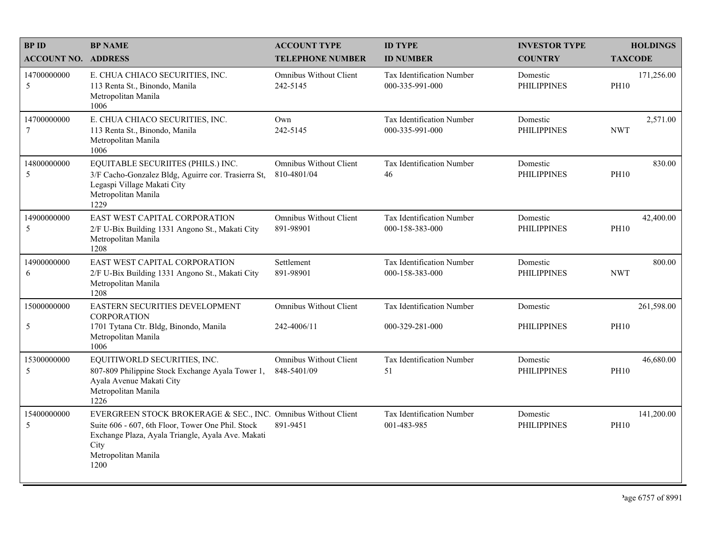| <b>BPID</b>                | <b>BP NAME</b>                                                                                                                                                                                                 | <b>ACCOUNT TYPE</b>                          | <b>ID TYPE</b>                               | <b>INVESTOR TYPE</b>           | <b>HOLDINGS</b>           |
|----------------------------|----------------------------------------------------------------------------------------------------------------------------------------------------------------------------------------------------------------|----------------------------------------------|----------------------------------------------|--------------------------------|---------------------------|
| <b>ACCOUNT NO. ADDRESS</b> |                                                                                                                                                                                                                | <b>TELEPHONE NUMBER</b>                      | <b>ID NUMBER</b>                             | <b>COUNTRY</b>                 | <b>TAXCODE</b>            |
| 14700000000<br>5           | E. CHUA CHIACO SECURITIES, INC.<br>113 Renta St., Binondo, Manila<br>Metropolitan Manila<br>1006                                                                                                               | <b>Omnibus Without Client</b><br>242-5145    | Tax Identification Number<br>000-335-991-000 | Domestic<br><b>PHILIPPINES</b> | 171,256.00<br><b>PH10</b> |
| 14700000000<br>$\tau$      | E. CHUA CHIACO SECURITIES, INC.<br>113 Renta St., Binondo, Manila<br>Metropolitan Manila<br>1006                                                                                                               | Own<br>242-5145                              | Tax Identification Number<br>000-335-991-000 | Domestic<br><b>PHILIPPINES</b> | 2,571.00<br><b>NWT</b>    |
| 14800000000<br>5           | EQUITABLE SECURIITES (PHILS.) INC.<br>3/F Cacho-Gonzalez Bldg, Aguirre cor. Trasierra St,<br>Legaspi Village Makati City<br>Metropolitan Manila<br>1229                                                        | <b>Omnibus Without Client</b><br>810-4801/04 | Tax Identification Number<br>46              | Domestic<br><b>PHILIPPINES</b> | 830.00<br><b>PH10</b>     |
| 14900000000<br>5           | EAST WEST CAPITAL CORPORATION<br>2/F U-Bix Building 1331 Angono St., Makati City<br>Metropolitan Manila<br>1208                                                                                                | <b>Omnibus Without Client</b><br>891-98901   | Tax Identification Number<br>000-158-383-000 | Domestic<br><b>PHILIPPINES</b> | 42,400.00<br><b>PH10</b>  |
| 14900000000<br>6           | EAST WEST CAPITAL CORPORATION<br>2/F U-Bix Building 1331 Angono St., Makati City<br>Metropolitan Manila<br>1208                                                                                                | Settlement<br>891-98901                      | Tax Identification Number<br>000-158-383-000 | Domestic<br><b>PHILIPPINES</b> | 800.00<br><b>NWT</b>      |
| 15000000000                | EASTERN SECURITIES DEVELOPMENT<br><b>CORPORATION</b>                                                                                                                                                           | <b>Omnibus Without Client</b>                | Tax Identification Number                    | Domestic                       | 261,598.00                |
| 5                          | 1701 Tytana Ctr. Bldg, Binondo, Manila<br>Metropolitan Manila<br>1006                                                                                                                                          | 242-4006/11                                  | 000-329-281-000                              | <b>PHILIPPINES</b>             | <b>PH10</b>               |
| 15300000000<br>5           | EQUITIWORLD SECURITIES, INC.<br>807-809 Philippine Stock Exchange Ayala Tower 1,<br>Ayala Avenue Makati City<br>Metropolitan Manila<br>1226                                                                    | <b>Omnibus Without Client</b><br>848-5401/09 | Tax Identification Number<br>51              | Domestic<br><b>PHILIPPINES</b> | 46,680.00<br><b>PH10</b>  |
| 15400000000<br>5           | EVERGREEN STOCK BROKERAGE & SEC., INC. Omnibus Without Client<br>Suite 606 - 607, 6th Floor, Tower One Phil. Stock<br>Exchange Plaza, Ayala Triangle, Ayala Ave. Makati<br>City<br>Metropolitan Manila<br>1200 | 891-9451                                     | Tax Identification Number<br>001-483-985     | Domestic<br><b>PHILIPPINES</b> | 141,200.00<br><b>PH10</b> |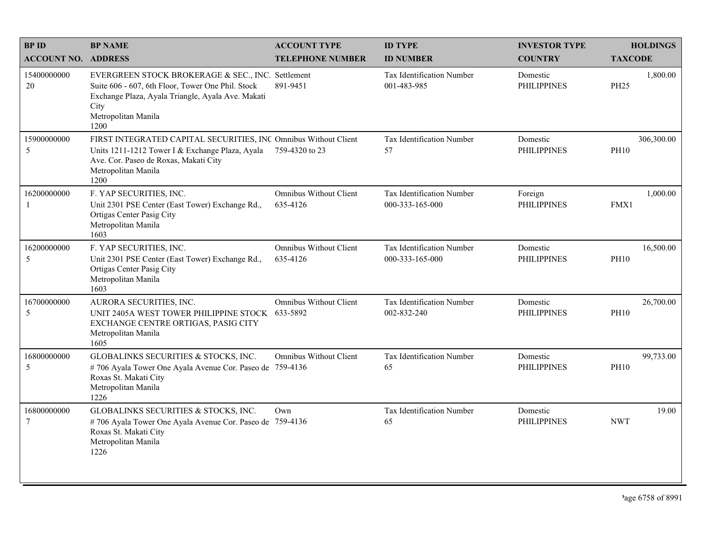| <b>BPID</b><br><b>ACCOUNT NO. ADDRESS</b> | <b>BP NAME</b>                                                                                                                                                                                     | <b>ACCOUNT TYPE</b><br><b>TELEPHONE NUMBER</b> | <b>ID TYPE</b><br><b>ID NUMBER</b>           | <b>INVESTOR TYPE</b><br><b>COUNTRY</b> | <b>HOLDINGS</b><br><b>TAXCODE</b> |
|-------------------------------------------|----------------------------------------------------------------------------------------------------------------------------------------------------------------------------------------------------|------------------------------------------------|----------------------------------------------|----------------------------------------|-----------------------------------|
| 15400000000<br>20                         | EVERGREEN STOCK BROKERAGE & SEC., INC. Settlement<br>Suite 606 - 607, 6th Floor, Tower One Phil. Stock<br>Exchange Plaza, Ayala Triangle, Ayala Ave. Makati<br>City<br>Metropolitan Manila<br>1200 | 891-9451                                       | Tax Identification Number<br>001-483-985     | Domestic<br><b>PHILIPPINES</b>         | 1,800.00<br><b>PH25</b>           |
| 15900000000<br>5                          | FIRST INTEGRATED CAPITAL SECURITIES, INC Omnibus Without Client<br>Units 1211-1212 Tower I & Exchange Plaza, Ayala<br>Ave. Cor. Paseo de Roxas, Makati City<br>Metropolitan Manila<br>1200         | 759-4320 to 23                                 | Tax Identification Number<br>57              | Domestic<br><b>PHILIPPINES</b>         | 306,300.00<br><b>PH10</b>         |
| 16200000000<br>-1                         | F. YAP SECURITIES, INC.<br>Unit 2301 PSE Center (East Tower) Exchange Rd.,<br>Ortigas Center Pasig City<br>Metropolitan Manila<br>1603                                                             | <b>Omnibus Without Client</b><br>635-4126      | Tax Identification Number<br>000-333-165-000 | Foreign<br><b>PHILIPPINES</b>          | 1,000.00<br>FMX1                  |
| 16200000000<br>5                          | F. YAP SECURITIES, INC.<br>Unit 2301 PSE Center (East Tower) Exchange Rd.,<br>Ortigas Center Pasig City<br>Metropolitan Manila<br>1603                                                             | Omnibus Without Client<br>635-4126             | Tax Identification Number<br>000-333-165-000 | Domestic<br><b>PHILIPPINES</b>         | 16,500.00<br><b>PH10</b>          |
| 16700000000<br>5                          | AURORA SECURITIES, INC.<br>UNIT 2405A WEST TOWER PHILIPPINE STOCK 633-5892<br>EXCHANGE CENTRE ORTIGAS, PASIG CITY<br>Metropolitan Manila<br>1605                                                   | <b>Omnibus Without Client</b>                  | Tax Identification Number<br>002-832-240     | Domestic<br><b>PHILIPPINES</b>         | 26,700.00<br><b>PH10</b>          |
| 16800000000<br>5                          | GLOBALINKS SECURITIES & STOCKS, INC.<br>#706 Ayala Tower One Ayala Avenue Cor. Paseo de 759-4136<br>Roxas St. Makati City<br>Metropolitan Manila<br>1226                                           | Omnibus Without Client                         | Tax Identification Number<br>65              | Domestic<br><b>PHILIPPINES</b>         | 99,733.00<br><b>PH10</b>          |
| 16800000000<br>$\tau$                     | GLOBALINKS SECURITIES & STOCKS, INC.<br>#706 Ayala Tower One Ayala Avenue Cor. Paseo de 759-4136<br>Roxas St. Makati City<br>Metropolitan Manila<br>1226                                           | Own                                            | Tax Identification Number<br>65              | Domestic<br><b>PHILIPPINES</b>         | 19.00<br><b>NWT</b>               |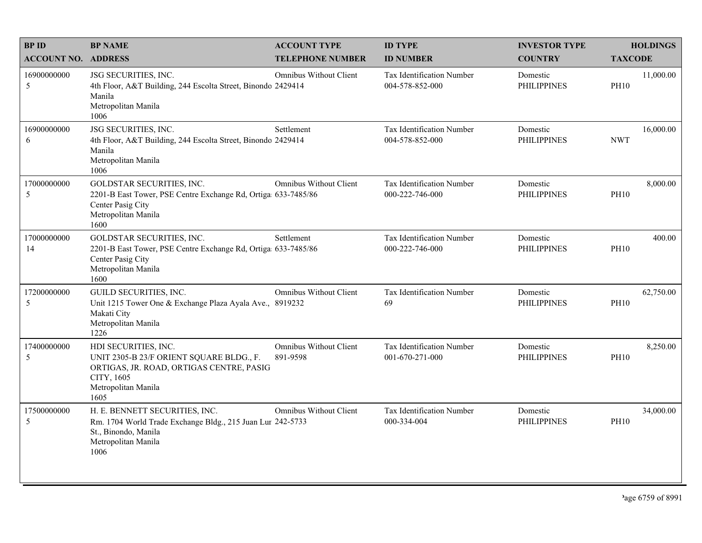| <b>BPID</b>                | <b>BP NAME</b>                                                                                                                                            | <b>ACCOUNT TYPE</b>                       | <b>ID TYPE</b>                                      | <b>INVESTOR TYPE</b>           | <b>HOLDINGS</b>          |
|----------------------------|-----------------------------------------------------------------------------------------------------------------------------------------------------------|-------------------------------------------|-----------------------------------------------------|--------------------------------|--------------------------|
| <b>ACCOUNT NO. ADDRESS</b> |                                                                                                                                                           | <b>TELEPHONE NUMBER</b>                   | <b>ID NUMBER</b>                                    | <b>COUNTRY</b>                 | <b>TAXCODE</b>           |
| 16900000000<br>5           | JSG SECURITIES, INC.<br>4th Floor, A&T Building, 244 Escolta Street, Binondo 2429414<br>Manila<br>Metropolitan Manila<br>1006                             | <b>Omnibus Without Client</b>             | <b>Tax Identification Number</b><br>004-578-852-000 | Domestic<br><b>PHILIPPINES</b> | 11,000.00<br><b>PH10</b> |
| 16900000000<br>6           | JSG SECURITIES, INC.<br>4th Floor, A&T Building, 244 Escolta Street, Binondo 2429414<br>Manila<br>Metropolitan Manila<br>1006                             | Settlement                                | <b>Tax Identification Number</b><br>004-578-852-000 | Domestic<br><b>PHILIPPINES</b> | 16,000.00<br><b>NWT</b>  |
| 17000000000<br>5           | GOLDSTAR SECURITIES, INC.<br>2201-B East Tower, PSE Centre Exchange Rd, Ortiga 633-7485/86<br>Center Pasig City<br>Metropolitan Manila<br>1600            | <b>Omnibus Without Client</b>             | Tax Identification Number<br>000-222-746-000        | Domestic<br><b>PHILIPPINES</b> | 8,000.00<br><b>PH10</b>  |
| 17000000000<br>14          | GOLDSTAR SECURITIES, INC.<br>2201-B East Tower, PSE Centre Exchange Rd, Ortiga 633-7485/86<br>Center Pasig City<br>Metropolitan Manila<br>1600            | Settlement                                | Tax Identification Number<br>000-222-746-000        | Domestic<br><b>PHILIPPINES</b> | 400.00<br><b>PH10</b>    |
| 17200000000<br>5           | GUILD SECURITIES, INC.<br>Unit 1215 Tower One & Exchange Plaza Ayala Ave., 8919232<br>Makati City<br>Metropolitan Manila<br>1226                          | <b>Omnibus Without Client</b>             | Tax Identification Number<br>69                     | Domestic<br><b>PHILIPPINES</b> | 62,750.00<br><b>PH10</b> |
| 17400000000<br>5           | HDI SECURITIES, INC.<br>UNIT 2305-B 23/F ORIENT SQUARE BLDG., F.<br>ORTIGAS, JR. ROAD, ORTIGAS CENTRE, PASIG<br>CITY, 1605<br>Metropolitan Manila<br>1605 | <b>Omnibus Without Client</b><br>891-9598 | Tax Identification Number<br>001-670-271-000        | Domestic<br><b>PHILIPPINES</b> | 8,250.00<br><b>PH10</b>  |
| 17500000000<br>5           | H. E. BENNETT SECURITIES, INC.<br>Rm. 1704 World Trade Exchange Bldg., 215 Juan Lur 242-5733<br>St., Binondo, Manila<br>Metropolitan Manila<br>1006       | <b>Omnibus Without Client</b>             | Tax Identification Number<br>000-334-004            | Domestic<br><b>PHILIPPINES</b> | 34,000.00<br><b>PH10</b> |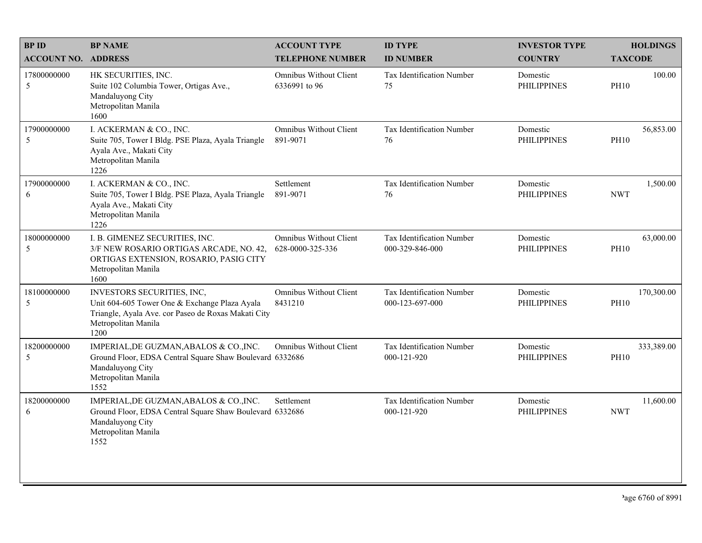| <b>BPID</b>                   | <b>BP NAME</b>                                                                                                                                                    | <b>ACCOUNT TYPE</b>                               | <b>ID TYPE</b>                               | <b>INVESTOR TYPE</b>           | <b>HOLDINGS</b>           |
|-------------------------------|-------------------------------------------------------------------------------------------------------------------------------------------------------------------|---------------------------------------------------|----------------------------------------------|--------------------------------|---------------------------|
| <b>ACCOUNT NO. ADDRESS</b>    |                                                                                                                                                                   | <b>TELEPHONE NUMBER</b>                           | <b>ID NUMBER</b>                             | <b>COUNTRY</b>                 | <b>TAXCODE</b>            |
| 17800000000<br>5              | HK SECURITIES, INC.<br>Suite 102 Columbia Tower, Ortigas Ave.,<br>Mandaluyong City<br>Metropolitan Manila<br>1600                                                 | <b>Omnibus Without Client</b><br>6336991 to 96    | Tax Identification Number<br>75              | Domestic<br><b>PHILIPPINES</b> | 100.00<br><b>PH10</b>     |
| 17900000000<br>5              | I. ACKERMAN & CO., INC.<br>Suite 705, Tower I Bldg. PSE Plaza, Ayala Triangle<br>Ayala Ave., Makati City<br>Metropolitan Manila<br>1226                           | Omnibus Without Client<br>891-9071                | Tax Identification Number<br>76              | Domestic<br><b>PHILIPPINES</b> | 56,853.00<br><b>PH10</b>  |
| 17900000000<br>6              | I. ACKERMAN & CO., INC.<br>Suite 705, Tower I Bldg. PSE Plaza, Ayala Triangle<br>Ayala Ave., Makati City<br>Metropolitan Manila<br>1226                           | Settlement<br>891-9071                            | Tax Identification Number<br>76              | Domestic<br><b>PHILIPPINES</b> | 1,500.00<br><b>NWT</b>    |
| 18000000000<br>$\sqrt{5}$     | I. B. GIMENEZ SECURITIES, INC.<br>3/F NEW ROSARIO ORTIGAS ARCADE, NO. 42,<br>ORTIGAS EXTENSION, ROSARIO, PASIG CITY<br>Metropolitan Manila<br>1600                | <b>Omnibus Without Client</b><br>628-0000-325-336 | Tax Identification Number<br>000-329-846-000 | Domestic<br><b>PHILIPPINES</b> | 63,000.00<br><b>PH10</b>  |
| 18100000000<br>5              | INVESTORS SECURITIES, INC,<br>Unit 604-605 Tower One & Exchange Plaza Ayala<br>Triangle, Ayala Ave. cor Paseo de Roxas Makati City<br>Metropolitan Manila<br>1200 | Omnibus Without Client<br>8431210                 | Tax Identification Number<br>000-123-697-000 | Domestic<br><b>PHILIPPINES</b> | 170,300.00<br><b>PH10</b> |
| 18200000000<br>$\mathfrak{S}$ | IMPERIAL, DE GUZMAN, ABALOS & CO., INC.<br>Ground Floor, EDSA Central Square Shaw Boulevard 6332686<br>Mandaluyong City<br>Metropolitan Manila<br>1552            | <b>Omnibus Without Client</b>                     | Tax Identification Number<br>000-121-920     | Domestic<br><b>PHILIPPINES</b> | 333,389.00<br><b>PH10</b> |
| 18200000000<br>6              | IMPERIAL, DE GUZMAN, ABALOS & CO., INC.<br>Ground Floor, EDSA Central Square Shaw Boulevard 6332686<br>Mandaluyong City<br>Metropolitan Manila<br>1552            | Settlement                                        | Tax Identification Number<br>000-121-920     | Domestic<br><b>PHILIPPINES</b> | 11,600.00<br><b>NWT</b>   |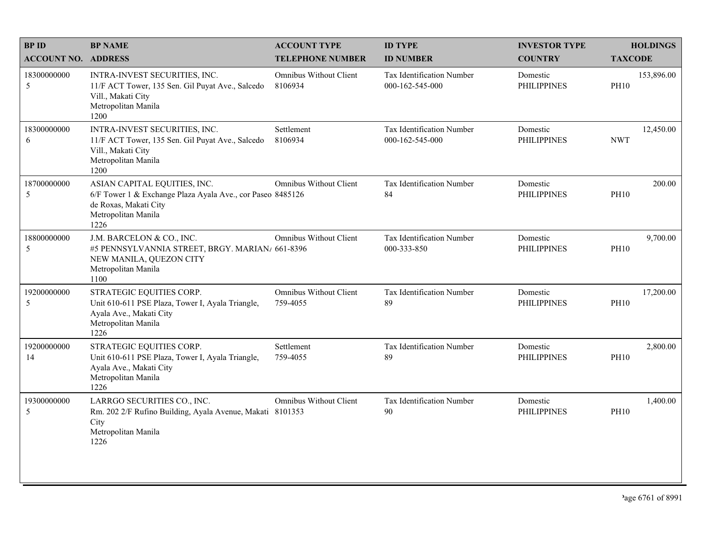| <b>BPID</b>                | <b>BP NAME</b>                                                                                                                                     | <b>ACCOUNT TYPE</b>                | <b>ID TYPE</b>                               | <b>INVESTOR TYPE</b>           | <b>HOLDINGS</b>           |
|----------------------------|----------------------------------------------------------------------------------------------------------------------------------------------------|------------------------------------|----------------------------------------------|--------------------------------|---------------------------|
| <b>ACCOUNT NO. ADDRESS</b> |                                                                                                                                                    | <b>TELEPHONE NUMBER</b>            | <b>ID NUMBER</b>                             | <b>COUNTRY</b>                 | <b>TAXCODE</b>            |
| 18300000000<br>5           | INTRA-INVEST SECURITIES, INC.<br>11/F ACT Tower, 135 Sen. Gil Puyat Ave., Salcedo<br>Vill., Makati City<br>Metropolitan Manila<br>1200             | Omnibus Without Client<br>8106934  | Tax Identification Number<br>000-162-545-000 | Domestic<br><b>PHILIPPINES</b> | 153,896.00<br><b>PH10</b> |
| 18300000000<br>6           | INTRA-INVEST SECURITIES, INC.<br>11/F ACT Tower, 135 Sen. Gil Puyat Ave., Salcedo<br>Vill., Makati City<br>Metropolitan Manila<br>1200             | Settlement<br>8106934              | Tax Identification Number<br>000-162-545-000 | Domestic<br><b>PHILIPPINES</b> | 12,450.00<br><b>NWT</b>   |
| 18700000000<br>5           | ASIAN CAPITAL EQUITIES, INC.<br>6/F Tower 1 & Exchange Plaza Ayala Ave., cor Paseo 8485126<br>de Roxas, Makati City<br>Metropolitan Manila<br>1226 | Omnibus Without Client             | Tax Identification Number<br>84              | Domestic<br><b>PHILIPPINES</b> | 200.00<br><b>PH10</b>     |
| 18800000000<br>$\sqrt{5}$  | J.M. BARCELON & CO., INC.<br>#5 PENNSYLVANNIA STREET, BRGY. MARIAN/ 661-8396<br>NEW MANILA, QUEZON CITY<br>Metropolitan Manila<br>1100             | Omnibus Without Client             | Tax Identification Number<br>000-333-850     | Domestic<br><b>PHILIPPINES</b> | 9,700.00<br><b>PH10</b>   |
| 19200000000<br>5           | STRATEGIC EQUITIES CORP.<br>Unit 610-611 PSE Plaza, Tower I, Ayala Triangle,<br>Ayala Ave., Makati City<br>Metropolitan Manila<br>1226             | Omnibus Without Client<br>759-4055 | Tax Identification Number<br>89              | Domestic<br><b>PHILIPPINES</b> | 17,200.00<br><b>PH10</b>  |
| 19200000000<br>14          | STRATEGIC EQUITIES CORP.<br>Unit 610-611 PSE Plaza, Tower I, Ayala Triangle,<br>Ayala Ave., Makati City<br>Metropolitan Manila<br>1226             | Settlement<br>759-4055             | Tax Identification Number<br>89              | Domestic<br><b>PHILIPPINES</b> | 2,800.00<br><b>PH10</b>   |
| 19300000000<br>5           | LARRGO SECURITIES CO., INC.<br>Rm. 202 2/F Rufino Building, Ayala Avenue, Makati 8101353<br>City<br>Metropolitan Manila<br>1226                    | Omnibus Without Client             | Tax Identification Number<br>90              | Domestic<br><b>PHILIPPINES</b> | 1,400.00<br><b>PH10</b>   |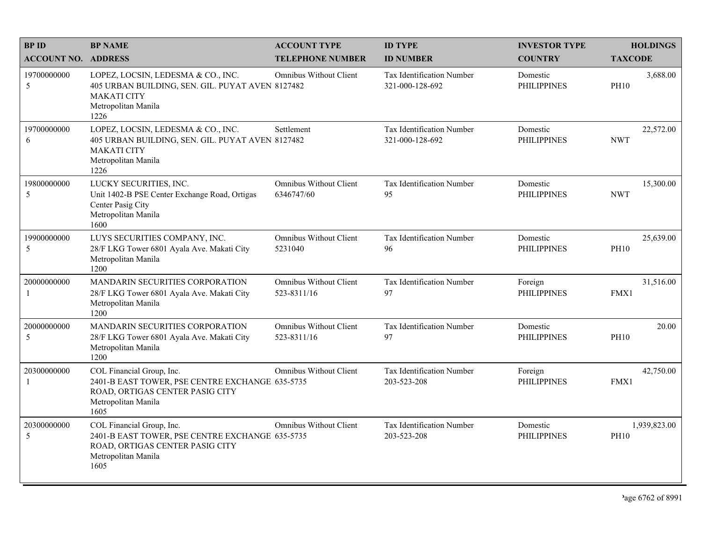| <b>BPID</b>                | <b>BP NAME</b>                                                                                                                                 | <b>ACCOUNT TYPE</b>                          | <b>ID TYPE</b>                               | <b>INVESTOR TYPE</b>           | <b>HOLDINGS</b>             |
|----------------------------|------------------------------------------------------------------------------------------------------------------------------------------------|----------------------------------------------|----------------------------------------------|--------------------------------|-----------------------------|
| <b>ACCOUNT NO. ADDRESS</b> |                                                                                                                                                | <b>TELEPHONE NUMBER</b>                      | <b>ID NUMBER</b>                             | <b>COUNTRY</b>                 | <b>TAXCODE</b>              |
| 19700000000<br>5           | LOPEZ, LOCSIN, LEDESMA & CO., INC.<br>405 URBAN BUILDING, SEN. GIL. PUYAT AVEN 8127482<br><b>MAKATI CITY</b><br>Metropolitan Manila<br>1226    | Omnibus Without Client                       | Tax Identification Number<br>321-000-128-692 | Domestic<br><b>PHILIPPINES</b> | 3,688.00<br><b>PH10</b>     |
| 19700000000<br>6           | LOPEZ, LOCSIN, LEDESMA & CO., INC.<br>405 URBAN BUILDING, SEN. GIL. PUYAT AVEN 8127482<br><b>MAKATI CITY</b><br>Metropolitan Manila<br>1226    | Settlement                                   | Tax Identification Number<br>321-000-128-692 | Domestic<br><b>PHILIPPINES</b> | 22,572.00<br><b>NWT</b>     |
| 19800000000<br>5           | LUCKY SECURITIES, INC.<br>Unit 1402-B PSE Center Exchange Road, Ortigas<br>Center Pasig City<br>Metropolitan Manila<br>1600                    | <b>Omnibus Without Client</b><br>6346747/60  | Tax Identification Number<br>95              | Domestic<br><b>PHILIPPINES</b> | 15,300.00<br><b>NWT</b>     |
| 19900000000<br>5           | LUYS SECURITIES COMPANY, INC.<br>28/F LKG Tower 6801 Ayala Ave. Makati City<br>Metropolitan Manila<br>1200                                     | <b>Omnibus Without Client</b><br>5231040     | Tax Identification Number<br>96              | Domestic<br><b>PHILIPPINES</b> | 25,639.00<br><b>PH10</b>    |
| 20000000000<br>-1          | <b>MANDARIN SECURITIES CORPORATION</b><br>28/F LKG Tower 6801 Ayala Ave. Makati City<br>Metropolitan Manila<br>1200                            | <b>Omnibus Without Client</b><br>523-8311/16 | Tax Identification Number<br>97              | Foreign<br><b>PHILIPPINES</b>  | 31,516.00<br>FMX1           |
| 20000000000<br>5           | MANDARIN SECURITIES CORPORATION<br>28/F LKG Tower 6801 Ayala Ave. Makati City<br>Metropolitan Manila<br>1200                                   | <b>Omnibus Without Client</b><br>523-8311/16 | Tax Identification Number<br>97              | Domestic<br><b>PHILIPPINES</b> | 20.00<br><b>PH10</b>        |
| 20300000000<br>-1          | COL Financial Group, Inc.<br>2401-B EAST TOWER, PSE CENTRE EXCHANGE 635-5735<br>ROAD, ORTIGAS CENTER PASIG CITY<br>Metropolitan Manila<br>1605 | <b>Omnibus Without Client</b>                | Tax Identification Number<br>203-523-208     | Foreign<br><b>PHILIPPINES</b>  | 42,750.00<br>FMX1           |
| 20300000000<br>5           | COL Financial Group, Inc.<br>2401-B EAST TOWER, PSE CENTRE EXCHANGE 635-5735<br>ROAD, ORTIGAS CENTER PASIG CITY<br>Metropolitan Manila<br>1605 | <b>Omnibus Without Client</b>                | Tax Identification Number<br>203-523-208     | Domestic<br><b>PHILIPPINES</b> | 1,939,823.00<br><b>PH10</b> |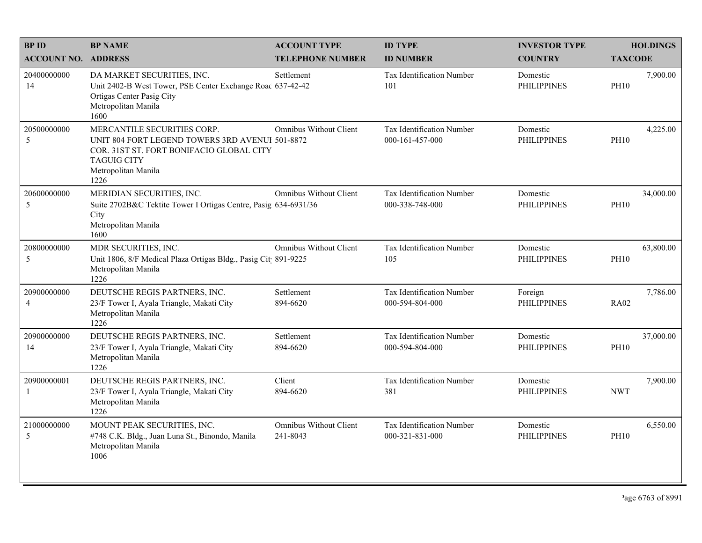| <b>BPID</b>                   | <b>BP NAME</b>                                                                                                                                                                  | <b>ACCOUNT TYPE</b>                       | <b>ID TYPE</b>                               | <b>INVESTOR TYPE</b>           | <b>HOLDINGS</b>          |
|-------------------------------|---------------------------------------------------------------------------------------------------------------------------------------------------------------------------------|-------------------------------------------|----------------------------------------------|--------------------------------|--------------------------|
| <b>ACCOUNT NO. ADDRESS</b>    |                                                                                                                                                                                 | <b>TELEPHONE NUMBER</b>                   | <b>ID NUMBER</b>                             | <b>COUNTRY</b>                 | <b>TAXCODE</b>           |
| 20400000000<br>14             | DA MARKET SECURITIES, INC.<br>Unit 2402-B West Tower, PSE Center Exchange Roac 637-42-42<br>Ortigas Center Pasig City<br>Metropolitan Manila<br>1600                            | Settlement                                | Tax Identification Number<br>101             | Domestic<br><b>PHILIPPINES</b> | 7,900.00<br><b>PH10</b>  |
| 20500000000<br>5              | MERCANTILE SECURITIES CORP.<br>UNIT 804 FORT LEGEND TOWERS 3RD AVENUI 501-8872<br>COR. 31ST ST. FORT BONIFACIO GLOBAL CITY<br><b>TAGUIG CITY</b><br>Metropolitan Manila<br>1226 | Omnibus Without Client                    | Tax Identification Number<br>000-161-457-000 | Domestic<br><b>PHILIPPINES</b> | 4,225.00<br><b>PH10</b>  |
| 20600000000<br>5              | MERIDIAN SECURITIES, INC.<br>Suite 2702B&C Tektite Tower I Ortigas Centre, Pasig 634-6931/36<br>City<br>Metropolitan Manila<br>1600                                             | <b>Omnibus Without Client</b>             | Tax Identification Number<br>000-338-748-000 | Domestic<br><b>PHILIPPINES</b> | 34,000.00<br><b>PH10</b> |
| 20800000000<br>5              | MDR SECURITIES, INC.<br>Unit 1806, 8/F Medical Plaza Ortigas Bldg., Pasig Cit 891-9225<br>Metropolitan Manila<br>1226                                                           | <b>Omnibus Without Client</b>             | Tax Identification Number<br>105             | Domestic<br><b>PHILIPPINES</b> | 63,800.00<br><b>PH10</b> |
| 20900000000<br>$\overline{4}$ | DEUTSCHE REGIS PARTNERS, INC.<br>23/F Tower I, Ayala Triangle, Makati City<br>Metropolitan Manila<br>1226                                                                       | Settlement<br>894-6620                    | Tax Identification Number<br>000-594-804-000 | Foreign<br><b>PHILIPPINES</b>  | 7,786.00<br><b>RA02</b>  |
| 20900000000<br>14             | DEUTSCHE REGIS PARTNERS, INC.<br>23/F Tower I, Ayala Triangle, Makati City<br>Metropolitan Manila<br>1226                                                                       | Settlement<br>894-6620                    | Tax Identification Number<br>000-594-804-000 | Domestic<br><b>PHILIPPINES</b> | 37,000.00<br><b>PH10</b> |
| 20900000001<br>-1             | DEUTSCHE REGIS PARTNERS, INC.<br>23/F Tower I, Ayala Triangle, Makati City<br>Metropolitan Manila<br>1226                                                                       | Client<br>894-6620                        | Tax Identification Number<br>381             | Domestic<br><b>PHILIPPINES</b> | 7,900.00<br><b>NWT</b>   |
| 21000000000<br>5              | MOUNT PEAK SECURITIES, INC.<br>#748 C.K. Bldg., Juan Luna St., Binondo, Manila<br>Metropolitan Manila<br>1006                                                                   | <b>Omnibus Without Client</b><br>241-8043 | Tax Identification Number<br>000-321-831-000 | Domestic<br><b>PHILIPPINES</b> | 6,550.00<br><b>PH10</b>  |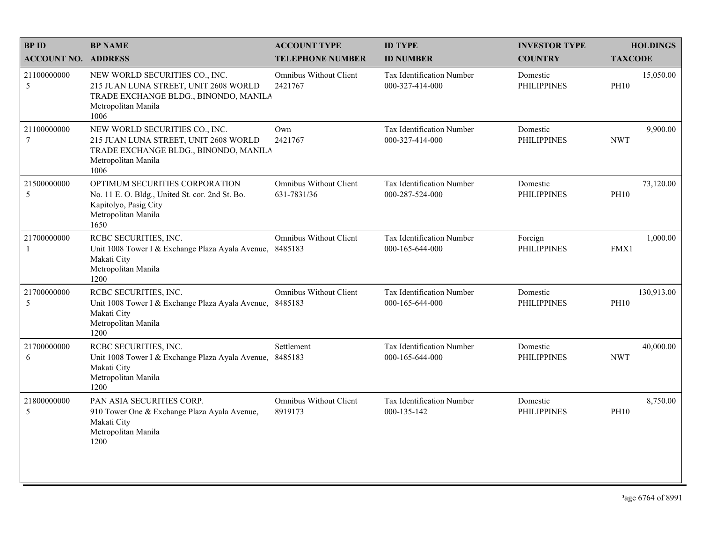| <b>BPID</b>                   | <b>BP NAME</b>                                                                                                                                  | <b>ACCOUNT TYPE</b>                          | <b>ID TYPE</b>                                      | <b>INVESTOR TYPE</b>           | <b>HOLDINGS</b>           |
|-------------------------------|-------------------------------------------------------------------------------------------------------------------------------------------------|----------------------------------------------|-----------------------------------------------------|--------------------------------|---------------------------|
| <b>ACCOUNT NO. ADDRESS</b>    |                                                                                                                                                 | <b>TELEPHONE NUMBER</b>                      | <b>ID NUMBER</b>                                    | <b>COUNTRY</b>                 | <b>TAXCODE</b>            |
| 21100000000<br>5              | NEW WORLD SECURITIES CO., INC.<br>215 JUAN LUNA STREET, UNIT 2608 WORLD<br>TRADE EXCHANGE BLDG., BINONDO, MANILA<br>Metropolitan Manila<br>1006 | <b>Omnibus Without Client</b><br>2421767     | <b>Tax Identification Number</b><br>000-327-414-000 | Domestic<br><b>PHILIPPINES</b> | 15,050.00<br><b>PH10</b>  |
| 21100000000<br>$\overline{7}$ | NEW WORLD SECURITIES CO., INC.<br>215 JUAN LUNA STREET, UNIT 2608 WORLD<br>TRADE EXCHANGE BLDG., BINONDO, MANILA<br>Metropolitan Manila<br>1006 | Own<br>2421767                               | <b>Tax Identification Number</b><br>000-327-414-000 | Domestic<br><b>PHILIPPINES</b> | 9,900.00<br><b>NWT</b>    |
| 21500000000<br>5              | OPTIMUM SECURITIES CORPORATION<br>No. 11 E. O. Bldg., United St. cor. 2nd St. Bo.<br>Kapitolyo, Pasig City<br>Metropolitan Manila<br>1650       | <b>Omnibus Without Client</b><br>631-7831/36 | Tax Identification Number<br>000-287-524-000        | Domestic<br><b>PHILIPPINES</b> | 73,120.00<br><b>PH10</b>  |
| 21700000000                   | RCBC SECURITIES, INC.<br>Unit 1008 Tower I & Exchange Plaza Ayala Avenue,<br>Makati City<br>Metropolitan Manila<br>1200                         | <b>Omnibus Without Client</b><br>8485183     | <b>Tax Identification Number</b><br>000-165-644-000 | Foreign<br><b>PHILIPPINES</b>  | 1,000.00<br>FMX1          |
| 21700000000<br>5              | RCBC SECURITIES, INC.<br>Unit 1008 Tower I & Exchange Plaza Ayala Avenue,<br>Makati City<br>Metropolitan Manila<br>1200                         | <b>Omnibus Without Client</b><br>8485183     | Tax Identification Number<br>000-165-644-000        | Domestic<br><b>PHILIPPINES</b> | 130,913.00<br><b>PH10</b> |
| 21700000000<br>6              | RCBC SECURITIES, INC.<br>Unit 1008 Tower I & Exchange Plaza Ayala Avenue,<br>Makati City<br>Metropolitan Manila<br>1200                         | Settlement<br>8485183                        | Tax Identification Number<br>000-165-644-000        | Domestic<br><b>PHILIPPINES</b> | 40,000.00<br><b>NWT</b>   |
| 21800000000<br>5              | PAN ASIA SECURITIES CORP.<br>910 Tower One & Exchange Plaza Ayala Avenue,<br>Makati City<br>Metropolitan Manila<br>1200                         | <b>Omnibus Without Client</b><br>8919173     | Tax Identification Number<br>000-135-142            | Domestic<br><b>PHILIPPINES</b> | 8,750.00<br><b>PH10</b>   |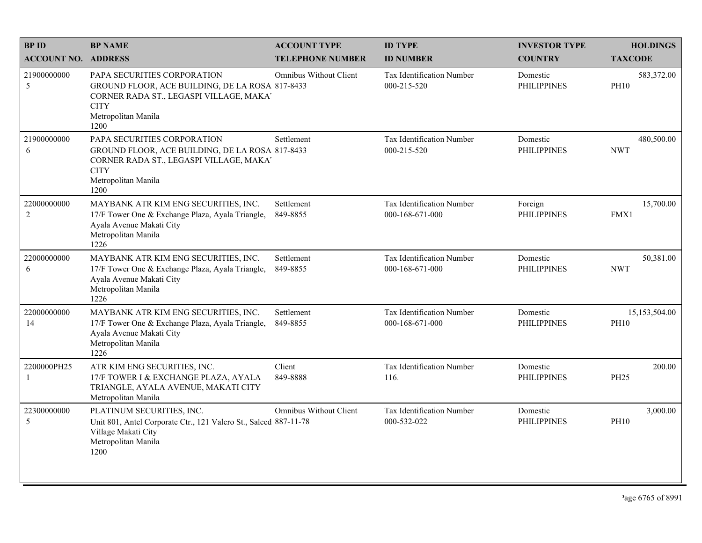| <b>BPID</b>                   | <b>BP NAME</b>                                                                                                                                                          | <b>ACCOUNT TYPE</b>           | <b>ID TYPE</b>                               | <b>INVESTOR TYPE</b>           | <b>HOLDINGS</b>              |
|-------------------------------|-------------------------------------------------------------------------------------------------------------------------------------------------------------------------|-------------------------------|----------------------------------------------|--------------------------------|------------------------------|
| <b>ACCOUNT NO. ADDRESS</b>    |                                                                                                                                                                         | <b>TELEPHONE NUMBER</b>       | <b>ID NUMBER</b>                             | <b>COUNTRY</b>                 | <b>TAXCODE</b>               |
| 21900000000<br>5              | PAPA SECURITIES CORPORATION<br>GROUND FLOOR, ACE BUILDING, DE LA ROSA 817-8433<br>CORNER RADA ST., LEGASPI VILLAGE, MAKA'<br><b>CITY</b><br>Metropolitan Manila<br>1200 | Omnibus Without Client        | Tax Identification Number<br>000-215-520     | Domestic<br><b>PHILIPPINES</b> | 583,372.00<br><b>PH10</b>    |
| 21900000000<br>6              | PAPA SECURITIES CORPORATION<br>GROUND FLOOR, ACE BUILDING, DE LA ROSA 817-8433<br>CORNER RADA ST., LEGASPI VILLAGE, MAKA'<br><b>CITY</b><br>Metropolitan Manila<br>1200 | Settlement                    | Tax Identification Number<br>000-215-520     | Domestic<br><b>PHILIPPINES</b> | 480,500.00<br><b>NWT</b>     |
| 22000000000<br>$\overline{2}$ | MAYBANK ATR KIM ENG SECURITIES, INC.<br>17/F Tower One & Exchange Plaza, Ayala Triangle,<br>Ayala Avenue Makati City<br>Metropolitan Manila<br>1226                     | Settlement<br>849-8855        | Tax Identification Number<br>000-168-671-000 | Foreign<br><b>PHILIPPINES</b>  | 15,700.00<br>FMX1            |
| 22000000000<br>6              | MAYBANK ATR KIM ENG SECURITIES, INC.<br>17/F Tower One & Exchange Plaza, Ayala Triangle,<br>Ayala Avenue Makati City<br>Metropolitan Manila<br>1226                     | Settlement<br>849-8855        | Tax Identification Number<br>000-168-671-000 | Domestic<br><b>PHILIPPINES</b> | 50,381.00<br><b>NWT</b>      |
| 22000000000<br>14             | MAYBANK ATR KIM ENG SECURITIES, INC.<br>17/F Tower One & Exchange Plaza, Ayala Triangle,<br>Ayala Avenue Makati City<br>Metropolitan Manila<br>1226                     | Settlement<br>849-8855        | Tax Identification Number<br>000-168-671-000 | Domestic<br><b>PHILIPPINES</b> | 15,153,504.00<br><b>PH10</b> |
| 2200000PH25<br>$\mathbf{1}$   | ATR KIM ENG SECURITIES, INC.<br>17/F TOWER I & EXCHANGE PLAZA, AYALA<br>TRIANGLE, AYALA AVENUE, MAKATI CITY<br>Metropolitan Manila                                      | Client<br>849-8888            | Tax Identification Number<br>116.            | Domestic<br><b>PHILIPPINES</b> | 200.00<br><b>PH25</b>        |
| 22300000000<br>5              | PLATINUM SECURITIES, INC.<br>Unit 801, Antel Corporate Ctr., 121 Valero St., Salced 887-11-78<br>Village Makati City<br>Metropolitan Manila<br>1200                     | <b>Omnibus Without Client</b> | Tax Identification Number<br>000-532-022     | Domestic<br><b>PHILIPPINES</b> | 3,000.00<br><b>PH10</b>      |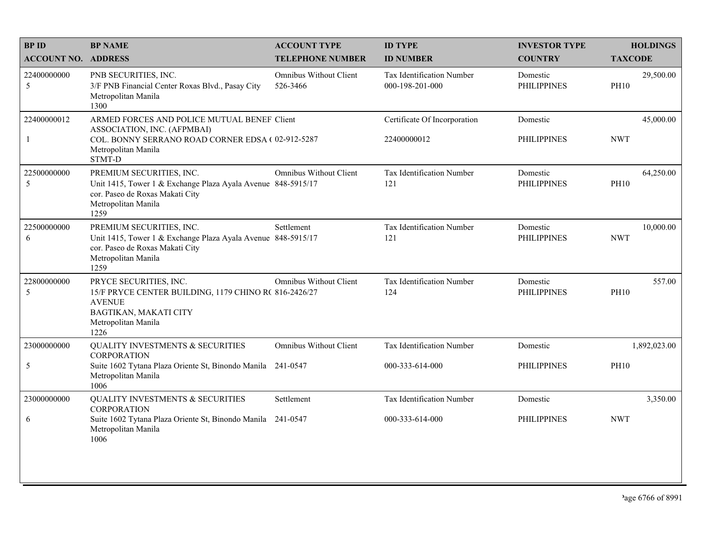| <b>BPID</b>                 | <b>BP NAME</b>                                                                                                                                                  | <b>ACCOUNT TYPE</b>                       | <b>ID TYPE</b>                                      | <b>INVESTOR TYPE</b>           | <b>HOLDINGS</b>          |
|-----------------------------|-----------------------------------------------------------------------------------------------------------------------------------------------------------------|-------------------------------------------|-----------------------------------------------------|--------------------------------|--------------------------|
| <b>ACCOUNT NO. ADDRESS</b>  |                                                                                                                                                                 | <b>TELEPHONE NUMBER</b>                   | <b>ID NUMBER</b>                                    | <b>COUNTRY</b>                 | <b>TAXCODE</b>           |
| 22400000000<br>5            | PNB SECURITIES, INC.<br>3/F PNB Financial Center Roxas Blvd., Pasay City<br>Metropolitan Manila<br>1300                                                         | <b>Omnibus Without Client</b><br>526-3466 | <b>Tax Identification Number</b><br>000-198-201-000 | Domestic<br><b>PHILIPPINES</b> | 29,500.00<br><b>PH10</b> |
| 22400000012<br>$\mathbf{1}$ | ARMED FORCES AND POLICE MUTUAL BENEF Client<br>ASSOCIATION, INC. (AFPMBAI)<br>COL. BONNY SERRANO ROAD CORNER EDSA (02-912-5287<br>Metropolitan Manila<br>STMT-D |                                           | Certificate Of Incorporation<br>22400000012         | Domestic<br><b>PHILIPPINES</b> | 45,000.00<br><b>NWT</b>  |
| 22500000000<br>5            | PREMIUM SECURITIES, INC.<br>Unit 1415, Tower 1 & Exchange Plaza Ayala Avenue 848-5915/17<br>cor. Paseo de Roxas Makati City<br>Metropolitan Manila<br>1259      | <b>Omnibus Without Client</b>             | Tax Identification Number<br>121                    | Domestic<br><b>PHILIPPINES</b> | 64,250.00<br><b>PH10</b> |
| 22500000000<br>6            | PREMIUM SECURITIES, INC.<br>Unit 1415, Tower 1 & Exchange Plaza Ayala Avenue 848-5915/17<br>cor. Paseo de Roxas Makati City<br>Metropolitan Manila<br>1259      | Settlement                                | Tax Identification Number<br>121                    | Domestic<br><b>PHILIPPINES</b> | 10,000.00<br><b>NWT</b>  |
| 22800000000<br>5            | PRYCE SECURITIES, INC.<br>15/F PRYCE CENTER BUILDING, 1179 CHINO R(816-2426/27<br><b>AVENUE</b><br>BAGTIKAN, MAKATI CITY<br>Metropolitan Manila<br>1226         | <b>Omnibus Without Client</b>             | Tax Identification Number<br>124                    | Domestic<br><b>PHILIPPINES</b> | 557.00<br><b>PH10</b>    |
| 23000000000                 | <b>QUALITY INVESTMENTS &amp; SECURITIES</b><br><b>CORPORATION</b>                                                                                               | <b>Omnibus Without Client</b>             | Tax Identification Number                           | Domestic                       | 1,892,023.00             |
| $\sqrt{5}$                  | Suite 1602 Tytana Plaza Oriente St, Binondo Manila 241-0547<br>Metropolitan Manila<br>1006                                                                      |                                           | 000-333-614-000                                     | <b>PHILIPPINES</b>             | <b>PH10</b>              |
| 23000000000                 | <b>QUALITY INVESTMENTS &amp; SECURITIES</b><br><b>CORPORATION</b>                                                                                               | Settlement                                | Tax Identification Number                           | Domestic                       | 3,350.00                 |
| 6                           | Suite 1602 Tytana Plaza Oriente St, Binondo Manila 241-0547<br>Metropolitan Manila<br>1006                                                                      |                                           | 000-333-614-000                                     | <b>PHILIPPINES</b>             | <b>NWT</b>               |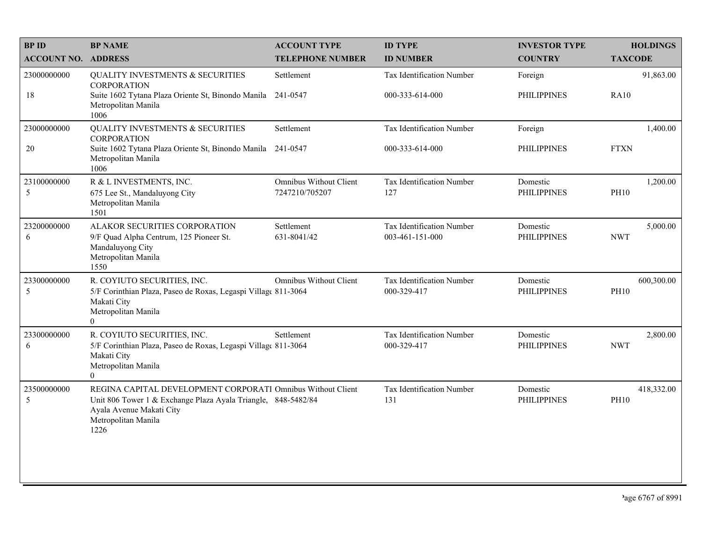| <b>BP ID</b>               | <b>BP NAME</b>                                                                                                               | <b>ACCOUNT TYPE</b>                             | <b>ID TYPE</b>                           | <b>INVESTOR TYPE</b>           | <b>HOLDINGS</b>           |
|----------------------------|------------------------------------------------------------------------------------------------------------------------------|-------------------------------------------------|------------------------------------------|--------------------------------|---------------------------|
| <b>ACCOUNT NO. ADDRESS</b> |                                                                                                                              | <b>TELEPHONE NUMBER</b>                         | <b>ID NUMBER</b>                         | <b>COUNTRY</b>                 | <b>TAXCODE</b>            |
| 23000000000                | <b>QUALITY INVESTMENTS &amp; SECURITIES</b><br><b>CORPORATION</b>                                                            | Settlement                                      | Tax Identification Number                | Foreign                        | 91,863.00                 |
| 18                         | Suite 1602 Tytana Plaza Oriente St, Binondo Manila 241-0547<br>Metropolitan Manila<br>1006                                   |                                                 | 000-333-614-000                          | <b>PHILIPPINES</b>             | <b>RA10</b>               |
| 23000000000                | <b>QUALITY INVESTMENTS &amp; SECURITIES</b><br><b>CORPORATION</b>                                                            | Settlement                                      | Tax Identification Number                | Foreign                        | 1,400.00                  |
| 20                         | Suite 1602 Tytana Plaza Oriente St, Binondo Manila<br>Metropolitan Manila<br>1006                                            | 241-0547                                        | 000-333-614-000                          | <b>PHILIPPINES</b>             | <b>FTXN</b>               |
| 23100000000<br>5           | R & L INVESTMENTS, INC.<br>675 Lee St., Mandaluyong City                                                                     | <b>Omnibus Without Client</b><br>7247210/705207 | Tax Identification Number<br>127         | Domestic<br><b>PHILIPPINES</b> | 1,200.00<br><b>PH10</b>   |
|                            | Metropolitan Manila<br>1501                                                                                                  |                                                 |                                          |                                |                           |
| 23200000000                | ALAKOR SECURITIES CORPORATION                                                                                                | Settlement                                      | Tax Identification Number                | Domestic                       | 5,000.00                  |
| 6                          | 9/F Quad Alpha Centrum, 125 Pioneer St.<br>Mandaluyong City<br>Metropolitan Manila<br>1550                                   | 631-8041/42                                     | 003-461-151-000                          | <b>PHILIPPINES</b>             | <b>NWT</b>                |
| 23300000000<br>5           | R. COYIUTO SECURITIES, INC.<br>5/F Corinthian Plaza, Paseo de Roxas, Legaspi Villag( 811-3064                                | <b>Omnibus Without Client</b>                   | Tax Identification Number<br>000-329-417 | Domestic<br><b>PHILIPPINES</b> | 600,300.00<br><b>PH10</b> |
|                            | Makati City<br>Metropolitan Manila<br>$\overline{0}$                                                                         |                                                 |                                          |                                |                           |
| 23300000000<br>6           | R. COYIUTO SECURITIES, INC.<br>5/F Corinthian Plaza, Paseo de Roxas, Legaspi Village 811-3064                                | Settlement                                      | Tax Identification Number<br>000-329-417 | Domestic<br><b>PHILIPPINES</b> | 2,800.00<br><b>NWT</b>    |
|                            | Makati City<br>Metropolitan Manila<br>$\Omega$                                                                               |                                                 |                                          |                                |                           |
| 23500000000<br>5           | REGINA CAPITAL DEVELOPMENT CORPORATI Omnibus Without Client<br>Unit 806 Tower 1 & Exchange Plaza Ayala Triangle, 848-5482/84 |                                                 | Tax Identification Number<br>131         | Domestic<br><b>PHILIPPINES</b> | 418,332.00<br><b>PH10</b> |
|                            | Ayala Avenue Makati City<br>Metropolitan Manila<br>1226                                                                      |                                                 |                                          |                                |                           |
|                            |                                                                                                                              |                                                 |                                          |                                |                           |
|                            |                                                                                                                              |                                                 |                                          |                                |                           |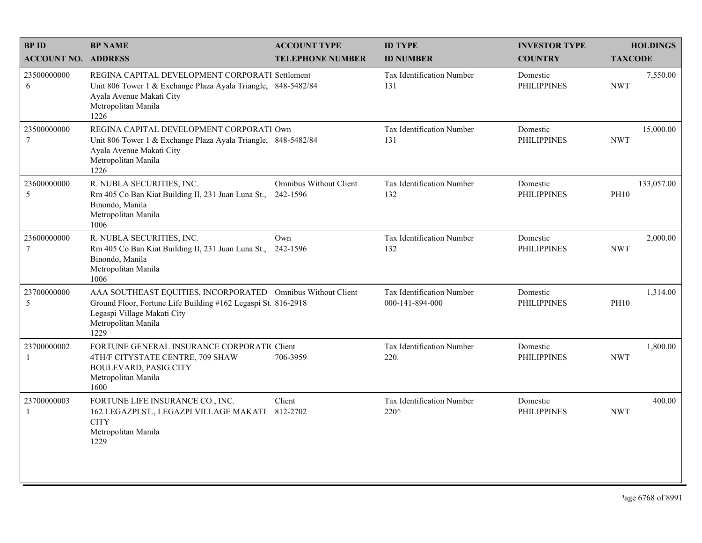| <b>BPID</b>                   | <b>BP NAME</b>                                                                                                                                                                             | <b>ACCOUNT TYPE</b>                       | <b>ID TYPE</b>                               | <b>INVESTOR TYPE</b>           | <b>HOLDINGS</b>           |
|-------------------------------|--------------------------------------------------------------------------------------------------------------------------------------------------------------------------------------------|-------------------------------------------|----------------------------------------------|--------------------------------|---------------------------|
| <b>ACCOUNT NO. ADDRESS</b>    |                                                                                                                                                                                            | <b>TELEPHONE NUMBER</b>                   | <b>ID NUMBER</b>                             | <b>COUNTRY</b>                 | <b>TAXCODE</b>            |
| 23500000000<br>6              | REGINA CAPITAL DEVELOPMENT CORPORATI Settlement<br>Unit 806 Tower 1 & Exchange Plaza Ayala Triangle, 848-5482/84<br>Ayala Avenue Makati City<br>Metropolitan Manila<br>1226                |                                           | Tax Identification Number<br>131             | Domestic<br><b>PHILIPPINES</b> | 7,550.00<br><b>NWT</b>    |
| 23500000000<br>$\tau$         | REGINA CAPITAL DEVELOPMENT CORPORATI Own<br>Unit 806 Tower 1 & Exchange Plaza Ayala Triangle, 848-5482/84<br>Ayala Avenue Makati City<br>Metropolitan Manila<br>1226                       |                                           | Tax Identification Number<br>131             | Domestic<br><b>PHILIPPINES</b> | 15,000.00<br><b>NWT</b>   |
| 23600000000<br>5              | R. NUBLA SECURITIES, INC.<br>Rm 405 Co Ban Kiat Building II, 231 Juan Luna St.,<br>Binondo, Manila<br>Metropolitan Manila<br>1006                                                          | <b>Omnibus Without Client</b><br>242-1596 | Tax Identification Number<br>132             | Domestic<br><b>PHILIPPINES</b> | 133,057.00<br><b>PH10</b> |
| 23600000000<br>$\overline{7}$ | R. NUBLA SECURITIES, INC.<br>Rm 405 Co Ban Kiat Building II, 231 Juan Luna St., 242-1596<br>Binondo, Manila<br>Metropolitan Manila<br>1006                                                 | Own                                       | Tax Identification Number<br>132             | Domestic<br><b>PHILIPPINES</b> | 2,000.00<br><b>NWT</b>    |
| 23700000000<br>5              | AAA SOUTHEAST EQUITIES, INCORPORATED Omnibus Without Client<br>Ground Floor, Fortune Life Building #162 Legaspi St. 816-2918<br>Legaspi Village Makati City<br>Metropolitan Manila<br>1229 |                                           | Tax Identification Number<br>000-141-894-000 | Domestic<br><b>PHILIPPINES</b> | 1,314.00<br><b>PH10</b>   |
| 23700000002<br>-1             | FORTUNE GENERAL INSURANCE CORPORATIC Client<br>4TH/F CITYSTATE CENTRE, 709 SHAW<br><b>BOULEVARD, PASIG CITY</b><br>Metropolitan Manila<br>1600                                             | 706-3959                                  | Tax Identification Number<br>220.            | Domestic<br><b>PHILIPPINES</b> | 1,800.00<br><b>NWT</b>    |
| 23700000003<br>$\mathbf{1}$   | FORTUNE LIFE INSURANCE CO., INC.<br>162 LEGAZPI ST., LEGAZPI VILLAGE MAKATI<br><b>CITY</b><br>Metropolitan Manila<br>1229                                                                  | Client<br>812-2702                        | Tax Identification Number<br>220^            | Domestic<br><b>PHILIPPINES</b> | 400.00<br><b>NWT</b>      |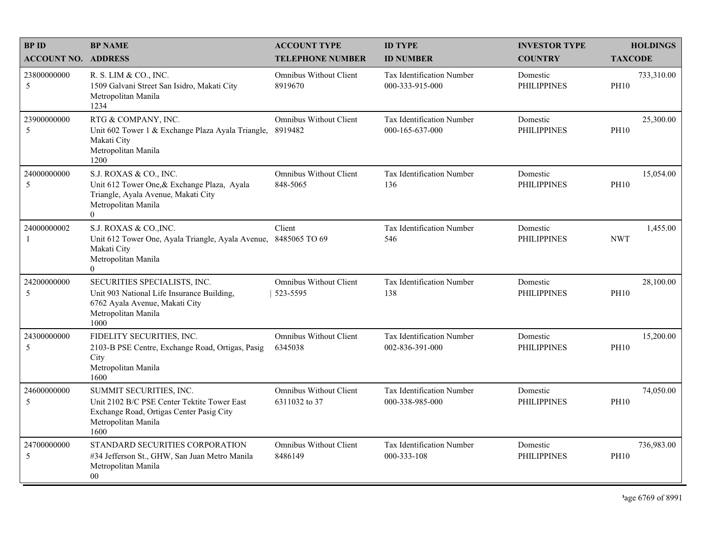| <b>BP ID</b>               | <b>BP NAME</b>                                                                                                                                    | <b>ACCOUNT TYPE</b>                            | <b>ID TYPE</b>                                      | <b>INVESTOR TYPE</b>           |                | <b>HOLDINGS</b> |
|----------------------------|---------------------------------------------------------------------------------------------------------------------------------------------------|------------------------------------------------|-----------------------------------------------------|--------------------------------|----------------|-----------------|
| <b>ACCOUNT NO. ADDRESS</b> |                                                                                                                                                   | <b>TELEPHONE NUMBER</b>                        | <b>ID NUMBER</b>                                    | <b>COUNTRY</b>                 | <b>TAXCODE</b> |                 |
| 23800000000<br>5           | R. S. LIM & CO., INC.<br>1509 Galvani Street San Isidro, Makati City<br>Metropolitan Manila<br>1234                                               | <b>Omnibus Without Client</b><br>8919670       | <b>Tax Identification Number</b><br>000-333-915-000 | Domestic<br><b>PHILIPPINES</b> | <b>PH10</b>    | 733,310.00      |
| 23900000000<br>5           | RTG & COMPANY, INC.<br>Unit 602 Tower 1 & Exchange Plaza Ayala Triangle,<br>Makati City<br>Metropolitan Manila<br>1200                            | <b>Omnibus Without Client</b><br>8919482       | Tax Identification Number<br>000-165-637-000        | Domestic<br><b>PHILIPPINES</b> | <b>PH10</b>    | 25,300.00       |
| 24000000000<br>5           | S.J. ROXAS & CO., INC.<br>Unit 612 Tower One, & Exchange Plaza, Ayala<br>Triangle, Ayala Avenue, Makati City<br>Metropolitan Manila<br>$\Omega$   | <b>Omnibus Without Client</b><br>848-5065      | Tax Identification Number<br>136                    | Domestic<br><b>PHILIPPINES</b> | <b>PH10</b>    | 15,054.00       |
| 24000000002<br>-1          | S.J. ROXAS & CO., INC.<br>Unit 612 Tower One, Ayala Triangle, Ayala Avenue,<br>Makati City<br>Metropolitan Manila<br>$\Omega$                     | Client<br>8485065 TO 69                        | Tax Identification Number<br>546                    | Domestic<br><b>PHILIPPINES</b> | <b>NWT</b>     | 1,455.00        |
| 24200000000<br>5           | SECURITIES SPECIALISTS, INC.<br>Unit 903 National Life Insurance Building,<br>6762 Ayala Avenue, Makati City<br>Metropolitan Manila<br>1000       | <b>Omnibus Without Client</b><br>523-5595      | Tax Identification Number<br>138                    | Domestic<br><b>PHILIPPINES</b> | <b>PH10</b>    | 28,100.00       |
| 24300000000<br>5           | FIDELITY SECURITIES, INC.<br>2103-B PSE Centre, Exchange Road, Ortigas, Pasig<br>City<br>Metropolitan Manila<br>1600                              | <b>Omnibus Without Client</b><br>6345038       | Tax Identification Number<br>002-836-391-000        | Domestic<br><b>PHILIPPINES</b> | <b>PH10</b>    | 15,200.00       |
| 24600000000<br>5           | SUMMIT SECURITIES, INC.<br>Unit 2102 B/C PSE Center Tektite Tower East<br>Exchange Road, Ortigas Center Pasig City<br>Metropolitan Manila<br>1600 | <b>Omnibus Without Client</b><br>6311032 to 37 | Tax Identification Number<br>000-338-985-000        | Domestic<br><b>PHILIPPINES</b> | <b>PH10</b>    | 74,050.00       |
| 24700000000<br>5           | STANDARD SECURITIES CORPORATION<br>#34 Jefferson St., GHW, San Juan Metro Manila<br>Metropolitan Manila<br>$00\,$                                 | <b>Omnibus Without Client</b><br>8486149       | Tax Identification Number<br>000-333-108            | Domestic<br><b>PHILIPPINES</b> | <b>PH10</b>    | 736,983.00      |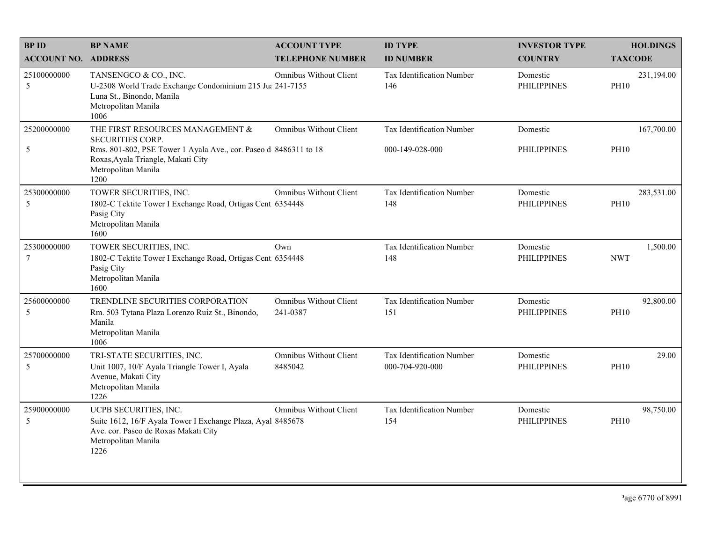| <b>BPID</b>                | <b>BP NAME</b>                                                                                                                                                                                | <b>ACCOUNT TYPE</b>                       | <b>ID TYPE</b>                               | <b>INVESTOR TYPE</b>           | <b>HOLDINGS</b>           |
|----------------------------|-----------------------------------------------------------------------------------------------------------------------------------------------------------------------------------------------|-------------------------------------------|----------------------------------------------|--------------------------------|---------------------------|
| <b>ACCOUNT NO. ADDRESS</b> |                                                                                                                                                                                               | <b>TELEPHONE NUMBER</b>                   | <b>ID NUMBER</b>                             | <b>COUNTRY</b>                 | <b>TAXCODE</b>            |
| 25100000000<br>5           | TANSENGCO & CO., INC.<br>U-2308 World Trade Exchange Condominium 215 Ju: 241-7155<br>Luna St., Binondo, Manila<br>Metropolitan Manila<br>1006                                                 | Omnibus Without Client                    | Tax Identification Number<br>146             | Domestic<br><b>PHILIPPINES</b> | 231,194.00<br><b>PH10</b> |
| 25200000000<br>5           | THE FIRST RESOURCES MANAGEMENT &<br>SECURITIES CORP.<br>Rms. 801-802, PSE Tower 1 Ayala Ave., cor. Paseo d 8486311 to 18<br>Roxas, Ayala Triangle, Makati City<br>Metropolitan Manila<br>1200 | <b>Omnibus Without Client</b>             | Tax Identification Number<br>000-149-028-000 | Domestic<br><b>PHILIPPINES</b> | 167,700.00<br><b>PH10</b> |
| 25300000000<br>5           | TOWER SECURITIES, INC.<br>1802-C Tektite Tower I Exchange Road, Ortigas Cent 6354448<br>Pasig City<br>Metropolitan Manila<br>1600                                                             | <b>Omnibus Without Client</b>             | Tax Identification Number<br>148             | Domestic<br><b>PHILIPPINES</b> | 283,531.00<br><b>PH10</b> |
| 25300000000<br>$\tau$      | TOWER SECURITIES, INC.<br>1802-C Tektite Tower I Exchange Road, Ortigas Cent 6354448<br>Pasig City<br>Metropolitan Manila<br>1600                                                             | Own                                       | Tax Identification Number<br>148             | Domestic<br><b>PHILIPPINES</b> | 1,500.00<br><b>NWT</b>    |
| 25600000000<br>5           | TRENDLINE SECURITIES CORPORATION<br>Rm. 503 Tytana Plaza Lorenzo Ruiz St., Binondo,<br>Manila<br>Metropolitan Manila<br>1006                                                                  | <b>Omnibus Without Client</b><br>241-0387 | Tax Identification Number<br>151             | Domestic<br><b>PHILIPPINES</b> | 92,800.00<br><b>PH10</b>  |
| 25700000000<br>5           | TRI-STATE SECURITIES, INC.<br>Unit 1007, 10/F Ayala Triangle Tower I, Ayala<br>Avenue, Makati City<br>Metropolitan Manila<br>1226                                                             | <b>Omnibus Without Client</b><br>8485042  | Tax Identification Number<br>000-704-920-000 | Domestic<br><b>PHILIPPINES</b> | 29.00<br><b>PH10</b>      |
| 25900000000<br>5           | UCPB SECURITIES, INC.<br>Suite 1612, 16/F Ayala Tower I Exchange Plaza, Ayal 8485678<br>Ave. cor. Paseo de Roxas Makati City<br>Metropolitan Manila<br>1226                                   | <b>Omnibus Without Client</b>             | Tax Identification Number<br>154             | Domestic<br><b>PHILIPPINES</b> | 98,750.00<br><b>PH10</b>  |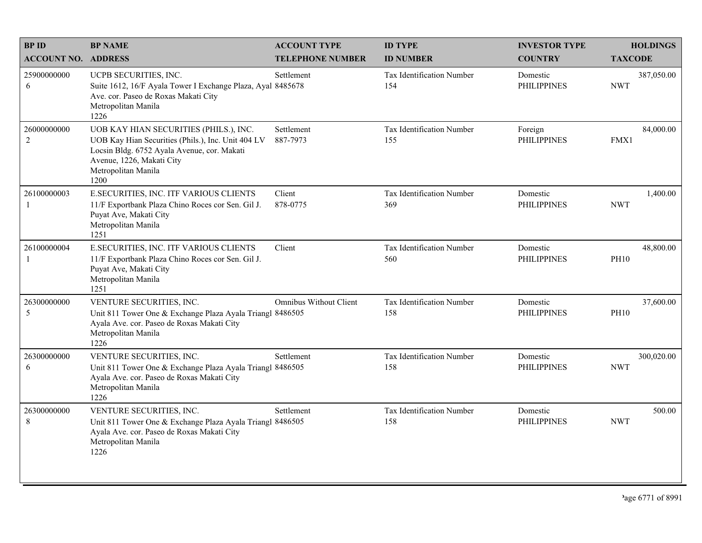| <b>BPID</b>                | <b>BP NAME</b>                                                                                                                                                                                          | <b>ACCOUNT TYPE</b>           | <b>ID TYPE</b>                   | <b>INVESTOR TYPE</b>           | <b>HOLDINGS</b>          |
|----------------------------|---------------------------------------------------------------------------------------------------------------------------------------------------------------------------------------------------------|-------------------------------|----------------------------------|--------------------------------|--------------------------|
| <b>ACCOUNT NO. ADDRESS</b> |                                                                                                                                                                                                         | <b>TELEPHONE NUMBER</b>       | <b>ID NUMBER</b>                 | <b>COUNTRY</b>                 | <b>TAXCODE</b>           |
| 25900000000<br>6           | UCPB SECURITIES, INC.<br>Suite 1612, 16/F Ayala Tower I Exchange Plaza, Ayal 8485678<br>Ave. cor. Paseo de Roxas Makati City<br>Metropolitan Manila<br>1226                                             | Settlement                    | Tax Identification Number<br>154 | Domestic<br><b>PHILIPPINES</b> | 387,050.00<br><b>NWT</b> |
| 26000000000<br>2           | UOB KAY HIAN SECURITIES (PHILS.), INC.<br>UOB Kay Hian Securities (Phils.), Inc. Unit 404 LV<br>Locsin Bldg. 6752 Ayala Avenue, cor. Makati<br>Avenue, 1226, Makati City<br>Metropolitan Manila<br>1200 | Settlement<br>887-7973        | Tax Identification Number<br>155 | Foreign<br><b>PHILIPPINES</b>  | 84,000.00<br>FMX1        |
| 26100000003<br>-1          | E.SECURITIES, INC. ITF VARIOUS CLIENTS<br>11/F Exportbank Plaza Chino Roces cor Sen. Gil J.<br>Puyat Ave, Makati City<br>Metropolitan Manila<br>1251                                                    | Client<br>878-0775            | Tax Identification Number<br>369 | Domestic<br><b>PHILIPPINES</b> | 1,400.00<br><b>NWT</b>   |
| 26100000004<br>-1          | E.SECURITIES, INC. ITF VARIOUS CLIENTS<br>11/F Exportbank Plaza Chino Roces cor Sen. Gil J.<br>Puyat Ave, Makati City<br>Metropolitan Manila<br>1251                                                    | Client                        | Tax Identification Number<br>560 | Domestic<br><b>PHILIPPINES</b> | 48,800.00<br><b>PH10</b> |
| 26300000000<br>5           | VENTURE SECURITIES, INC.<br>Unit 811 Tower One & Exchange Plaza Ayala Triangl 8486505<br>Ayala Ave. cor. Paseo de Roxas Makati City<br>Metropolitan Manila<br>1226                                      | <b>Omnibus Without Client</b> | Tax Identification Number<br>158 | Domestic<br><b>PHILIPPINES</b> | 37,600.00<br><b>PH10</b> |
| 26300000000<br>6           | VENTURE SECURITIES, INC.<br>Unit 811 Tower One & Exchange Plaza Ayala Triangl 8486505<br>Ayala Ave. cor. Paseo de Roxas Makati City<br>Metropolitan Manila<br>1226                                      | Settlement                    | Tax Identification Number<br>158 | Domestic<br><b>PHILIPPINES</b> | 300,020.00<br><b>NWT</b> |
| 26300000000<br>8           | VENTURE SECURITIES, INC.<br>Unit 811 Tower One & Exchange Plaza Ayala Triangl 8486505<br>Ayala Ave. cor. Paseo de Roxas Makati City<br>Metropolitan Manila<br>1226                                      | Settlement                    | Tax Identification Number<br>158 | Domestic<br><b>PHILIPPINES</b> | 500.00<br><b>NWT</b>     |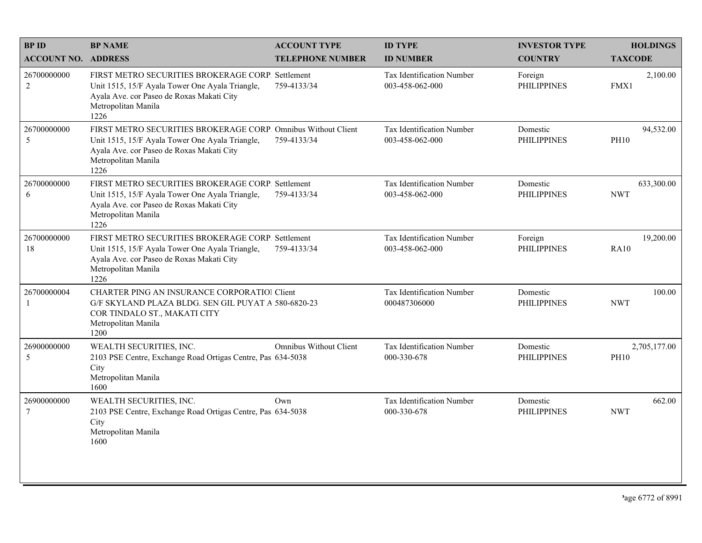| <b>BPID</b>                    | <b>BP NAME</b>                                                                                                                                                                               | <b>ACCOUNT TYPE</b>           | <b>ID TYPE</b>                               | <b>INVESTOR TYPE</b>           | <b>HOLDINGS</b>             |
|--------------------------------|----------------------------------------------------------------------------------------------------------------------------------------------------------------------------------------------|-------------------------------|----------------------------------------------|--------------------------------|-----------------------------|
| <b>ACCOUNT NO. ADDRESS</b>     |                                                                                                                                                                                              | <b>TELEPHONE NUMBER</b>       | <b>ID NUMBER</b>                             | <b>COUNTRY</b>                 | <b>TAXCODE</b>              |
| 26700000000<br>$\sqrt{2}$      | FIRST METRO SECURITIES BROKERAGE CORP. Settlement<br>Unit 1515, 15/F Ayala Tower One Ayala Triangle,<br>Ayala Ave. cor Paseo de Roxas Makati City<br>Metropolitan Manila<br>1226             | 759-4133/34                   | Tax Identification Number<br>003-458-062-000 | Foreign<br><b>PHILIPPINES</b>  | 2,100.00<br>FMX1            |
| 26700000000<br>5               | FIRST METRO SECURITIES BROKERAGE CORP. Omnibus Without Client<br>Unit 1515, 15/F Ayala Tower One Ayala Triangle,<br>Ayala Ave. cor Paseo de Roxas Makati City<br>Metropolitan Manila<br>1226 | 759-4133/34                   | Tax Identification Number<br>003-458-062-000 | Domestic<br><b>PHILIPPINES</b> | 94,532.00<br><b>PH10</b>    |
| 26700000000<br>6               | FIRST METRO SECURITIES BROKERAGE CORP. Settlement<br>Unit 1515, 15/F Ayala Tower One Ayala Triangle,<br>Ayala Ave. cor Paseo de Roxas Makati City<br>Metropolitan Manila<br>1226             | 759-4133/34                   | Tax Identification Number<br>003-458-062-000 | Domestic<br><b>PHILIPPINES</b> | 633,300.00<br><b>NWT</b>    |
| 26700000000<br>18              | FIRST METRO SECURITIES BROKERAGE CORP. Settlement<br>Unit 1515, 15/F Ayala Tower One Ayala Triangle,<br>Ayala Ave. cor Paseo de Roxas Makati City<br>Metropolitan Manila<br>1226             | 759-4133/34                   | Tax Identification Number<br>003-458-062-000 | Foreign<br><b>PHILIPPINES</b>  | 19,200.00<br><b>RA10</b>    |
| 26700000004<br>-1              | <b>CHARTER PING AN INSURANCE CORPORATIOI Client</b><br>G/F SKYLAND PLAZA BLDG. SEN GIL PUYAT A 580-6820-23<br>COR TINDALO ST., MAKATI CITY<br>Metropolitan Manila<br>1200                    |                               | Tax Identification Number<br>000487306000    | Domestic<br><b>PHILIPPINES</b> | 100.00<br><b>NWT</b>        |
| 26900000000<br>5               | WEALTH SECURITIES, INC.<br>2103 PSE Centre, Exchange Road Ortigas Centre, Pas 634-5038<br>City<br>Metropolitan Manila<br>1600                                                                | <b>Omnibus Without Client</b> | Tax Identification Number<br>000-330-678     | Domestic<br><b>PHILIPPINES</b> | 2,705,177.00<br><b>PH10</b> |
| 26900000000<br>$7\phantom{.0}$ | WEALTH SECURITIES, INC.<br>2103 PSE Centre, Exchange Road Ortigas Centre, Pas 634-5038<br>City<br>Metropolitan Manila<br>1600                                                                | Own                           | Tax Identification Number<br>000-330-678     | Domestic<br><b>PHILIPPINES</b> | 662.00<br><b>NWT</b>        |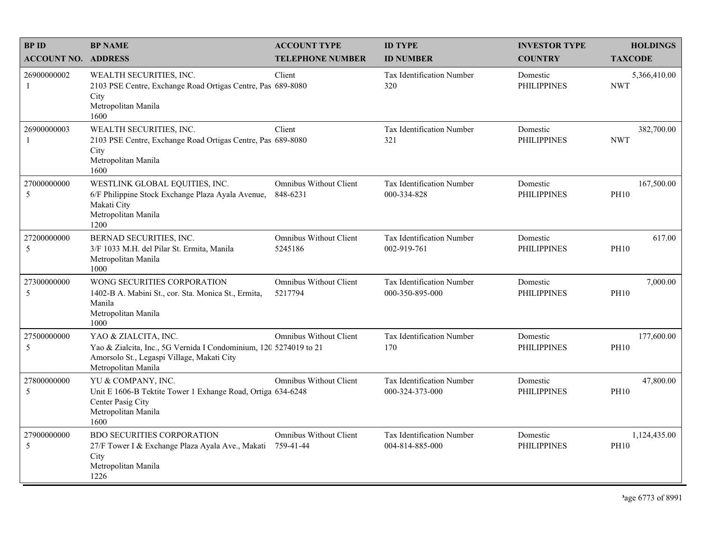| <b>BPID</b>                 | <b>BP NAME</b>                                                                                                                                                 | <b>ACCOUNT TYPE</b>                       | <b>ID TYPE</b>                                  | <b>INVESTOR TYPE</b>           | <b>HOLDINGS</b>             |
|-----------------------------|----------------------------------------------------------------------------------------------------------------------------------------------------------------|-------------------------------------------|-------------------------------------------------|--------------------------------|-----------------------------|
| <b>ACCOUNT NO. ADDRESS</b>  |                                                                                                                                                                | <b>TELEPHONE NUMBER</b>                   | <b>ID NUMBER</b>                                | <b>COUNTRY</b>                 | <b>TAXCODE</b>              |
| 26900000002<br>-1           | WEALTH SECURITIES, INC.<br>2103 PSE Centre, Exchange Road Ortigas Centre, Pas 689-8080<br>City<br>Metropolitan Manila<br>1600                                  | Client                                    | <b>Tax Identification Number</b><br>320         | Domestic<br><b>PHILIPPINES</b> | 5,366,410.00<br><b>NWT</b>  |
| 26900000003<br>$\mathbf{1}$ | WEALTH SECURITIES, INC.<br>2103 PSE Centre, Exchange Road Ortigas Centre, Pas 689-8080<br>City<br>Metropolitan Manila<br>1600                                  | Client                                    | <b>Tax Identification Number</b><br>321         | Domestic<br><b>PHILIPPINES</b> | 382,700.00<br><b>NWT</b>    |
| 27000000000<br>5            | WESTLINK GLOBAL EQUITIES, INC.<br>6/F Philippine Stock Exchange Plaza Ayala Avenue,<br>Makati City<br>Metropolitan Manila<br>1200                              | <b>Omnibus Without Client</b><br>848-6231 | <b>Tax Identification Number</b><br>000-334-828 | Domestic<br><b>PHILIPPINES</b> | 167,500.00<br><b>PH10</b>   |
| 27200000000<br>5            | BERNAD SECURITIES, INC.<br>3/F 1033 M.H. del Pilar St. Ermita, Manila<br>Metropolitan Manila<br>1000                                                           | <b>Omnibus Without Client</b><br>5245186  | Tax Identification Number<br>002-919-761        | Domestic<br><b>PHILIPPINES</b> | 617.00<br><b>PH10</b>       |
| 27300000000<br>5            | WONG SECURITIES CORPORATION<br>1402-B A. Mabini St., cor. Sta. Monica St., Ermita,<br>Manila<br>Metropolitan Manila<br>1000                                    | Omnibus Without Client<br>5217794         | Tax Identification Number<br>000-350-895-000    | Domestic<br><b>PHILIPPINES</b> | 7,000.00<br><b>PH10</b>     |
| 27500000000<br>5            | YAO & ZIALCITA, INC.<br>Yao & Zialcita, Inc., 5G Vernida I Condominium, 120 5274019 to 21<br>Amorsolo St., Legaspi Village, Makati City<br>Metropolitan Manila | <b>Omnibus Without Client</b>             | Tax Identification Number<br>170                | Domestic<br><b>PHILIPPINES</b> | 177,600.00<br><b>PH10</b>   |
| 27800000000<br>5            | YU & COMPANY, INC.<br>Unit E 1606-B Tektite Tower 1 Exhange Road, Ortiga 634-6248<br>Center Pasig City<br>Metropolitan Manila<br>1600                          | <b>Omnibus Without Client</b>             | Tax Identification Number<br>000-324-373-000    | Domestic<br><b>PHILIPPINES</b> | 47,800.00<br><b>PH10</b>    |
| 27900000000<br>5            | <b>BDO SECURITIES CORPORATION</b><br>27/F Tower I & Exchange Plaza Ayala Ave., Makati<br>City<br>Metropolitan Manila<br>1226                                   | Omnibus Without Client<br>759-41-44       | Tax Identification Number<br>004-814-885-000    | Domestic<br><b>PHILIPPINES</b> | 1,124,435.00<br><b>PH10</b> |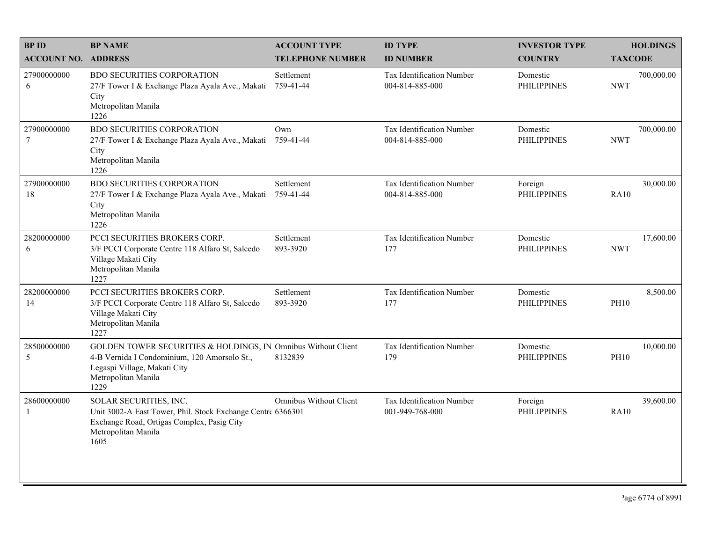| <b>BPID</b>                    | <b>BP NAME</b>                                                                                                                                                               | <b>ACCOUNT TYPE</b>           | <b>ID TYPE</b>                               | <b>INVESTOR TYPE</b>           | <b>HOLDINGS</b>          |
|--------------------------------|------------------------------------------------------------------------------------------------------------------------------------------------------------------------------|-------------------------------|----------------------------------------------|--------------------------------|--------------------------|
| <b>ACCOUNT NO. ADDRESS</b>     |                                                                                                                                                                              | <b>TELEPHONE NUMBER</b>       | <b>ID NUMBER</b>                             | <b>COUNTRY</b>                 | <b>TAXCODE</b>           |
| 27900000000<br>6               | <b>BDO SECURITIES CORPORATION</b><br>27/F Tower I & Exchange Plaza Ayala Ave., Makati<br>City<br>Metropolitan Manila<br>1226                                                 | Settlement<br>759-41-44       | Tax Identification Number<br>004-814-885-000 | Domestic<br><b>PHILIPPINES</b> | 700,000.00<br><b>NWT</b> |
| 27900000000<br>$7\phantom{.0}$ | <b>BDO SECURITIES CORPORATION</b><br>27/F Tower I & Exchange Plaza Ayala Ave., Makati<br>City<br>Metropolitan Manila<br>1226                                                 | Own<br>759-41-44              | Tax Identification Number<br>004-814-885-000 | Domestic<br><b>PHILIPPINES</b> | 700,000.00<br><b>NWT</b> |
| 27900000000<br>18              | BDO SECURITIES CORPORATION<br>27/F Tower I & Exchange Plaza Ayala Ave., Makati<br>City<br>Metropolitan Manila<br>1226                                                        | Settlement<br>759-41-44       | Tax Identification Number<br>004-814-885-000 | Foreign<br><b>PHILIPPINES</b>  | 30,000.00<br><b>RA10</b> |
| 28200000000<br>6               | PCCI SECURITIES BROKERS CORP.<br>3/F PCCI Corporate Centre 118 Alfaro St, Salcedo<br>Village Makati City<br>Metropolitan Manila<br>1227                                      | Settlement<br>893-3920        | Tax Identification Number<br>177             | Domestic<br><b>PHILIPPINES</b> | 17,600.00<br><b>NWT</b>  |
| 28200000000<br>14              | PCCI SECURITIES BROKERS CORP.<br>3/F PCCI Corporate Centre 118 Alfaro St, Salcedo<br>Village Makati City<br>Metropolitan Manila<br>1227                                      | Settlement<br>893-3920        | Tax Identification Number<br>177             | Domestic<br><b>PHILIPPINES</b> | 8,500.00<br><b>PH10</b>  |
| 28500000000<br>5               | GOLDEN TOWER SECURITIES & HOLDINGS, IN Omnibus Without Client<br>4-B Vernida I Condominium, 120 Amorsolo St.,<br>Legaspi Village, Makati City<br>Metropolitan Manila<br>1229 | 8132839                       | Tax Identification Number<br>179             | Domestic<br><b>PHILIPPINES</b> | 10,000.00<br><b>PH10</b> |
| 28600000000<br>$\mathbf{1}$    | SOLAR SECURITIES, INC.<br>Unit 3002-A East Tower, Phil. Stock Exchange Centre 6366301<br>Exchange Road, Ortigas Complex, Pasig City<br>Metropolitan Manila<br>1605           | <b>Omnibus Without Client</b> | Tax Identification Number<br>001-949-768-000 | Foreign<br><b>PHILIPPINES</b>  | 39,600.00<br><b>RA10</b> |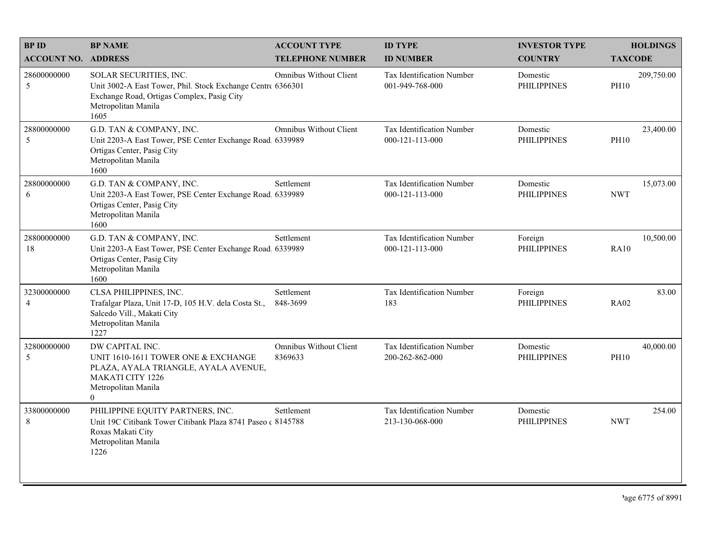| <b>BPID</b>                   | <b>BP NAME</b>                                                                                                                                                     | <b>ACCOUNT TYPE</b>                      | <b>ID TYPE</b>                                       | <b>INVESTOR TYPE</b>           | <b>HOLDINGS</b>           |
|-------------------------------|--------------------------------------------------------------------------------------------------------------------------------------------------------------------|------------------------------------------|------------------------------------------------------|--------------------------------|---------------------------|
| <b>ACCOUNT NO. ADDRESS</b>    |                                                                                                                                                                    | <b>TELEPHONE NUMBER</b>                  | <b>ID NUMBER</b>                                     | <b>COUNTRY</b>                 | <b>TAXCODE</b>            |
| 28600000000<br>5              | SOLAR SECURITIES, INC.<br>Unit 3002-A East Tower, Phil. Stock Exchange Centre 6366301<br>Exchange Road, Ortigas Complex, Pasig City<br>Metropolitan Manila<br>1605 | <b>Omnibus Without Client</b>            | Tax Identification Number<br>001-949-768-000         | Domestic<br><b>PHILIPPINES</b> | 209,750.00<br><b>PH10</b> |
| 28800000000<br>5              | G.D. TAN & COMPANY, INC.<br>Unit 2203-A East Tower, PSE Center Exchange Road, 6339989<br>Ortigas Center, Pasig City<br>Metropolitan Manila<br>1600                 | <b>Omnibus Without Client</b>            | Tax Identification Number<br>$000 - 121 - 113 - 000$ | Domestic<br><b>PHILIPPINES</b> | 23,400.00<br><b>PH10</b>  |
| 28800000000<br>6              | G.D. TAN & COMPANY, INC.<br>Unit 2203-A East Tower, PSE Center Exchange Road 6339989<br>Ortigas Center, Pasig City<br>Metropolitan Manila<br>1600                  | Settlement                               | Tax Identification Number<br>000-121-113-000         | Domestic<br><b>PHILIPPINES</b> | 15,073.00<br><b>NWT</b>   |
| 28800000000<br>18             | G.D. TAN & COMPANY, INC.<br>Unit 2203-A East Tower, PSE Center Exchange Road 6339989<br>Ortigas Center, Pasig City<br>Metropolitan Manila<br>1600                  | Settlement                               | Tax Identification Number<br>$000 - 121 - 113 - 000$ | Foreign<br><b>PHILIPPINES</b>  | 10,500.00<br>RA10         |
| 32300000000<br>$\overline{4}$ | CLSA PHILIPPINES, INC.<br>Trafalgar Plaza, Unit 17-D, 105 H.V. dela Costa St.,<br>Salcedo Vill., Makati City<br>Metropolitan Manila<br>1227                        | Settlement<br>848-3699                   | Tax Identification Number<br>183                     | Foreign<br><b>PHILIPPINES</b>  | 83.00<br><b>RA02</b>      |
| 32800000000<br>5              | DW CAPITAL INC.<br>UNIT 1610-1611 TOWER ONE & EXCHANGE<br>PLAZA, AYALA TRIANGLE, AYALA AVENUE,<br><b>MAKATI CITY 1226</b><br>Metropolitan Manila<br>$\theta$       | <b>Omnibus Without Client</b><br>8369633 | Tax Identification Number<br>200-262-862-000         | Domestic<br><b>PHILIPPINES</b> | 40,000.00<br><b>PH10</b>  |
| 33800000000<br>8              | PHILIPPINE EQUITY PARTNERS, INC.<br>Unit 19C Citibank Tower Citibank Plaza 8741 Paseo (8145788<br>Roxas Makati City<br>Metropolitan Manila<br>1226                 | Settlement                               | Tax Identification Number<br>213-130-068-000         | Domestic<br><b>PHILIPPINES</b> | 254.00<br><b>NWT</b>      |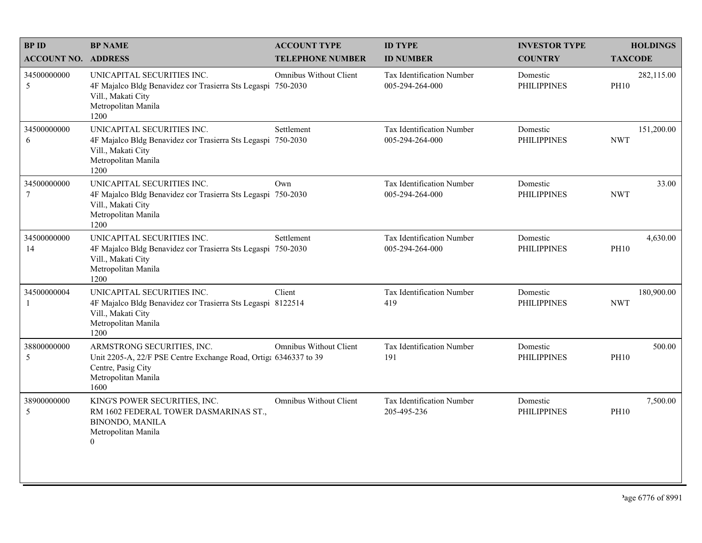| <b>BP ID</b>                  | <b>BP NAME</b>                                                                                                                                      | <b>ACCOUNT TYPE</b>           | <b>ID TYPE</b>                               | <b>INVESTOR TYPE</b>           | <b>HOLDINGS</b>           |
|-------------------------------|-----------------------------------------------------------------------------------------------------------------------------------------------------|-------------------------------|----------------------------------------------|--------------------------------|---------------------------|
| <b>ACCOUNT NO. ADDRESS</b>    |                                                                                                                                                     | <b>TELEPHONE NUMBER</b>       | <b>ID NUMBER</b>                             | <b>COUNTRY</b>                 | <b>TAXCODE</b>            |
| 34500000000<br>5              | UNICAPITAL SECURITIES INC.<br>4F Majalco Bldg Benavidez cor Trasierra Sts Legaspi 750-2030<br>Vill., Makati City<br>Metropolitan Manila<br>1200     | <b>Omnibus Without Client</b> | Tax Identification Number<br>005-294-264-000 | Domestic<br><b>PHILIPPINES</b> | 282,115.00<br><b>PH10</b> |
| 34500000000<br>6              | UNICAPITAL SECURITIES INC.<br>4F Majalco Bldg Benavidez cor Trasierra Sts Legaspi 750-2030<br>Vill., Makati City<br>Metropolitan Manila<br>1200     | Settlement                    | Tax Identification Number<br>005-294-264-000 | Domestic<br><b>PHILIPPINES</b> | 151,200.00<br><b>NWT</b>  |
| 34500000000<br>$\overline{7}$ | UNICAPITAL SECURITIES INC.<br>4F Majalco Bldg Benavidez cor Trasierra Sts Legaspi 750-2030<br>Vill., Makati City<br>Metropolitan Manila<br>1200     | Own                           | Tax Identification Number<br>005-294-264-000 | Domestic<br><b>PHILIPPINES</b> | 33.00<br><b>NWT</b>       |
| 34500000000<br>14             | UNICAPITAL SECURITIES INC.<br>4F Majalco Bldg Benavidez cor Trasierra Sts Legaspi 750-2030<br>Vill., Makati City<br>Metropolitan Manila<br>1200     | Settlement                    | Tax Identification Number<br>005-294-264-000 | Domestic<br><b>PHILIPPINES</b> | 4,630.00<br><b>PH10</b>   |
| 34500000004<br>$\mathbf{1}$   | UNICAPITAL SECURITIES INC.<br>4F Majalco Bldg Benavidez cor Trasierra Sts Legaspi 8122514<br>Vill., Makati City<br>Metropolitan Manila<br>1200      | Client                        | Tax Identification Number<br>419             | Domestic<br><b>PHILIPPINES</b> | 180,900.00<br><b>NWT</b>  |
| 38800000000<br>5              | ARMSTRONG SECURITIES, INC.<br>Unit 2205-A, 22/F PSE Centre Exchange Road, Ortiga 6346337 to 39<br>Centre, Pasig City<br>Metropolitan Manila<br>1600 | <b>Omnibus Without Client</b> | Tax Identification Number<br>191             | Domestic<br><b>PHILIPPINES</b> | 500.00<br><b>PH10</b>     |
| 38900000000<br>5              | KING'S POWER SECURITIES, INC.<br>RM 1602 FEDERAL TOWER DASMARINAS ST.,<br><b>BINONDO, MANILA</b><br>Metropolitan Manila<br>$\theta$                 | <b>Omnibus Without Client</b> | Tax Identification Number<br>205-495-236     | Domestic<br><b>PHILIPPINES</b> | 7,500.00<br><b>PH10</b>   |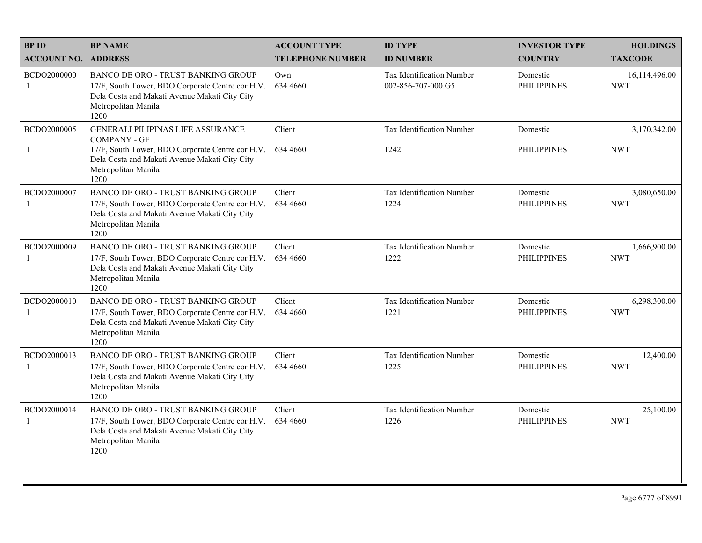| <b>BPID</b>                 | <b>BP NAME</b>                                                                                                                                                                                      | <b>ACCOUNT TYPE</b>     | <b>ID TYPE</b>                                  | <b>INVESTOR TYPE</b>           | <b>HOLDINGS</b>             |
|-----------------------------|-----------------------------------------------------------------------------------------------------------------------------------------------------------------------------------------------------|-------------------------|-------------------------------------------------|--------------------------------|-----------------------------|
| <b>ACCOUNT NO. ADDRESS</b>  |                                                                                                                                                                                                     | <b>TELEPHONE NUMBER</b> | <b>ID NUMBER</b>                                | <b>COUNTRY</b>                 | <b>TAXCODE</b>              |
| BCDO2000000<br>$\mathbf{1}$ | <b>BANCO DE ORO - TRUST BANKING GROUP</b><br>17/F, South Tower, BDO Corporate Centre cor H.V.<br>Dela Costa and Makati Avenue Makati City City<br>Metropolitan Manila<br>1200                       | Own<br>634 4660         | Tax Identification Number<br>002-856-707-000.G5 | Domestic<br><b>PHILIPPINES</b> | 16,114,496.00<br><b>NWT</b> |
| BCDO2000005<br>-1           | <b>GENERALI PILIPINAS LIFE ASSURANCE</b><br><b>COMPANY - GF</b><br>17/F, South Tower, BDO Corporate Centre cor H.V.<br>Dela Costa and Makati Avenue Makati City City<br>Metropolitan Manila<br>1200 | Client<br>634 4660      | <b>Tax Identification Number</b><br>1242        | Domestic<br><b>PHILIPPINES</b> | 3,170,342.00<br><b>NWT</b>  |
| BCDO2000007<br>-1           | BANCO DE ORO - TRUST BANKING GROUP<br>17/F, South Tower, BDO Corporate Centre cor H.V.<br>Dela Costa and Makati Avenue Makati City City<br>Metropolitan Manila<br>1200                              | Client<br>634 4660      | Tax Identification Number<br>1224               | Domestic<br><b>PHILIPPINES</b> | 3,080,650.00<br><b>NWT</b>  |
| BCDO2000009                 | BANCO DE ORO - TRUST BANKING GROUP<br>17/F, South Tower, BDO Corporate Centre cor H.V.<br>Dela Costa and Makati Avenue Makati City City<br>Metropolitan Manila<br>1200                              | Client<br>634 4660      | Tax Identification Number<br>1222               | Domestic<br><b>PHILIPPINES</b> | 1,666,900.00<br><b>NWT</b>  |
| BCDO2000010                 | BANCO DE ORO - TRUST BANKING GROUP<br>17/F, South Tower, BDO Corporate Centre cor H.V.<br>Dela Costa and Makati Avenue Makati City City<br>Metropolitan Manila<br>1200                              | Client<br>634 4660      | Tax Identification Number<br>1221               | Domestic<br><b>PHILIPPINES</b> | 6,298,300.00<br><b>NWT</b>  |
| BCDO2000013<br>-1           | <b>BANCO DE ORO - TRUST BANKING GROUP</b><br>17/F, South Tower, BDO Corporate Centre cor H.V.<br>Dela Costa and Makati Avenue Makati City City<br>Metropolitan Manila<br>1200                       | Client<br>634 4660      | Tax Identification Number<br>1225               | Domestic<br><b>PHILIPPINES</b> | 12,400.00<br><b>NWT</b>     |
| BCDO2000014<br>$\mathbf{1}$ | BANCO DE ORO - TRUST BANKING GROUP<br>17/F, South Tower, BDO Corporate Centre cor H.V.<br>Dela Costa and Makati Avenue Makati City City<br>Metropolitan Manila<br>1200                              | Client<br>634 4660      | Tax Identification Number<br>1226               | Domestic<br><b>PHILIPPINES</b> | 25,100.00<br><b>NWT</b>     |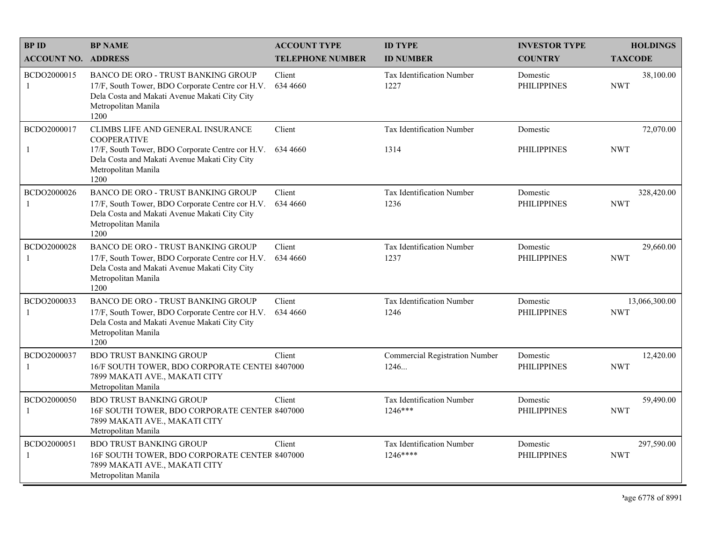| <b>BPID</b>                | <b>BP NAME</b>                                                                                                                                                                              | <b>ACCOUNT TYPE</b>     | <b>ID TYPE</b>                           | <b>INVESTOR TYPE</b>           | <b>HOLDINGS</b>             |
|----------------------------|---------------------------------------------------------------------------------------------------------------------------------------------------------------------------------------------|-------------------------|------------------------------------------|--------------------------------|-----------------------------|
| <b>ACCOUNT NO. ADDRESS</b> |                                                                                                                                                                                             | <b>TELEPHONE NUMBER</b> | <b>ID NUMBER</b>                         | <b>COUNTRY</b>                 | <b>TAXCODE</b>              |
| BCDO2000015<br>-1          | <b>BANCO DE ORO - TRUST BANKING GROUP</b><br>17/F, South Tower, BDO Corporate Centre cor H.V.<br>Dela Costa and Makati Avenue Makati City City<br>Metropolitan Manila<br>1200               | Client<br>634 4660      | <b>Tax Identification Number</b><br>1227 | Domestic<br><b>PHILIPPINES</b> | 38,100.00<br><b>NWT</b>     |
| BCDO2000017<br>-1          | CLIMBS LIFE AND GENERAL INSURANCE<br><b>COOPERATIVE</b><br>17/F, South Tower, BDO Corporate Centre cor H.V.<br>Dela Costa and Makati Avenue Makati City City<br>Metropolitan Manila<br>1200 | Client<br>634 4660      | Tax Identification Number<br>1314        | Domestic<br><b>PHILIPPINES</b> | 72,070.00<br><b>NWT</b>     |
| BCDO2000026<br>-1          | <b>BANCO DE ORO - TRUST BANKING GROUP</b><br>17/F, South Tower, BDO Corporate Centre cor H.V.<br>Dela Costa and Makati Avenue Makati City City<br>Metropolitan Manila<br>1200               | Client<br>634 4660      | Tax Identification Number<br>1236        | Domestic<br><b>PHILIPPINES</b> | 328,420.00<br><b>NWT</b>    |
| BCDO2000028<br>-1          | <b>BANCO DE ORO - TRUST BANKING GROUP</b><br>17/F, South Tower, BDO Corporate Centre cor H.V.<br>Dela Costa and Makati Avenue Makati City City<br>Metropolitan Manila<br>1200               | Client<br>634 4660      | Tax Identification Number<br>1237        | Domestic<br><b>PHILIPPINES</b> | 29,660.00<br><b>NWT</b>     |
| BCDO2000033<br>-1          | BANCO DE ORO - TRUST BANKING GROUP<br>17/F, South Tower, BDO Corporate Centre cor H.V.<br>Dela Costa and Makati Avenue Makati City City<br>Metropolitan Manila<br>1200                      | Client<br>634 4660      | Tax Identification Number<br>1246        | Domestic<br><b>PHILIPPINES</b> | 13,066,300.00<br><b>NWT</b> |
| BCDO2000037<br>-1          | <b>BDO TRUST BANKING GROUP</b><br>16/F SOUTH TOWER, BDO CORPORATE CENTEI 8407000<br>7899 MAKATI AVE., MAKATI CITY<br>Metropolitan Manila                                                    | Client                  | Commercial Registration Number<br>1246   | Domestic<br><b>PHILIPPINES</b> | 12,420.00<br><b>NWT</b>     |
| BCDO2000050<br>-1          | <b>BDO TRUST BANKING GROUP</b><br>16F SOUTH TOWER, BDO CORPORATE CENTER 8407000<br>7899 MAKATI AVE., MAKATI CITY<br>Metropolitan Manila                                                     | Client                  | Tax Identification Number<br>$1246***$   | Domestic<br><b>PHILIPPINES</b> | 59,490.00<br><b>NWT</b>     |
| BCDO2000051<br>-1          | <b>BDO TRUST BANKING GROUP</b><br>16F SOUTH TOWER, BDO CORPORATE CENTER 8407000<br>7899 MAKATI AVE., MAKATI CITY<br>Metropolitan Manila                                                     | Client                  | Tax Identification Number<br>1246****    | Domestic<br><b>PHILIPPINES</b> | 297,590.00<br><b>NWT</b>    |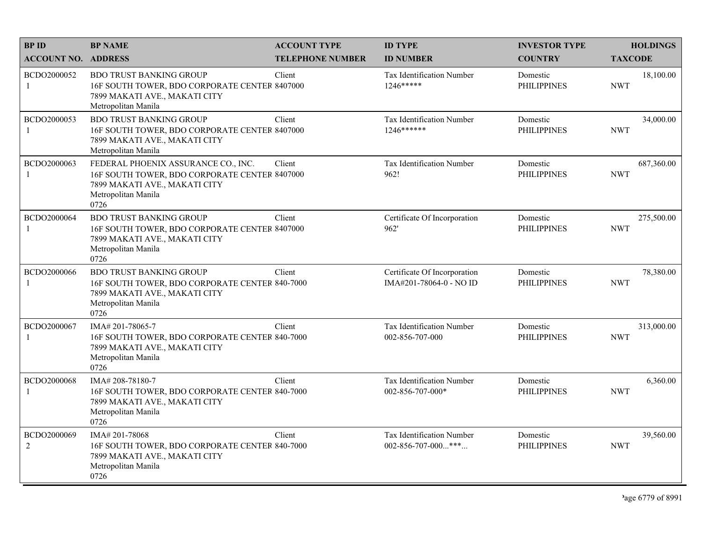| <b>BPID</b>                   | <b>BP NAME</b>                                                                                                                                       | <b>ACCOUNT TYPE</b>     | <b>ID TYPE</b>                                          | <b>INVESTOR TYPE</b>           | <b>HOLDINGS</b>          |
|-------------------------------|------------------------------------------------------------------------------------------------------------------------------------------------------|-------------------------|---------------------------------------------------------|--------------------------------|--------------------------|
| <b>ACCOUNT NO. ADDRESS</b>    |                                                                                                                                                      | <b>TELEPHONE NUMBER</b> | <b>ID NUMBER</b>                                        | <b>COUNTRY</b>                 | <b>TAXCODE</b>           |
| BCDO2000052<br>-1             | <b>BDO TRUST BANKING GROUP</b><br>16F SOUTH TOWER, BDO CORPORATE CENTER 8407000<br>7899 MAKATI AVE., MAKATI CITY<br>Metropolitan Manila              | Client                  | Tax Identification Number<br>$1246***$                  | Domestic<br><b>PHILIPPINES</b> | 18,100.00<br><b>NWT</b>  |
| BCDO2000053<br>-1             | <b>BDO TRUST BANKING GROUP</b><br>16F SOUTH TOWER, BDO CORPORATE CENTER 8407000<br>7899 MAKATI AVE., MAKATI CITY<br>Metropolitan Manila              | Client                  | Tax Identification Number<br>$1246******$               | Domestic<br><b>PHILIPPINES</b> | 34,000.00<br><b>NWT</b>  |
| BCDO2000063<br>-1             | FEDERAL PHOENIX ASSURANCE CO., INC.<br>16F SOUTH TOWER, BDO CORPORATE CENTER 8407000<br>7899 MAKATI AVE., MAKATI CITY<br>Metropolitan Manila<br>0726 | Client                  | Tax Identification Number<br>962!                       | Domestic<br><b>PHILIPPINES</b> | 687,360.00<br><b>NWT</b> |
| BCDO2000064<br>-1             | <b>BDO TRUST BANKING GROUP</b><br>16F SOUTH TOWER, BDO CORPORATE CENTER 8407000<br>7899 MAKATI AVE., MAKATI CITY<br>Metropolitan Manila<br>0726      | Client                  | Certificate Of Incorporation<br>962'                    | Domestic<br><b>PHILIPPINES</b> | 275,500.00<br><b>NWT</b> |
| BCDO2000066<br>$\mathbf{1}$   | <b>BDO TRUST BANKING GROUP</b><br>16F SOUTH TOWER, BDO CORPORATE CENTER 840-7000<br>7899 MAKATI AVE., MAKATI CITY<br>Metropolitan Manila<br>0726     | Client                  | Certificate Of Incorporation<br>IMA#201-78064-0 - NO ID | Domestic<br><b>PHILIPPINES</b> | 78,380.00<br><b>NWT</b>  |
| BCDO2000067<br>-1             | IMA# 201-78065-7<br>16F SOUTH TOWER, BDO CORPORATE CENTER 840-7000<br>7899 MAKATI AVE., MAKATI CITY<br>Metropolitan Manila<br>0726                   | Client                  | Tax Identification Number<br>002-856-707-000            | Domestic<br><b>PHILIPPINES</b> | 313,000.00<br><b>NWT</b> |
| BCDO2000068<br>-1             | IMA#208-78180-7<br>16F SOUTH TOWER, BDO CORPORATE CENTER 840-7000<br>7899 MAKATI AVE., MAKATI CITY<br>Metropolitan Manila<br>0726                    | Client                  | Tax Identification Number<br>002-856-707-000*           | Domestic<br><b>PHILIPPINES</b> | 6,360.00<br><b>NWT</b>   |
| BCDO2000069<br>$\overline{2}$ | IMA# 201-78068<br>16F SOUTH TOWER, BDO CORPORATE CENTER 840-7000<br>7899 MAKATI AVE., MAKATI CITY<br>Metropolitan Manila<br>0726                     | Client                  | Tax Identification Number<br>002-856-707-000***         | Domestic<br><b>PHILIPPINES</b> | 39,560.00<br><b>NWT</b>  |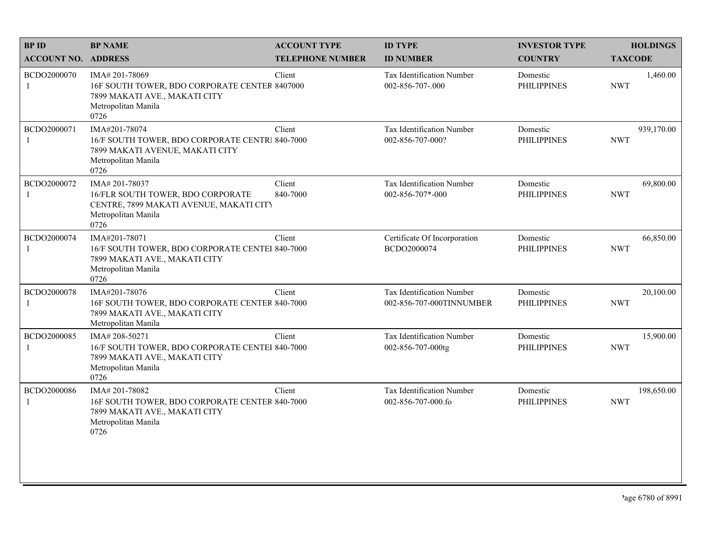| <b>BPID</b>                | <b>BP NAME</b>                                                                                                                     | <b>ACCOUNT TYPE</b>     | <b>ID TYPE</b>                                        | <b>INVESTOR TYPE</b>           | <b>HOLDINGS</b>          |
|----------------------------|------------------------------------------------------------------------------------------------------------------------------------|-------------------------|-------------------------------------------------------|--------------------------------|--------------------------|
| <b>ACCOUNT NO. ADDRESS</b> |                                                                                                                                    | <b>TELEPHONE NUMBER</b> | <b>ID NUMBER</b>                                      | <b>COUNTRY</b>                 | <b>TAXCODE</b>           |
| BCDO2000070<br>1           | IMA# 201-78069<br>16F SOUTH TOWER, BDO CORPORATE CENTER 8407000<br>7899 MAKATI AVE., MAKATI CITY<br>Metropolitan Manila<br>0726    | Client                  | Tax Identification Number<br>002-856-707-.000         | Domestic<br><b>PHILIPPINES</b> | 1,460.00<br><b>NWT</b>   |
| BCDO2000071<br>1           | IMA#201-78074<br>16/F SOUTH TOWER, BDO CORPORATE CENTRI 840-7000<br>7899 MAKATI AVENUE, MAKATI CITY<br>Metropolitan Manila<br>0726 | Client                  | Tax Identification Number<br>002-856-707-000?         | Domestic<br><b>PHILIPPINES</b> | 939,170.00<br><b>NWT</b> |
| BCDO2000072<br>1           | IMA#201-78037<br>16/FLR SOUTH TOWER, BDO CORPORATE<br>CENTRE, 7899 MAKATI AVENUE, MAKATI CITY<br>Metropolitan Manila<br>0726       | Client<br>840-7000      | Tax Identification Number<br>002-856-707*-000         | Domestic<br><b>PHILIPPINES</b> | 69,800.00<br><b>NWT</b>  |
| BCDO2000074                | IMA#201-78071<br>16/F SOUTH TOWER, BDO CORPORATE CENTEI 840-7000<br>7899 MAKATI AVE., MAKATI CITY<br>Metropolitan Manila<br>0726   | Client                  | Certificate Of Incorporation<br>BCDO2000074           | Domestic<br><b>PHILIPPINES</b> | 66,850.00<br><b>NWT</b>  |
| BCDO2000078                | IMA#201-78076<br>16F SOUTH TOWER, BDO CORPORATE CENTER 840-7000<br>7899 MAKATI AVE., MAKATI CITY<br>Metropolitan Manila            | Client                  | Tax Identification Number<br>002-856-707-000TINNUMBER | Domestic<br><b>PHILIPPINES</b> | 20,100.00<br><b>NWT</b>  |
| BCDO2000085<br>1           | IMA# 208-50271<br>16/F SOUTH TOWER, BDO CORPORATE CENTEI 840-7000<br>7899 MAKATI AVE., MAKATI CITY<br>Metropolitan Manila<br>0726  | Client                  | Tax Identification Number<br>002-856-707-000tg        | Domestic<br><b>PHILIPPINES</b> | 15,900.00<br><b>NWT</b>  |
| BCDO2000086<br>1           | IMA#201-78082<br>16F SOUTH TOWER, BDO CORPORATE CENTER 840-7000<br>7899 MAKATI AVE., MAKATI CITY<br>Metropolitan Manila<br>0726    | Client                  | Tax Identification Number<br>002-856-707-000.fo       | Domestic<br><b>PHILIPPINES</b> | 198,650.00<br><b>NWT</b> |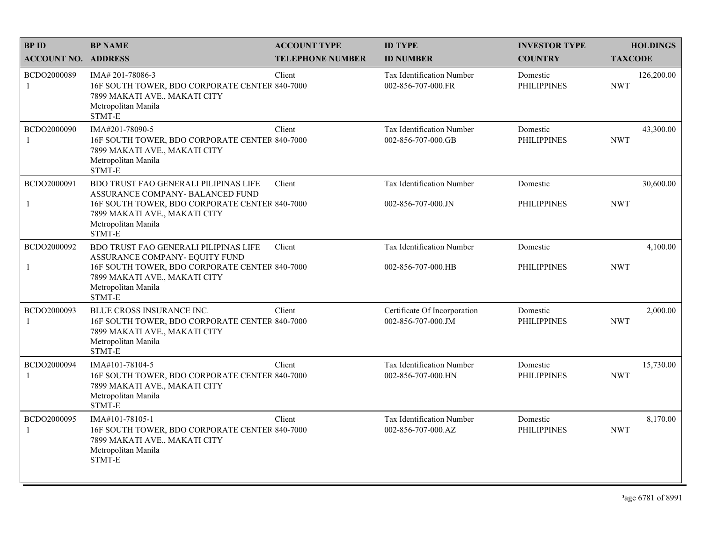| <b>BPID</b>                 | <b>BP NAME</b>                                                                                                                                | <b>ACCOUNT TYPE</b>     | <b>ID TYPE</b>                                     | <b>INVESTOR TYPE</b>           | <b>HOLDINGS</b>          |
|-----------------------------|-----------------------------------------------------------------------------------------------------------------------------------------------|-------------------------|----------------------------------------------------|--------------------------------|--------------------------|
| <b>ACCOUNT NO. ADDRESS</b>  |                                                                                                                                               | <b>TELEPHONE NUMBER</b> | <b>ID NUMBER</b>                                   | <b>COUNTRY</b>                 | <b>TAXCODE</b>           |
| BCDO2000089<br>-1           | IMA# 201-78086-3<br>16F SOUTH TOWER, BDO CORPORATE CENTER 840-7000<br>7899 MAKATI AVE., MAKATI CITY<br>Metropolitan Manila<br>STMT-E          | Client                  | Tax Identification Number<br>002-856-707-000.FR    | Domestic<br><b>PHILIPPINES</b> | 126,200.00<br><b>NWT</b> |
| BCDO2000090<br>$\mathbf{1}$ | IMA#201-78090-5<br>16F SOUTH TOWER, BDO CORPORATE CENTER 840-7000<br>7899 MAKATI AVE., MAKATI CITY<br>Metropolitan Manila<br>STMT-E           | Client                  | Tax Identification Number<br>002-856-707-000.GB    | Domestic<br><b>PHILIPPINES</b> | 43,300.00<br><b>NWT</b>  |
| BCDO2000091                 | BDO TRUST FAO GENERALI PILIPINAS LIFE<br>ASSURANCE COMPANY- BALANCED FUND                                                                     | Client                  | <b>Tax Identification Number</b>                   | Domestic                       | 30,600.00                |
| $\mathbf{1}$                | 16F SOUTH TOWER, BDO CORPORATE CENTER 840-7000<br>7899 MAKATI AVE., MAKATI CITY<br>Metropolitan Manila<br>STMT-E                              |                         | 002-856-707-000.JN                                 | <b>PHILIPPINES</b>             | <b>NWT</b>               |
| BCDO2000092                 | BDO TRUST FAO GENERALI PILIPINAS LIFE<br>ASSURANCE COMPANY- EQUITY FUND                                                                       | Client                  | Tax Identification Number                          | Domestic                       | 4,100.00                 |
| $\mathbf{1}$                | 16F SOUTH TOWER, BDO CORPORATE CENTER 840-7000<br>7899 MAKATI AVE., MAKATI CITY<br>Metropolitan Manila<br>STMT-E                              |                         | 002-856-707-000.HB                                 | <b>PHILIPPINES</b>             | <b>NWT</b>               |
| BCDO2000093<br>-1           | BLUE CROSS INSURANCE INC.<br>16F SOUTH TOWER, BDO CORPORATE CENTER 840-7000<br>7899 MAKATI AVE., MAKATI CITY<br>Metropolitan Manila<br>STMT-E | Client                  | Certificate Of Incorporation<br>002-856-707-000.JM | Domestic<br><b>PHILIPPINES</b> | 2,000.00<br><b>NWT</b>   |
| BCDO2000094<br>-1           | IMA#101-78104-5<br>16F SOUTH TOWER, BDO CORPORATE CENTER 840-7000<br>7899 MAKATI AVE., MAKATI CITY<br>Metropolitan Manila<br>STMT-E           | Client                  | Tax Identification Number<br>002-856-707-000.HN    | Domestic<br><b>PHILIPPINES</b> | 15,730.00<br><b>NWT</b>  |
| BCDO2000095<br>-1           | IMA#101-78105-1<br>16F SOUTH TOWER, BDO CORPORATE CENTER 840-7000<br>7899 MAKATI AVE., MAKATI CITY<br>Metropolitan Manila<br>STMT-E           | Client                  | Tax Identification Number<br>002-856-707-000.AZ    | Domestic<br><b>PHILIPPINES</b> | 8,170.00<br><b>NWT</b>   |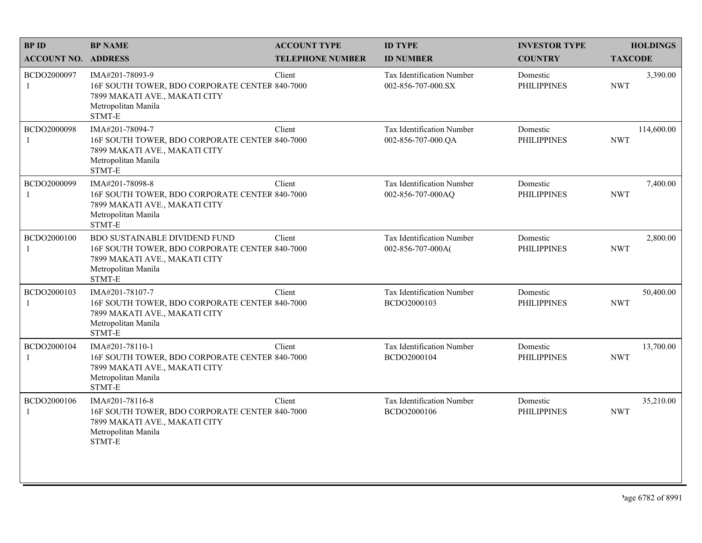| <b>BPID</b>                 | <b>BP NAME</b>                                                                                                                                           | <b>ACCOUNT TYPE</b>     | <b>ID TYPE</b>                                         | <b>INVESTOR TYPE</b>           | <b>HOLDINGS</b>          |
|-----------------------------|----------------------------------------------------------------------------------------------------------------------------------------------------------|-------------------------|--------------------------------------------------------|--------------------------------|--------------------------|
| <b>ACCOUNT NO. ADDRESS</b>  |                                                                                                                                                          | <b>TELEPHONE NUMBER</b> | <b>ID NUMBER</b>                                       | <b>COUNTRY</b>                 | <b>TAXCODE</b>           |
| BCDO2000097<br>$\mathbf{1}$ | IMA#201-78093-9<br>16F SOUTH TOWER, BDO CORPORATE CENTER 840-7000<br>7899 MAKATI AVE., MAKATI CITY<br>Metropolitan Manila<br>STMT-E                      | Client                  | <b>Tax Identification Number</b><br>002-856-707-000.SX | Domestic<br><b>PHILIPPINES</b> | 3,390.00<br><b>NWT</b>   |
| BCDO2000098<br>$\mathbf{1}$ | IMA#201-78094-7<br>16F SOUTH TOWER, BDO CORPORATE CENTER 840-7000<br>7899 MAKATI AVE., MAKATI CITY<br>Metropolitan Manila<br>STMT-E                      | Client                  | Tax Identification Number<br>002-856-707-000.QA        | Domestic<br><b>PHILIPPINES</b> | 114,600.00<br><b>NWT</b> |
| BCDO2000099<br>1            | IMA#201-78098-8<br>16F SOUTH TOWER, BDO CORPORATE CENTER 840-7000<br>7899 MAKATI AVE., MAKATI CITY<br>Metropolitan Manila<br>STMT-E                      | Client                  | Tax Identification Number<br>002-856-707-000AQ         | Domestic<br><b>PHILIPPINES</b> | 7,400.00<br><b>NWT</b>   |
| BCDO2000100<br>1            | <b>BDO SUSTAINABLE DIVIDEND FUND</b><br>16F SOUTH TOWER, BDO CORPORATE CENTER 840-7000<br>7899 MAKATI AVE., MAKATI CITY<br>Metropolitan Manila<br>STMT-E | Client                  | Tax Identification Number<br>002-856-707-000A(         | Domestic<br><b>PHILIPPINES</b> | 2,800.00<br><b>NWT</b>   |
| BCDO2000103<br>1            | IMA#201-78107-7<br>16F SOUTH TOWER, BDO CORPORATE CENTER 840-7000<br>7899 MAKATI AVE., MAKATI CITY<br>Metropolitan Manila<br>STMT-E                      | Client                  | Tax Identification Number<br>BCDO2000103               | Domestic<br><b>PHILIPPINES</b> | 50,400.00<br><b>NWT</b>  |
| BCDO2000104<br>$\mathbf{1}$ | IMA#201-78110-1<br>16F SOUTH TOWER, BDO CORPORATE CENTER 840-7000<br>7899 MAKATI AVE., MAKATI CITY<br>Metropolitan Manila<br>STMT-E                      | Client                  | Tax Identification Number<br>BCDO2000104               | Domestic<br><b>PHILIPPINES</b> | 13,700.00<br><b>NWT</b>  |
| BCDO2000106<br>1            | IMA#201-78116-8<br>16F SOUTH TOWER, BDO CORPORATE CENTER 840-7000<br>7899 MAKATI AVE., MAKATI CITY<br>Metropolitan Manila<br>STMT-E                      | Client                  | Tax Identification Number<br>BCDO2000106               | Domestic<br><b>PHILIPPINES</b> | 35,210.00<br><b>NWT</b>  |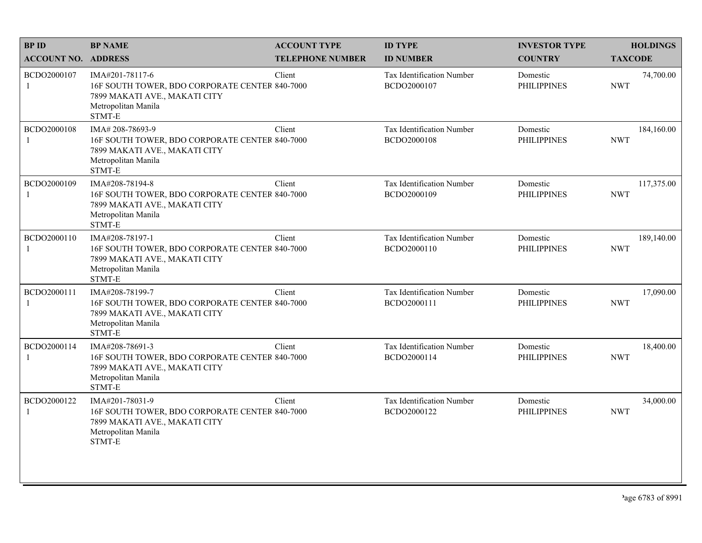| <b>BPID</b>                 | <b>BP NAME</b>                                                                                                                       | <b>ACCOUNT TYPE</b>     | <b>ID TYPE</b>                           | <b>INVESTOR TYPE</b>           | <b>HOLDINGS</b>          |
|-----------------------------|--------------------------------------------------------------------------------------------------------------------------------------|-------------------------|------------------------------------------|--------------------------------|--------------------------|
| <b>ACCOUNT NO. ADDRESS</b>  |                                                                                                                                      | <b>TELEPHONE NUMBER</b> | <b>ID NUMBER</b>                         | <b>COUNTRY</b>                 | <b>TAXCODE</b>           |
| BCDO2000107<br>1            | IMA#201-78117-6<br>16F SOUTH TOWER, BDO CORPORATE CENTER 840-7000<br>7899 MAKATI AVE., MAKATI CITY<br>Metropolitan Manila<br>STMT-E  | Client                  | Tax Identification Number<br>BCDO2000107 | Domestic<br><b>PHILIPPINES</b> | 74,700.00<br><b>NWT</b>  |
| BCDO2000108<br>$\mathbf{1}$ | IMA# 208-78693-9<br>16F SOUTH TOWER, BDO CORPORATE CENTER 840-7000<br>7899 MAKATI AVE., MAKATI CITY<br>Metropolitan Manila<br>STMT-E | Client                  | Tax Identification Number<br>BCDO2000108 | Domestic<br><b>PHILIPPINES</b> | 184,160.00<br><b>NWT</b> |
| BCDO2000109<br>1            | IMA#208-78194-8<br>16F SOUTH TOWER, BDO CORPORATE CENTER 840-7000<br>7899 MAKATI AVE., MAKATI CITY<br>Metropolitan Manila<br>STMT-E  | Client                  | Tax Identification Number<br>BCDO2000109 | Domestic<br><b>PHILIPPINES</b> | 117,375.00<br><b>NWT</b> |
| BCDO2000110<br>$\mathbf{1}$ | IMA#208-78197-1<br>16F SOUTH TOWER, BDO CORPORATE CENTER 840-7000<br>7899 MAKATI AVE., MAKATI CITY<br>Metropolitan Manila<br>STMT-E  | Client                  | Tax Identification Number<br>BCDO2000110 | Domestic<br><b>PHILIPPINES</b> | 189,140.00<br><b>NWT</b> |
| BCDO2000111<br>1            | IMA#208-78199-7<br>16F SOUTH TOWER, BDO CORPORATE CENTER 840-7000<br>7899 MAKATI AVE., MAKATI CITY<br>Metropolitan Manila<br>STMT-E  | Client                  | Tax Identification Number<br>BCDO2000111 | Domestic<br><b>PHILIPPINES</b> | 17,090.00<br><b>NWT</b>  |
| BCDO2000114<br>$\mathbf{1}$ | IMA#208-78691-3<br>16F SOUTH TOWER, BDO CORPORATE CENTER 840-7000<br>7899 MAKATI AVE., MAKATI CITY<br>Metropolitan Manila<br>STMT-E  | Client                  | Tax Identification Number<br>BCDO2000114 | Domestic<br><b>PHILIPPINES</b> | 18,400.00<br><b>NWT</b>  |
| BCDO2000122<br>1            | IMA#201-78031-9<br>16F SOUTH TOWER, BDO CORPORATE CENTER 840-7000<br>7899 MAKATI AVE., MAKATI CITY<br>Metropolitan Manila<br>STMT-E  | Client                  | Tax Identification Number<br>BCDO2000122 | Domestic<br><b>PHILIPPINES</b> | 34,000.00<br><b>NWT</b>  |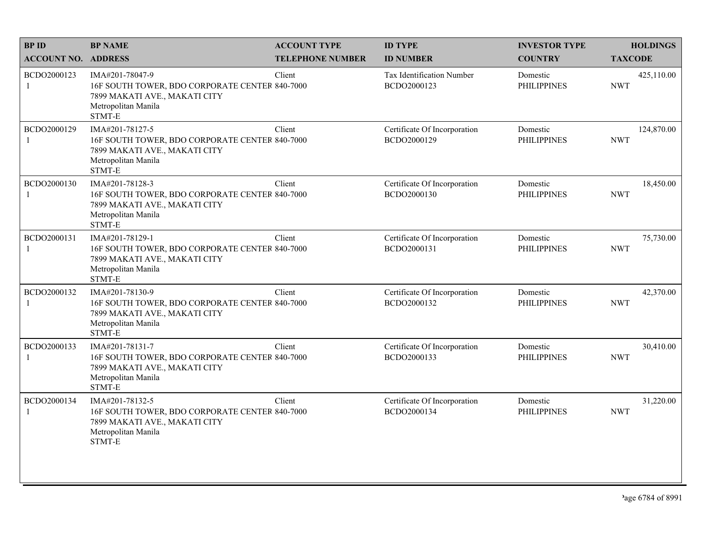| <b>BPID</b>                 | <b>BP NAME</b>                                                                                                                      | <b>ACCOUNT TYPE</b>     | <b>ID TYPE</b>                                  | <b>INVESTOR TYPE</b>           | <b>HOLDINGS</b>          |
|-----------------------------|-------------------------------------------------------------------------------------------------------------------------------------|-------------------------|-------------------------------------------------|--------------------------------|--------------------------|
| <b>ACCOUNT NO. ADDRESS</b>  |                                                                                                                                     | <b>TELEPHONE NUMBER</b> | <b>ID NUMBER</b>                                | <b>COUNTRY</b>                 | <b>TAXCODE</b>           |
| BCDO2000123<br>$\mathbf{1}$ | IMA#201-78047-9<br>16F SOUTH TOWER, BDO CORPORATE CENTER 840-7000<br>7899 MAKATI AVE., MAKATI CITY<br>Metropolitan Manila<br>STMT-E | Client                  | <b>Tax Identification Number</b><br>BCDO2000123 | Domestic<br><b>PHILIPPINES</b> | 425,110.00<br><b>NWT</b> |
| BCDO2000129<br>$\mathbf{1}$ | IMA#201-78127-5<br>16F SOUTH TOWER, BDO CORPORATE CENTER 840-7000<br>7899 MAKATI AVE., MAKATI CITY<br>Metropolitan Manila<br>STMT-E | Client                  | Certificate Of Incorporation<br>BCDO2000129     | Domestic<br><b>PHILIPPINES</b> | 124,870.00<br><b>NWT</b> |
| BCDO2000130<br>1            | IMA#201-78128-3<br>16F SOUTH TOWER, BDO CORPORATE CENTER 840-7000<br>7899 MAKATI AVE., MAKATI CITY<br>Metropolitan Manila<br>STMT-E | Client                  | Certificate Of Incorporation<br>BCDO2000130     | Domestic<br><b>PHILIPPINES</b> | 18,450.00<br><b>NWT</b>  |
| BCDO2000131<br>1            | IMA#201-78129-1<br>16F SOUTH TOWER, BDO CORPORATE CENTER 840-7000<br>7899 MAKATI AVE., MAKATI CITY<br>Metropolitan Manila<br>STMT-E | Client                  | Certificate Of Incorporation<br>BCDO2000131     | Domestic<br><b>PHILIPPINES</b> | 75,730.00<br><b>NWT</b>  |
| BCDO2000132<br>-1           | IMA#201-78130-9<br>16F SOUTH TOWER, BDO CORPORATE CENTER 840-7000<br>7899 MAKATI AVE., MAKATI CITY<br>Metropolitan Manila<br>STMT-E | Client                  | Certificate Of Incorporation<br>BCDO2000132     | Domestic<br><b>PHILIPPINES</b> | 42,370.00<br><b>NWT</b>  |
| BCDO2000133<br>$\mathbf{1}$ | IMA#201-78131-7<br>16F SOUTH TOWER, BDO CORPORATE CENTER 840-7000<br>7899 MAKATI AVE., MAKATI CITY<br>Metropolitan Manila<br>STMT-E | Client                  | Certificate Of Incorporation<br>BCDO2000133     | Domestic<br><b>PHILIPPINES</b> | 30,410.00<br><b>NWT</b>  |
| BCDO2000134<br>1            | IMA#201-78132-5<br>16F SOUTH TOWER, BDO CORPORATE CENTER 840-7000<br>7899 MAKATI AVE., MAKATI CITY<br>Metropolitan Manila<br>STMT-E | Client                  | Certificate Of Incorporation<br>BCDO2000134     | Domestic<br><b>PHILIPPINES</b> | 31,220.00<br><b>NWT</b>  |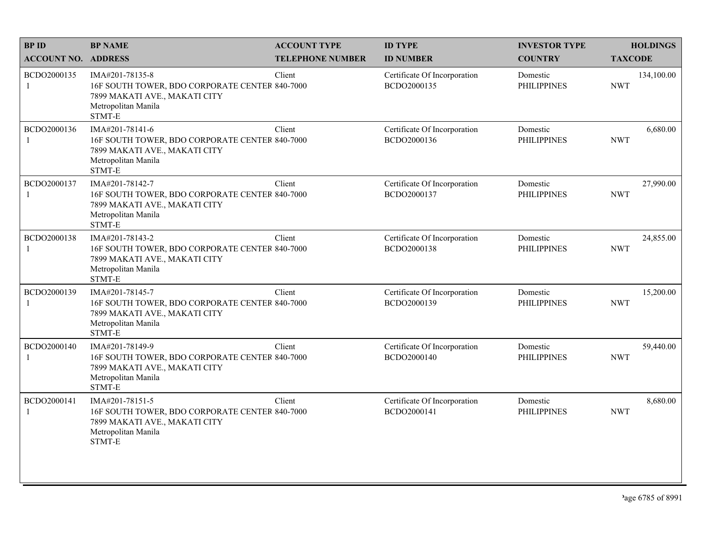| <b>BPID</b>                 | <b>BP NAME</b>                                                                                                                      | <b>ACCOUNT TYPE</b>     | <b>ID TYPE</b>                              | <b>INVESTOR TYPE</b>           | <b>HOLDINGS</b>          |
|-----------------------------|-------------------------------------------------------------------------------------------------------------------------------------|-------------------------|---------------------------------------------|--------------------------------|--------------------------|
| <b>ACCOUNT NO. ADDRESS</b>  |                                                                                                                                     | <b>TELEPHONE NUMBER</b> | <b>ID NUMBER</b>                            | <b>COUNTRY</b>                 | <b>TAXCODE</b>           |
| BCDO2000135<br>1            | IMA#201-78135-8<br>16F SOUTH TOWER, BDO CORPORATE CENTER 840-7000<br>7899 MAKATI AVE., MAKATI CITY<br>Metropolitan Manila<br>STMT-E | Client                  | Certificate Of Incorporation<br>BCDO2000135 | Domestic<br><b>PHILIPPINES</b> | 134,100.00<br><b>NWT</b> |
| BCDO2000136<br>1            | IMA#201-78141-6<br>16F SOUTH TOWER, BDO CORPORATE CENTER 840-7000<br>7899 MAKATI AVE., MAKATI CITY<br>Metropolitan Manila<br>STMT-E | Client                  | Certificate Of Incorporation<br>BCDO2000136 | Domestic<br><b>PHILIPPINES</b> | 6,680.00<br><b>NWT</b>   |
| BCDO2000137<br>1            | IMA#201-78142-7<br>16F SOUTH TOWER, BDO CORPORATE CENTER 840-7000<br>7899 MAKATI AVE., MAKATI CITY<br>Metropolitan Manila<br>STMT-E | Client                  | Certificate Of Incorporation<br>BCDO2000137 | Domestic<br><b>PHILIPPINES</b> | 27,990.00<br><b>NWT</b>  |
| BCDO2000138<br>$\mathbf{1}$ | IMA#201-78143-2<br>16F SOUTH TOWER, BDO CORPORATE CENTER 840-7000<br>7899 MAKATI AVE., MAKATI CITY<br>Metropolitan Manila<br>STMT-E | Client                  | Certificate Of Incorporation<br>BCDO2000138 | Domestic<br><b>PHILIPPINES</b> | 24,855.00<br><b>NWT</b>  |
| BCDO2000139<br>1            | IMA#201-78145-7<br>16F SOUTH TOWER, BDO CORPORATE CENTER 840-7000<br>7899 MAKATI AVE., MAKATI CITY<br>Metropolitan Manila<br>STMT-E | Client                  | Certificate Of Incorporation<br>BCDO2000139 | Domestic<br><b>PHILIPPINES</b> | 15,200.00<br><b>NWT</b>  |
| BCDO2000140<br>$\mathbf{1}$ | IMA#201-78149-9<br>16F SOUTH TOWER, BDO CORPORATE CENTER 840-7000<br>7899 MAKATI AVE., MAKATI CITY<br>Metropolitan Manila<br>STMT-E | Client                  | Certificate Of Incorporation<br>BCDO2000140 | Domestic<br><b>PHILIPPINES</b> | 59,440.00<br><b>NWT</b>  |
| BCDO2000141<br>1            | IMA#201-78151-5<br>16F SOUTH TOWER, BDO CORPORATE CENTER 840-7000<br>7899 MAKATI AVE., MAKATI CITY<br>Metropolitan Manila<br>STMT-E | Client                  | Certificate Of Incorporation<br>BCDO2000141 | Domestic<br><b>PHILIPPINES</b> | 8,680.00<br><b>NWT</b>   |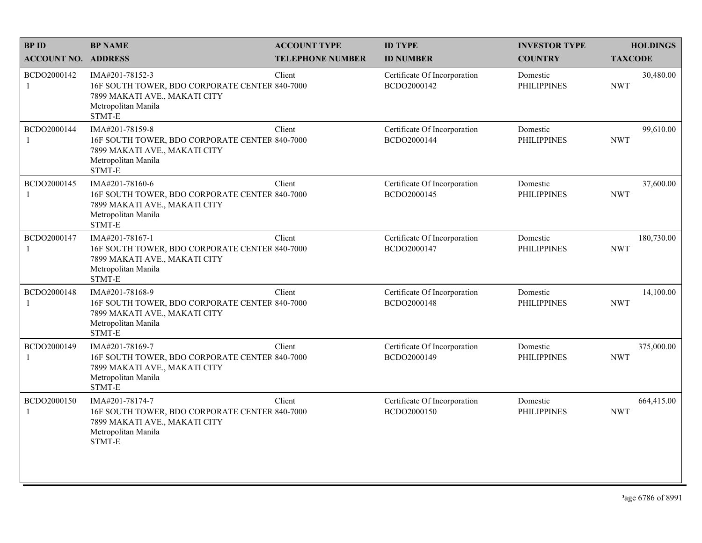| <b>BPID</b>                 | <b>BP NAME</b>                                                                                                                      | <b>ACCOUNT TYPE</b>     | <b>ID TYPE</b>                              | <b>INVESTOR TYPE</b>           | <b>HOLDINGS</b>          |
|-----------------------------|-------------------------------------------------------------------------------------------------------------------------------------|-------------------------|---------------------------------------------|--------------------------------|--------------------------|
| <b>ACCOUNT NO. ADDRESS</b>  |                                                                                                                                     | <b>TELEPHONE NUMBER</b> | <b>ID NUMBER</b>                            | <b>COUNTRY</b>                 | <b>TAXCODE</b>           |
| BCDO2000142<br>1            | IMA#201-78152-3<br>16F SOUTH TOWER, BDO CORPORATE CENTER 840-7000<br>7899 MAKATI AVE., MAKATI CITY<br>Metropolitan Manila<br>STMT-E | Client                  | Certificate Of Incorporation<br>BCDO2000142 | Domestic<br><b>PHILIPPINES</b> | 30,480.00<br><b>NWT</b>  |
| BCDO2000144<br>$\mathbf{1}$ | IMA#201-78159-8<br>16F SOUTH TOWER, BDO CORPORATE CENTER 840-7000<br>7899 MAKATI AVE., MAKATI CITY<br>Metropolitan Manila<br>STMT-E | Client                  | Certificate Of Incorporation<br>BCDO2000144 | Domestic<br><b>PHILIPPINES</b> | 99,610.00<br><b>NWT</b>  |
| BCDO2000145<br>1            | IMA#201-78160-6<br>16F SOUTH TOWER, BDO CORPORATE CENTER 840-7000<br>7899 MAKATI AVE., MAKATI CITY<br>Metropolitan Manila<br>STMT-E | Client                  | Certificate Of Incorporation<br>BCDO2000145 | Domestic<br><b>PHILIPPINES</b> | 37,600.00<br><b>NWT</b>  |
| BCDO2000147<br>$\mathbf{1}$ | IMA#201-78167-1<br>16F SOUTH TOWER, BDO CORPORATE CENTER 840-7000<br>7899 MAKATI AVE., MAKATI CITY<br>Metropolitan Manila<br>STMT-E | Client                  | Certificate Of Incorporation<br>BCDO2000147 | Domestic<br><b>PHILIPPINES</b> | 180,730.00<br><b>NWT</b> |
| BCDO2000148<br>1            | IMA#201-78168-9<br>16F SOUTH TOWER, BDO CORPORATE CENTER 840-7000<br>7899 MAKATI AVE., MAKATI CITY<br>Metropolitan Manila<br>STMT-E | Client                  | Certificate Of Incorporation<br>BCDO2000148 | Domestic<br><b>PHILIPPINES</b> | 14,100.00<br><b>NWT</b>  |
| BCDO2000149<br>$\mathbf{1}$ | IMA#201-78169-7<br>16F SOUTH TOWER, BDO CORPORATE CENTER 840-7000<br>7899 MAKATI AVE., MAKATI CITY<br>Metropolitan Manila<br>STMT-E | Client                  | Certificate Of Incorporation<br>BCDO2000149 | Domestic<br><b>PHILIPPINES</b> | 375,000.00<br><b>NWT</b> |
| BCDO2000150<br>1            | IMA#201-78174-7<br>16F SOUTH TOWER, BDO CORPORATE CENTER 840-7000<br>7899 MAKATI AVE., MAKATI CITY<br>Metropolitan Manila<br>STMT-E | Client                  | Certificate Of Incorporation<br>BCDO2000150 | Domestic<br><b>PHILIPPINES</b> | 664,415.00<br><b>NWT</b> |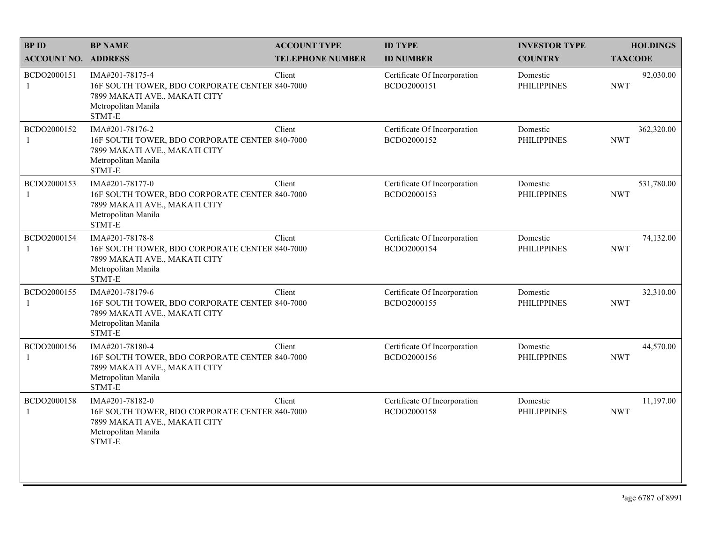| <b>BPID</b>                 | <b>BP NAME</b>                                                                                                                      | <b>ACCOUNT TYPE</b>     | <b>ID TYPE</b>                              | <b>INVESTOR TYPE</b>           | <b>HOLDINGS</b>          |
|-----------------------------|-------------------------------------------------------------------------------------------------------------------------------------|-------------------------|---------------------------------------------|--------------------------------|--------------------------|
| <b>ACCOUNT NO. ADDRESS</b>  |                                                                                                                                     | <b>TELEPHONE NUMBER</b> | <b>ID NUMBER</b>                            | <b>COUNTRY</b>                 | <b>TAXCODE</b>           |
| BCDO2000151<br>1            | IMA#201-78175-4<br>16F SOUTH TOWER, BDO CORPORATE CENTER 840-7000<br>7899 MAKATI AVE., MAKATI CITY<br>Metropolitan Manila<br>STMT-E | Client                  | Certificate Of Incorporation<br>BCDO2000151 | Domestic<br><b>PHILIPPINES</b> | 92,030.00<br><b>NWT</b>  |
| BCDO2000152<br>1            | IMA#201-78176-2<br>16F SOUTH TOWER, BDO CORPORATE CENTER 840-7000<br>7899 MAKATI AVE., MAKATI CITY<br>Metropolitan Manila<br>STMT-E | Client                  | Certificate Of Incorporation<br>BCDO2000152 | Domestic<br><b>PHILIPPINES</b> | 362,320.00<br><b>NWT</b> |
| BCDO2000153                 | IMA#201-78177-0<br>16F SOUTH TOWER, BDO CORPORATE CENTER 840-7000<br>7899 MAKATI AVE., MAKATI CITY<br>Metropolitan Manila<br>STMT-E | Client                  | Certificate Of Incorporation<br>BCDO2000153 | Domestic<br><b>PHILIPPINES</b> | 531,780.00<br><b>NWT</b> |
| BCDO2000154                 | IMA#201-78178-8<br>16F SOUTH TOWER, BDO CORPORATE CENTER 840-7000<br>7899 MAKATI AVE., MAKATI CITY<br>Metropolitan Manila<br>STMT-E | Client                  | Certificate Of Incorporation<br>BCDO2000154 | Domestic<br><b>PHILIPPINES</b> | 74,132.00<br><b>NWT</b>  |
| BCDO2000155                 | IMA#201-78179-6<br>16F SOUTH TOWER, BDO CORPORATE CENTER 840-7000<br>7899 MAKATI AVE., MAKATI CITY<br>Metropolitan Manila<br>STMT-E | Client                  | Certificate Of Incorporation<br>BCDO2000155 | Domestic<br><b>PHILIPPINES</b> | 32,310.00<br><b>NWT</b>  |
| BCDO2000156<br>$\mathbf{1}$ | IMA#201-78180-4<br>16F SOUTH TOWER, BDO CORPORATE CENTER 840-7000<br>7899 MAKATI AVE., MAKATI CITY<br>Metropolitan Manila<br>STMT-E | Client                  | Certificate Of Incorporation<br>BCDO2000156 | Domestic<br><b>PHILIPPINES</b> | 44,570.00<br><b>NWT</b>  |
| BCDO2000158<br>1            | IMA#201-78182-0<br>16F SOUTH TOWER, BDO CORPORATE CENTER 840-7000<br>7899 MAKATI AVE., MAKATI CITY<br>Metropolitan Manila<br>STMT-E | Client                  | Certificate Of Incorporation<br>BCDO2000158 | Domestic<br><b>PHILIPPINES</b> | 11,197.00<br><b>NWT</b>  |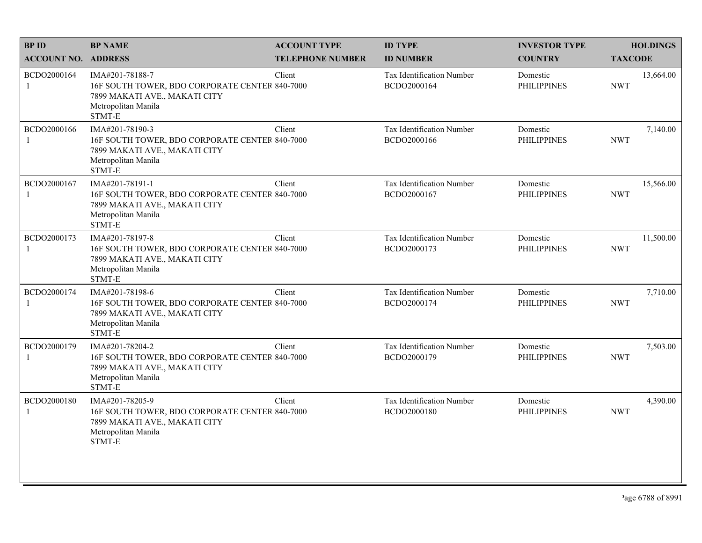| <b>BPID</b>                 | <b>BP NAME</b>                                                                                                                      | <b>ACCOUNT TYPE</b>     | <b>ID TYPE</b>                                  | <b>INVESTOR TYPE</b>           | <b>HOLDINGS</b>         |
|-----------------------------|-------------------------------------------------------------------------------------------------------------------------------------|-------------------------|-------------------------------------------------|--------------------------------|-------------------------|
| <b>ACCOUNT NO. ADDRESS</b>  |                                                                                                                                     | <b>TELEPHONE NUMBER</b> | <b>ID NUMBER</b>                                | <b>COUNTRY</b>                 | <b>TAXCODE</b>          |
| BCDO2000164<br>1            | IMA#201-78188-7<br>16F SOUTH TOWER, BDO CORPORATE CENTER 840-7000<br>7899 MAKATI AVE., MAKATI CITY<br>Metropolitan Manila<br>STMT-E | Client                  | Tax Identification Number<br>BCDO2000164        | Domestic<br><b>PHILIPPINES</b> | 13,664.00<br><b>NWT</b> |
| BCDO2000166<br>1            | IMA#201-78190-3<br>16F SOUTH TOWER, BDO CORPORATE CENTER 840-7000<br>7899 MAKATI AVE., MAKATI CITY<br>Metropolitan Manila<br>STMT-E | Client                  | Tax Identification Number<br>BCDO2000166        | Domestic<br><b>PHILIPPINES</b> | 7,140.00<br><b>NWT</b>  |
| BCDO2000167<br>1            | IMA#201-78191-1<br>16F SOUTH TOWER, BDO CORPORATE CENTER 840-7000<br>7899 MAKATI AVE., MAKATI CITY<br>Metropolitan Manila<br>STMT-E | Client                  | Tax Identification Number<br>BCDO2000167        | Domestic<br><b>PHILIPPINES</b> | 15,566.00<br><b>NWT</b> |
| BCDO2000173<br>$\mathbf{1}$ | IMA#201-78197-8<br>16F SOUTH TOWER, BDO CORPORATE CENTER 840-7000<br>7899 MAKATI AVE., MAKATI CITY<br>Metropolitan Manila<br>STMT-E | Client                  | Tax Identification Number<br>BCDO2000173        | Domestic<br><b>PHILIPPINES</b> | 11,500.00<br><b>NWT</b> |
| BCDO2000174<br>1            | IMA#201-78198-6<br>16F SOUTH TOWER, BDO CORPORATE CENTER 840-7000<br>7899 MAKATI AVE., MAKATI CITY<br>Metropolitan Manila<br>STMT-E | Client                  | Tax Identification Number<br>BCDO2000174        | Domestic<br><b>PHILIPPINES</b> | 7,710.00<br><b>NWT</b>  |
| BCDO2000179<br>$\mathbf{1}$ | IMA#201-78204-2<br>16F SOUTH TOWER, BDO CORPORATE CENTER 840-7000<br>7899 MAKATI AVE., MAKATI CITY<br>Metropolitan Manila<br>STMT-E | Client                  | Tax Identification Number<br>BCDO2000179        | Domestic<br><b>PHILIPPINES</b> | 7,503.00<br><b>NWT</b>  |
| BCDO2000180<br>1            | IMA#201-78205-9<br>16F SOUTH TOWER, BDO CORPORATE CENTER 840-7000<br>7899 MAKATI AVE., MAKATI CITY<br>Metropolitan Manila<br>STMT-E | Client                  | <b>Tax Identification Number</b><br>BCDO2000180 | Domestic<br><b>PHILIPPINES</b> | 4,390.00<br><b>NWT</b>  |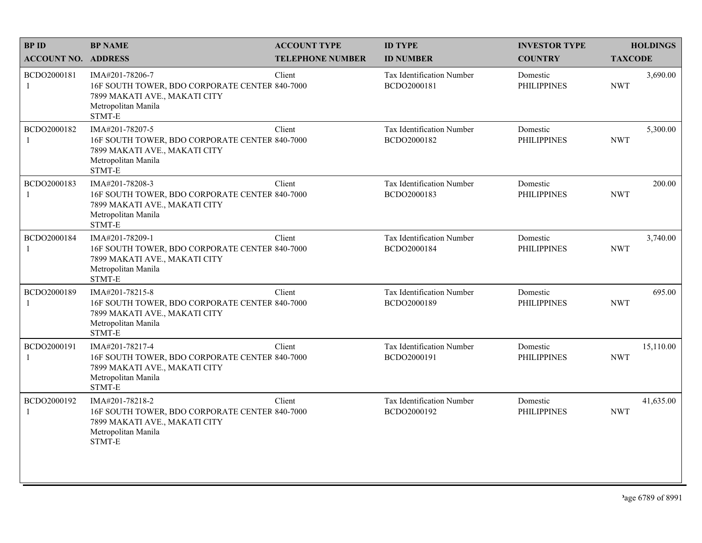| <b>BPID</b>                 | <b>BP NAME</b>                                                                                                                      | <b>ACCOUNT TYPE</b>     | <b>ID TYPE</b>                                  | <b>INVESTOR TYPE</b>           | <b>HOLDINGS</b>         |
|-----------------------------|-------------------------------------------------------------------------------------------------------------------------------------|-------------------------|-------------------------------------------------|--------------------------------|-------------------------|
| <b>ACCOUNT NO. ADDRESS</b>  |                                                                                                                                     | <b>TELEPHONE NUMBER</b> | <b>ID NUMBER</b>                                | <b>COUNTRY</b>                 | <b>TAXCODE</b>          |
| BCDO2000181<br>1            | IMA#201-78206-7<br>16F SOUTH TOWER, BDO CORPORATE CENTER 840-7000<br>7899 MAKATI AVE., MAKATI CITY<br>Metropolitan Manila<br>STMT-E | Client                  | <b>Tax Identification Number</b><br>BCDO2000181 | Domestic<br><b>PHILIPPINES</b> | 3,690.00<br><b>NWT</b>  |
| BCDO2000182<br>$\mathbf{1}$ | IMA#201-78207-5<br>16F SOUTH TOWER, BDO CORPORATE CENTER 840-7000<br>7899 MAKATI AVE., MAKATI CITY<br>Metropolitan Manila<br>STMT-E | Client                  | Tax Identification Number<br>BCDO2000182        | Domestic<br><b>PHILIPPINES</b> | 5,300.00<br><b>NWT</b>  |
| BCDO2000183                 | IMA#201-78208-3<br>16F SOUTH TOWER, BDO CORPORATE CENTER 840-7000<br>7899 MAKATI AVE., MAKATI CITY<br>Metropolitan Manila<br>STMT-E | Client                  | Tax Identification Number<br>BCDO2000183        | Domestic<br><b>PHILIPPINES</b> | 200.00<br><b>NWT</b>    |
| BCDO2000184                 | IMA#201-78209-1<br>16F SOUTH TOWER, BDO CORPORATE CENTER 840-7000<br>7899 MAKATI AVE., MAKATI CITY<br>Metropolitan Manila<br>STMT-E | Client                  | Tax Identification Number<br>BCDO2000184        | Domestic<br><b>PHILIPPINES</b> | 3,740.00<br><b>NWT</b>  |
| BCDO2000189                 | IMA#201-78215-8<br>16F SOUTH TOWER, BDO CORPORATE CENTER 840-7000<br>7899 MAKATI AVE., MAKATI CITY<br>Metropolitan Manila<br>STMT-E | Client                  | Tax Identification Number<br>BCDO2000189        | Domestic<br><b>PHILIPPINES</b> | 695.00<br><b>NWT</b>    |
| BCDO2000191<br>1            | IMA#201-78217-4<br>16F SOUTH TOWER, BDO CORPORATE CENTER 840-7000<br>7899 MAKATI AVE., MAKATI CITY<br>Metropolitan Manila<br>STMT-E | Client                  | Tax Identification Number<br>BCDO2000191        | Domestic<br><b>PHILIPPINES</b> | 15,110.00<br><b>NWT</b> |
| BCDO2000192<br>1            | IMA#201-78218-2<br>16F SOUTH TOWER, BDO CORPORATE CENTER 840-7000<br>7899 MAKATI AVE., MAKATI CITY<br>Metropolitan Manila<br>STMT-E | Client                  | Tax Identification Number<br>BCDO2000192        | Domestic<br><b>PHILIPPINES</b> | 41,635.00<br><b>NWT</b> |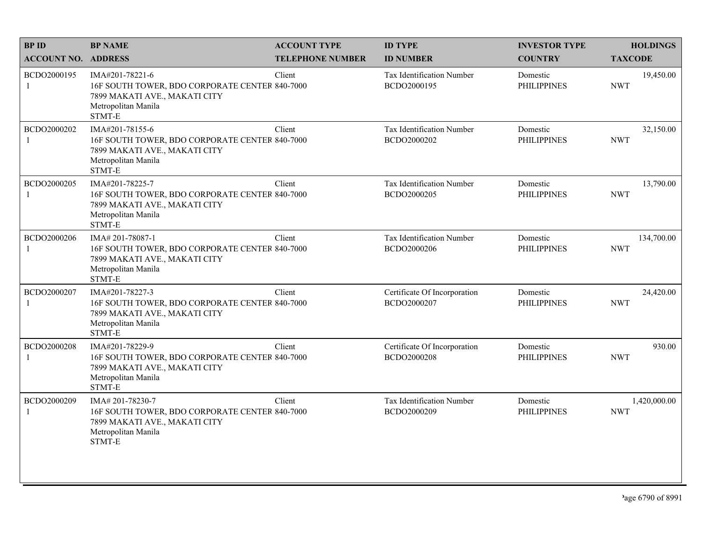| <b>BPID</b>                 | <b>BP NAME</b>                                                                                                                       | <b>ACCOUNT TYPE</b>     | <b>ID TYPE</b>                                  | <b>INVESTOR TYPE</b>           | <b>HOLDINGS</b>            |
|-----------------------------|--------------------------------------------------------------------------------------------------------------------------------------|-------------------------|-------------------------------------------------|--------------------------------|----------------------------|
| <b>ACCOUNT NO. ADDRESS</b>  |                                                                                                                                      | <b>TELEPHONE NUMBER</b> | <b>ID NUMBER</b>                                | <b>COUNTRY</b>                 | <b>TAXCODE</b>             |
| BCDO2000195<br>1            | IMA#201-78221-6<br>16F SOUTH TOWER, BDO CORPORATE CENTER 840-7000<br>7899 MAKATI AVE., MAKATI CITY<br>Metropolitan Manila<br>STMT-E  | Client                  | Tax Identification Number<br>BCDO2000195        | Domestic<br><b>PHILIPPINES</b> | 19,450.00<br><b>NWT</b>    |
| BCDO2000202<br>$\mathbf{1}$ | IMA#201-78155-6<br>16F SOUTH TOWER, BDO CORPORATE CENTER 840-7000<br>7899 MAKATI AVE., MAKATI CITY<br>Metropolitan Manila<br>STMT-E  | Client                  | Tax Identification Number<br>BCDO2000202        | Domestic<br><b>PHILIPPINES</b> | 32,150.00<br><b>NWT</b>    |
| BCDO2000205<br>1            | IMA#201-78225-7<br>16F SOUTH TOWER, BDO CORPORATE CENTER 840-7000<br>7899 MAKATI AVE., MAKATI CITY<br>Metropolitan Manila<br>STMT-E  | Client                  | Tax Identification Number<br>BCDO2000205        | Domestic<br><b>PHILIPPINES</b> | 13,790.00<br><b>NWT</b>    |
| BCDO2000206<br>$\mathbf{1}$ | IMA# 201-78087-1<br>16F SOUTH TOWER, BDO CORPORATE CENTER 840-7000<br>7899 MAKATI AVE., MAKATI CITY<br>Metropolitan Manila<br>STMT-E | Client                  | Tax Identification Number<br>BCDO2000206        | Domestic<br><b>PHILIPPINES</b> | 134,700.00<br><b>NWT</b>   |
| BCDO2000207<br>1            | IMA#201-78227-3<br>16F SOUTH TOWER, BDO CORPORATE CENTER 840-7000<br>7899 MAKATI AVE., MAKATI CITY<br>Metropolitan Manila<br>STMT-E  | Client                  | Certificate Of Incorporation<br>BCDO2000207     | Domestic<br><b>PHILIPPINES</b> | 24,420.00<br><b>NWT</b>    |
| BCDO2000208<br>$\mathbf{1}$ | IMA#201-78229-9<br>16F SOUTH TOWER, BDO CORPORATE CENTER 840-7000<br>7899 MAKATI AVE., MAKATI CITY<br>Metropolitan Manila<br>STMT-E  | Client                  | Certificate Of Incorporation<br>BCDO2000208     | Domestic<br><b>PHILIPPINES</b> | 930.00<br><b>NWT</b>       |
| BCDO2000209<br>1            | IMA# 201-78230-7<br>16F SOUTH TOWER, BDO CORPORATE CENTER 840-7000<br>7899 MAKATI AVE., MAKATI CITY<br>Metropolitan Manila<br>STMT-E | Client                  | <b>Tax Identification Number</b><br>BCDO2000209 | Domestic<br><b>PHILIPPINES</b> | 1,420,000.00<br><b>NWT</b> |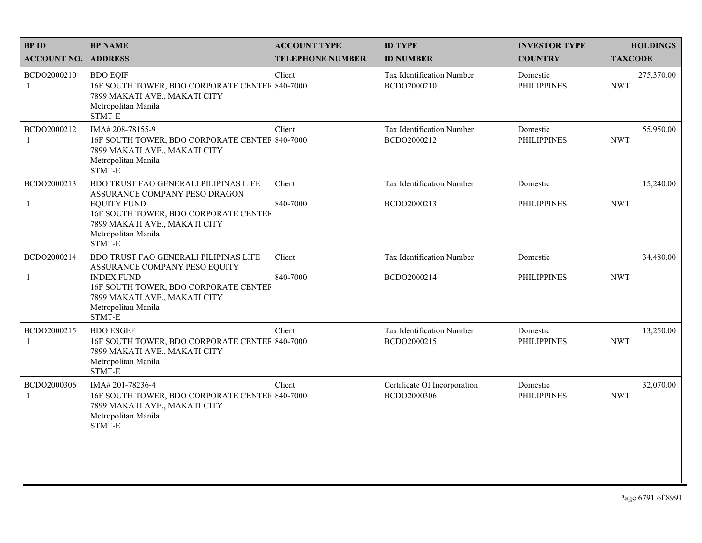| <b>BPID</b>                 | <b>BP NAME</b>                                                                                                                                                                                          | <b>ACCOUNT TYPE</b>     | <b>ID TYPE</b>                              | <b>INVESTOR TYPE</b>           | <b>HOLDINGS</b>          |
|-----------------------------|---------------------------------------------------------------------------------------------------------------------------------------------------------------------------------------------------------|-------------------------|---------------------------------------------|--------------------------------|--------------------------|
| <b>ACCOUNT NO. ADDRESS</b>  |                                                                                                                                                                                                         | <b>TELEPHONE NUMBER</b> | <b>ID NUMBER</b>                            | <b>COUNTRY</b>                 | <b>TAXCODE</b>           |
| BCDO2000210<br>1            | <b>BDO EQIF</b><br>16F SOUTH TOWER, BDO CORPORATE CENTER 840-7000<br>7899 MAKATI AVE., MAKATI CITY<br>Metropolitan Manila<br>STMT-E                                                                     | Client                  | Tax Identification Number<br>BCDO2000210    | Domestic<br><b>PHILIPPINES</b> | 275,370.00<br><b>NWT</b> |
| BCDO2000212<br>1            | IMA# 208-78155-9<br>16F SOUTH TOWER, BDO CORPORATE CENTER 840-7000<br>7899 MAKATI AVE., MAKATI CITY<br>Metropolitan Manila<br>STMT-E                                                                    | Client                  | Tax Identification Number<br>BCDO2000212    | Domestic<br><b>PHILIPPINES</b> | 55,950.00<br><b>NWT</b>  |
| BCDO2000213<br>$\mathbf{1}$ | BDO TRUST FAO GENERALI PILIPINAS LIFE<br>ASSURANCE COMPANY PESO DRAGON<br><b>EQUITY FUND</b><br>16F SOUTH TOWER, BDO CORPORATE CENTER<br>7899 MAKATI AVE., MAKATI CITY<br>Metropolitan Manila<br>STMT-E | Client<br>840-7000      | Tax Identification Number<br>BCDO2000213    | Domestic<br><b>PHILIPPINES</b> | 15,240.00<br><b>NWT</b>  |
| BCDO2000214<br>1            | BDO TRUST FAO GENERALI PILIPINAS LIFE<br>ASSURANCE COMPANY PESO EQUITY<br><b>INDEX FUND</b><br>16F SOUTH TOWER, BDO CORPORATE CENTER<br>7899 MAKATI AVE., MAKATI CITY<br>Metropolitan Manila<br>STMT-E  | Client<br>840-7000      | Tax Identification Number<br>BCDO2000214    | Domestic<br><b>PHILIPPINES</b> | 34,480.00<br><b>NWT</b>  |
| BCDO2000215<br>1            | <b>BDO ESGEF</b><br>16F SOUTH TOWER, BDO CORPORATE CENTER 840-7000<br>7899 MAKATI AVE., MAKATI CITY<br>Metropolitan Manila<br>STMT-E                                                                    | Client                  | Tax Identification Number<br>BCDO2000215    | Domestic<br><b>PHILIPPINES</b> | 13,250.00<br><b>NWT</b>  |
| BCDO2000306<br>1            | IMA# 201-78236-4<br>16F SOUTH TOWER, BDO CORPORATE CENTER 840-7000<br>7899 MAKATI AVE., MAKATI CITY<br>Metropolitan Manila<br>STMT-E                                                                    | Client                  | Certificate Of Incorporation<br>BCDO2000306 | Domestic<br><b>PHILIPPINES</b> | 32,070.00<br><b>NWT</b>  |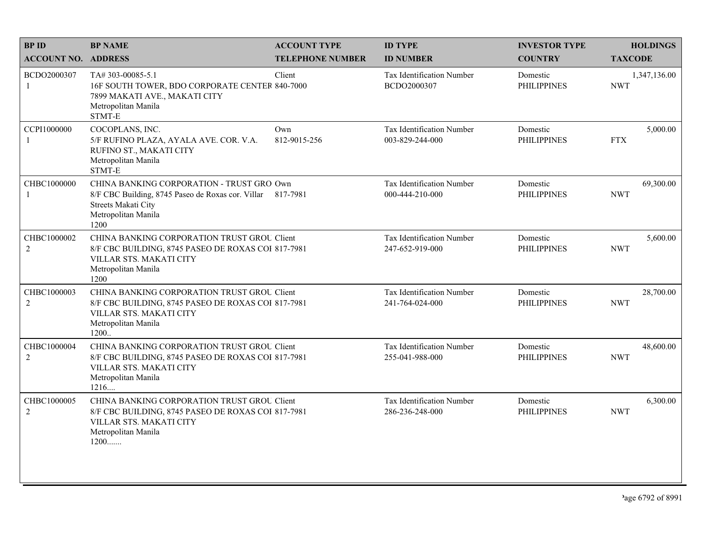| <b>BPID</b>                   | <b>BP NAME</b>                                                                                                                                                | <b>ACCOUNT TYPE</b>     | <b>ID TYPE</b>                                      | <b>INVESTOR TYPE</b>           | <b>HOLDINGS</b>            |
|-------------------------------|---------------------------------------------------------------------------------------------------------------------------------------------------------------|-------------------------|-----------------------------------------------------|--------------------------------|----------------------------|
| <b>ACCOUNT NO. ADDRESS</b>    |                                                                                                                                                               | <b>TELEPHONE NUMBER</b> | <b>ID NUMBER</b>                                    | <b>COUNTRY</b>                 | <b>TAXCODE</b>             |
| BCDO2000307<br>1              | TA# 303-00085-5.1<br>16F SOUTH TOWER, BDO CORPORATE CENTER 840-7000<br>7899 MAKATI AVE., MAKATI CITY<br>Metropolitan Manila<br>STMT-E                         | Client                  | <b>Tax Identification Number</b><br>BCDO2000307     | Domestic<br><b>PHILIPPINES</b> | 1,347,136.00<br><b>NWT</b> |
| CCPI1000000                   | COCOPLANS, INC.<br>5/F RUFINO PLAZA, AYALA AVE. COR. V.A.<br>RUFINO ST., MAKATI CITY<br>Metropolitan Manila<br>STMT-E                                         | Own<br>812-9015-256     | Tax Identification Number<br>003-829-244-000        | Domestic<br><b>PHILIPPINES</b> | 5,000.00<br><b>FTX</b>     |
| CHBC1000000<br>1              | CHINA BANKING CORPORATION - TRUST GRO Own<br>8/F CBC Building, 8745 Paseo de Roxas cor. Villar 817-7981<br>Streets Makati City<br>Metropolitan Manila<br>1200 |                         | Tax Identification Number<br>000-444-210-000        | Domestic<br><b>PHILIPPINES</b> | 69,300.00<br><b>NWT</b>    |
| CHBC1000002<br>$\overline{2}$ | CHINA BANKING CORPORATION TRUST GROU Client<br>8/F CBC BUILDING, 8745 PASEO DE ROXAS COI 817-7981<br>VILLAR STS. MAKATI CITY<br>Metropolitan Manila<br>1200   |                         | Tax Identification Number<br>247-652-919-000        | Domestic<br><b>PHILIPPINES</b> | 5,600.00<br><b>NWT</b>     |
| CHBC1000003<br>$\overline{2}$ | CHINA BANKING CORPORATION TRUST GROU Client<br>8/F CBC BUILDING, 8745 PASEO DE ROXAS COI 817-7981<br>VILLAR STS. MAKATI CITY<br>Metropolitan Manila<br>1200   |                         | Tax Identification Number<br>241-764-024-000        | Domestic<br><b>PHILIPPINES</b> | 28,700.00<br><b>NWT</b>    |
| CHBC1000004<br>$\overline{2}$ | CHINA BANKING CORPORATION TRUST GROU Client<br>8/F CBC BUILDING, 8745 PASEO DE ROXAS COI 817-7981<br>VILLAR STS. MAKATI CITY<br>Metropolitan Manila<br>1216   |                         | Tax Identification Number<br>255-041-988-000        | Domestic<br><b>PHILIPPINES</b> | 48,600.00<br><b>NWT</b>    |
| CHBC1000005<br>$\overline{2}$ | CHINA BANKING CORPORATION TRUST GROU Client<br>8/F CBC BUILDING, 8745 PASEO DE ROXAS COI 817-7981<br>VILLAR STS. MAKATI CITY<br>Metropolitan Manila<br>1200   |                         | <b>Tax Identification Number</b><br>286-236-248-000 | Domestic<br><b>PHILIPPINES</b> | 6,300.00<br><b>NWT</b>     |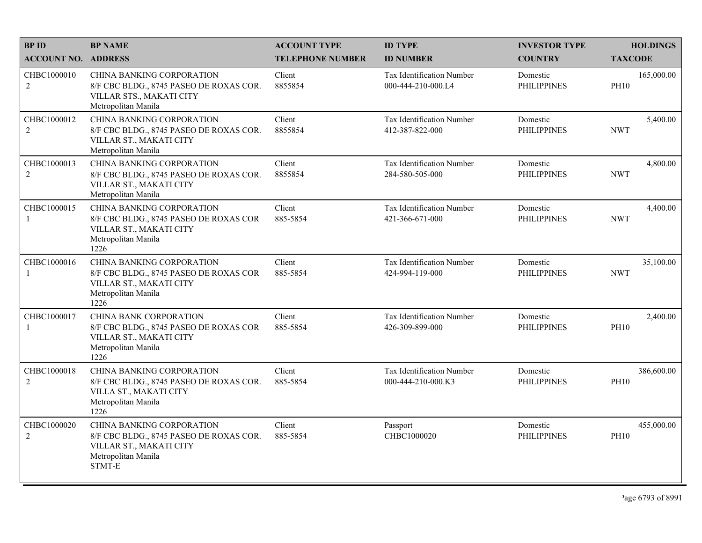| <b>BPID</b>                   | <b>BP NAME</b>                                                                                                                       | <b>ACCOUNT TYPE</b>     | <b>ID TYPE</b>                                  | <b>INVESTOR TYPE</b>           | <b>HOLDINGS</b>           |
|-------------------------------|--------------------------------------------------------------------------------------------------------------------------------------|-------------------------|-------------------------------------------------|--------------------------------|---------------------------|
| <b>ACCOUNT NO. ADDRESS</b>    |                                                                                                                                      | <b>TELEPHONE NUMBER</b> | <b>ID NUMBER</b>                                | <b>COUNTRY</b>                 | <b>TAXCODE</b>            |
| CHBC1000010<br>2              | <b>CHINA BANKING CORPORATION</b><br>8/F CBC BLDG., 8745 PASEO DE ROXAS COR.<br>VILLAR STS., MAKATI CITY<br>Metropolitan Manila       | Client<br>8855854       | Tax Identification Number<br>000-444-210-000.L4 | Domestic<br><b>PHILIPPINES</b> | 165,000.00<br><b>PH10</b> |
| CHBC1000012<br>$\overline{2}$ | <b>CHINA BANKING CORPORATION</b><br>8/F CBC BLDG., 8745 PASEO DE ROXAS COR.<br>VILLAR ST., MAKATI CITY<br>Metropolitan Manila        | Client<br>8855854       | Tax Identification Number<br>412-387-822-000    | Domestic<br><b>PHILIPPINES</b> | 5,400.00<br><b>NWT</b>    |
| CHBC1000013<br>$\overline{2}$ | CHINA BANKING CORPORATION<br>8/F CBC BLDG., 8745 PASEO DE ROXAS COR.<br>VILLAR ST., MAKATI CITY<br>Metropolitan Manila               | Client<br>8855854       | Tax Identification Number<br>284-580-505-000    | Domestic<br><b>PHILIPPINES</b> | 4,800.00<br><b>NWT</b>    |
| CHBC1000015<br>-1             | <b>CHINA BANKING CORPORATION</b><br>8/F CBC BLDG., 8745 PASEO DE ROXAS COR<br>VILLAR ST., MAKATI CITY<br>Metropolitan Manila<br>1226 | Client<br>885-5854      | Tax Identification Number<br>421-366-671-000    | Domestic<br><b>PHILIPPINES</b> | 4,400.00<br><b>NWT</b>    |
| CHBC1000016<br>-1             | <b>CHINA BANKING CORPORATION</b><br>8/F CBC BLDG., 8745 PASEO DE ROXAS COR<br>VILLAR ST., MAKATI CITY<br>Metropolitan Manila<br>1226 | Client<br>885-5854      | Tax Identification Number<br>424-994-119-000    | Domestic<br><b>PHILIPPINES</b> | 35,100.00<br><b>NWT</b>   |
| CHBC1000017<br>$\mathbf{1}$   | CHINA BANK CORPORATION<br>8/F CBC BLDG., 8745 PASEO DE ROXAS COR<br>VILLAR ST., MAKATI CITY<br>Metropolitan Manila<br>1226           | Client<br>885-5854      | Tax Identification Number<br>426-309-899-000    | Domestic<br><b>PHILIPPINES</b> | 2,400.00<br><b>PH10</b>   |
| CHBC1000018<br>$\overline{2}$ | <b>CHINA BANKING CORPORATION</b><br>8/F CBC BLDG., 8745 PASEO DE ROXAS COR.<br>VILLA ST., MAKATI CITY<br>Metropolitan Manila<br>1226 | Client<br>885-5854      | Tax Identification Number<br>000-444-210-000.K3 | Domestic<br><b>PHILIPPINES</b> | 386,600.00<br><b>PH10</b> |
| CHBC1000020<br>2              | CHINA BANKING CORPORATION<br>8/F CBC BLDG., 8745 PASEO DE ROXAS COR.<br>VILLAR ST., MAKATI CITY<br>Metropolitan Manila<br>STMT-E     | Client<br>885-5854      | Passport<br>CHBC1000020                         | Domestic<br><b>PHILIPPINES</b> | 455,000.00<br><b>PH10</b> |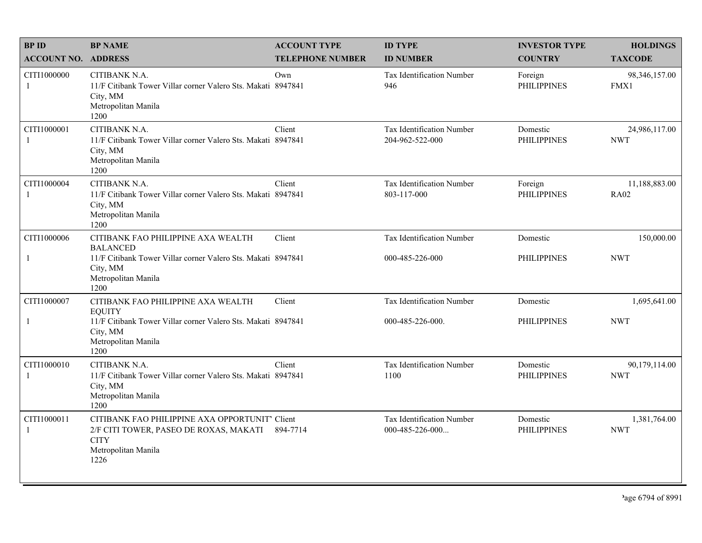| <b>BPID</b>                 | <b>BP NAME</b>                                                                                                                         | <b>ACCOUNT TYPE</b>     | <b>ID TYPE</b>                                 | <b>INVESTOR TYPE</b>           | <b>HOLDINGS</b>              |
|-----------------------------|----------------------------------------------------------------------------------------------------------------------------------------|-------------------------|------------------------------------------------|--------------------------------|------------------------------|
| <b>ACCOUNT NO. ADDRESS</b>  |                                                                                                                                        | <b>TELEPHONE NUMBER</b> | <b>ID NUMBER</b>                               | <b>COUNTRY</b>                 | <b>TAXCODE</b>               |
| CITI1000000<br>-1           | CITIBANK N.A.<br>11/F Citibank Tower Villar corner Valero Sts. Makati 8947841<br>City, MM<br>Metropolitan Manila<br>1200               | Own                     | <b>Tax Identification Number</b><br>946        | Foreign<br><b>PHILIPPINES</b>  | 98,346,157.00<br>FMX1        |
| CITI1000001<br>-1           | CITIBANK N.A.<br>11/F Citibank Tower Villar corner Valero Sts. Makati 8947841<br>City, MM<br>Metropolitan Manila<br>1200               | Client                  | Tax Identification Number<br>204-962-522-000   | Domestic<br><b>PHILIPPINES</b> | 24,986,117.00<br><b>NWT</b>  |
| CITI1000004<br>-1           | CITIBANK N.A.<br>11/F Citibank Tower Villar corner Valero Sts. Makati 8947841<br>City, MM<br>Metropolitan Manila<br>1200               | Client                  | Tax Identification Number<br>803-117-000       | Foreign<br><b>PHILIPPINES</b>  | 11,188,883.00<br><b>RA02</b> |
| CITI1000006                 | CITIBANK FAO PHILIPPINE AXA WEALTH<br><b>BALANCED</b>                                                                                  | Client                  | Tax Identification Number                      | Domestic                       | 150,000.00                   |
| $\mathbf{1}$                | 11/F Citibank Tower Villar corner Valero Sts. Makati 8947841<br>City, MM<br>Metropolitan Manila<br>1200                                |                         | 000-485-226-000                                | <b>PHILIPPINES</b>             | <b>NWT</b>                   |
| CITI1000007                 | CITIBANK FAO PHILIPPINE AXA WEALTH<br><b>EQUITY</b>                                                                                    | Client                  | <b>Tax Identification Number</b>               | Domestic                       | 1,695,641.00                 |
| $\mathbf{1}$                | 11/F Citibank Tower Villar corner Valero Sts. Makati 8947841<br>City, MM<br>Metropolitan Manila<br>1200                                |                         | 000-485-226-000.                               | <b>PHILIPPINES</b>             | <b>NWT</b>                   |
| CITI1000010<br>1            | CITIBANK N.A.<br>11/F Citibank Tower Villar corner Valero Sts. Makati 8947841<br>City, MM<br>Metropolitan Manila<br>1200               | Client                  | Tax Identification Number<br>1100              | Domestic<br><b>PHILIPPINES</b> | 90,179,114.00<br><b>NWT</b>  |
| CITI1000011<br>$\mathbf{1}$ | CITIBANK FAO PHILIPPINE AXA OPPORTUNIT' Client<br>2/F CITI TOWER, PASEO DE ROXAS, MAKATI<br><b>CITY</b><br>Metropolitan Manila<br>1226 | 894-7714                | Tax Identification Number<br>$000-485-226-000$ | Domestic<br><b>PHILIPPINES</b> | 1,381,764.00<br><b>NWT</b>   |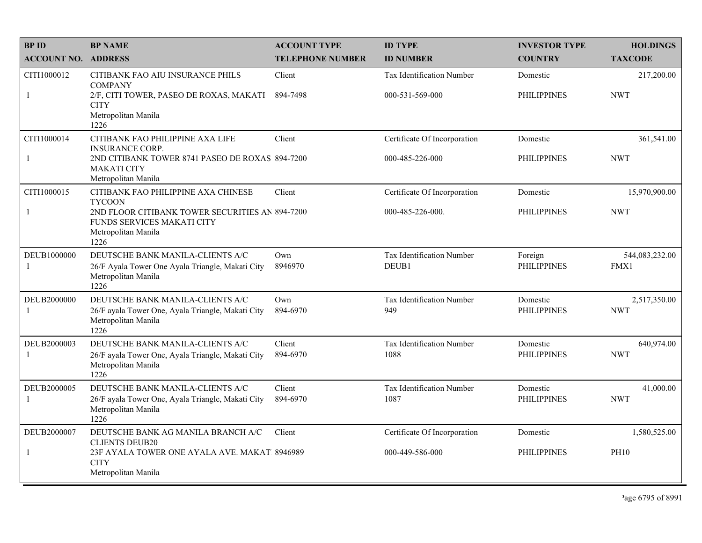| <b>BPID</b>                   | <b>BP NAME</b>                                                                                                       | <b>ACCOUNT TYPE</b>     | <b>ID TYPE</b>                     | <b>INVESTOR TYPE</b>           | <b>HOLDINGS</b>            |
|-------------------------------|----------------------------------------------------------------------------------------------------------------------|-------------------------|------------------------------------|--------------------------------|----------------------------|
| <b>ACCOUNT NO. ADDRESS</b>    |                                                                                                                      | <b>TELEPHONE NUMBER</b> | <b>ID NUMBER</b>                   | <b>COUNTRY</b>                 | <b>TAXCODE</b>             |
| CITI1000012                   | CITIBANK FAO AIU INSURANCE PHILS<br><b>COMPANY</b>                                                                   | Client                  | Tax Identification Number          | Domestic                       | 217,200.00                 |
| $\mathbf{1}$                  | 2/F, CITI TOWER, PASEO DE ROXAS, MAKATI<br><b>CITY</b><br>Metropolitan Manila<br>1226                                | 894-7498                | 000-531-569-000                    | <b>PHILIPPINES</b>             | <b>NWT</b>                 |
| CITI1000014                   | CITIBANK FAO PHILIPPINE AXA LIFE<br><b>INSURANCE CORP.</b>                                                           | Client                  | Certificate Of Incorporation       | Domestic                       | 361,541.00                 |
| 1                             | 2ND CITIBANK TOWER 8741 PASEO DE ROXAS 894-7200<br><b>MAKATI CITY</b><br>Metropolitan Manila                         |                         | 000-485-226-000                    | <b>PHILIPPINES</b>             | <b>NWT</b>                 |
| CITI1000015                   | CITIBANK FAO PHILIPPINE AXA CHINESE<br><b>TYCOON</b>                                                                 | Client                  | Certificate Of Incorporation       | Domestic                       | 15,970,900.00              |
| 1                             | 2ND FLOOR CITIBANK TOWER SECURITIES AN 894-7200<br>FUNDS SERVICES MAKATI CITY<br>Metropolitan Manila<br>1226         |                         | 000-485-226-000.                   | <b>PHILIPPINES</b>             | <b>NWT</b>                 |
| DEUB1000000<br>$\overline{1}$ | DEUTSCHE BANK MANILA-CLIENTS A/C<br>26/F Ayala Tower One Ayala Triangle, Makati City<br>Metropolitan Manila<br>1226  | Own<br>8946970          | Tax Identification Number<br>DEUB1 | Foreign<br><b>PHILIPPINES</b>  | 544,083,232.00<br>FMX1     |
| DEUB2000000<br>1              | DEUTSCHE BANK MANILA-CLIENTS A/C<br>26/F ayala Tower One, Ayala Triangle, Makati City<br>Metropolitan Manila<br>1226 | Own<br>894-6970         | Tax Identification Number<br>949   | Domestic<br><b>PHILIPPINES</b> | 2,517,350.00<br><b>NWT</b> |
| DEUB2000003<br>$\mathbf{1}$   | DEUTSCHE BANK MANILA-CLIENTS A/C<br>26/F ayala Tower One, Ayala Triangle, Makati City<br>Metropolitan Manila<br>1226 | Client<br>894-6970      | Tax Identification Number<br>1088  | Domestic<br><b>PHILIPPINES</b> | 640,974.00<br><b>NWT</b>   |
| DEUB2000005<br>-1             | DEUTSCHE BANK MANILA-CLIENTS A/C<br>26/F ayala Tower One, Ayala Triangle, Makati City<br>Metropolitan Manila<br>1226 | Client<br>894-6970      | Tax Identification Number<br>1087  | Domestic<br><b>PHILIPPINES</b> | 41,000.00<br><b>NWT</b>    |
| DEUB2000007                   | DEUTSCHE BANK AG MANILA BRANCH A/C<br><b>CLIENTS DEUB20</b>                                                          | Client                  | Certificate Of Incorporation       | Domestic                       | 1,580,525.00               |
| $\mathbf{1}$                  | 23F AYALA TOWER ONE AYALA AVE. MAKAT 8946989<br><b>CITY</b><br>Metropolitan Manila                                   |                         | 000-449-586-000                    | <b>PHILIPPINES</b>             | <b>PH10</b>                |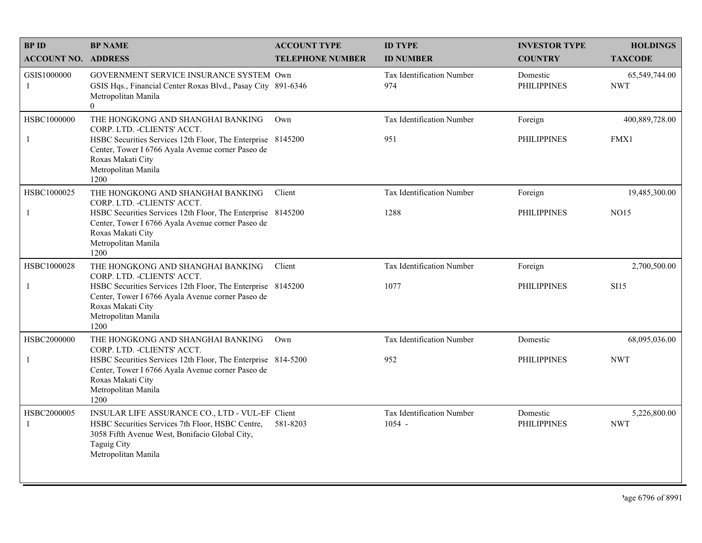| <b>BPID</b>                 | <b>BP NAME</b>                                                                                                                                                                                                                            | <b>ACCOUNT TYPE</b>     | <b>ID TYPE</b>                               | <b>INVESTOR TYPE</b>           | <b>HOLDINGS</b>              |
|-----------------------------|-------------------------------------------------------------------------------------------------------------------------------------------------------------------------------------------------------------------------------------------|-------------------------|----------------------------------------------|--------------------------------|------------------------------|
| <b>ACCOUNT NO. ADDRESS</b>  |                                                                                                                                                                                                                                           | <b>TELEPHONE NUMBER</b> | <b>ID NUMBER</b>                             | <b>COUNTRY</b>                 | <b>TAXCODE</b>               |
| GSIS1000000<br>-1           | GOVERNMENT SERVICE INSURANCE SYSTEM Own<br>GSIS Hqs., Financial Center Roxas Blvd., Pasay City 891-6346<br>Metropolitan Manila<br>$\overline{0}$                                                                                          |                         | Tax Identification Number<br>974             | Domestic<br><b>PHILIPPINES</b> | 65,549,744.00<br><b>NWT</b>  |
| HSBC1000000<br>$\mathbf{1}$ | THE HONGKONG AND SHANGHAI BANKING<br>CORP. LTD. - CLIENTS' ACCT.<br>HSBC Securities Services 12th Floor, The Enterprise 8145200<br>Center, Tower I 6766 Ayala Avenue corner Paseo de<br>Roxas Makati City<br>Metropolitan Manila<br>1200  | Own                     | Tax Identification Number<br>951             | Foreign<br><b>PHILIPPINES</b>  | 400,889,728.00<br>FMX1       |
| HSBC1000025<br>-1           | THE HONGKONG AND SHANGHAI BANKING<br>CORP. LTD. - CLIENTS' ACCT.<br>HSBC Securities Services 12th Floor, The Enterprise 8145200<br>Center, Tower I 6766 Ayala Avenue corner Paseo de<br>Roxas Makati City<br>Metropolitan Manila<br>1200  | Client                  | Tax Identification Number<br>1288            | Foreign<br><b>PHILIPPINES</b>  | 19,485,300.00<br><b>NO15</b> |
| HSBC1000028<br>$\mathbf{1}$ | THE HONGKONG AND SHANGHAI BANKING<br>CORP. LTD. - CLIENTS' ACCT.<br>HSBC Securities Services 12th Floor, The Enterprise 8145200<br>Center, Tower I 6766 Ayala Avenue corner Paseo de<br>Roxas Makati City<br>Metropolitan Manila<br>1200  | Client                  | Tax Identification Number<br>1077            | Foreign<br><b>PHILIPPINES</b>  | 2,700,500.00<br><b>SI15</b>  |
| HSBC2000000<br>$\mathbf{1}$ | THE HONGKONG AND SHANGHAI BANKING<br>CORP. LTD. - CLIENTS' ACCT.<br>HSBC Securities Services 12th Floor, The Enterprise 814-5200<br>Center, Tower I 6766 Ayala Avenue corner Paseo de<br>Roxas Makati City<br>Metropolitan Manila<br>1200 | Own                     | <b>Tax Identification Number</b><br>952      | Domestic<br><b>PHILIPPINES</b> | 68,095,036.00<br><b>NWT</b>  |
| HSBC2000005<br>$\mathbf{1}$ | INSULAR LIFE ASSURANCE CO., LTD - VUL-EF Client<br>HSBC Securities Services 7th Floor, HSBC Centre,<br>3058 Fifth Avenue West, Bonifacio Global City,<br><b>Taguig City</b><br>Metropolitan Manila                                        | 581-8203                | <b>Tax Identification Number</b><br>$1054 -$ | Domestic<br><b>PHILIPPINES</b> | 5,226,800.00<br><b>NWT</b>   |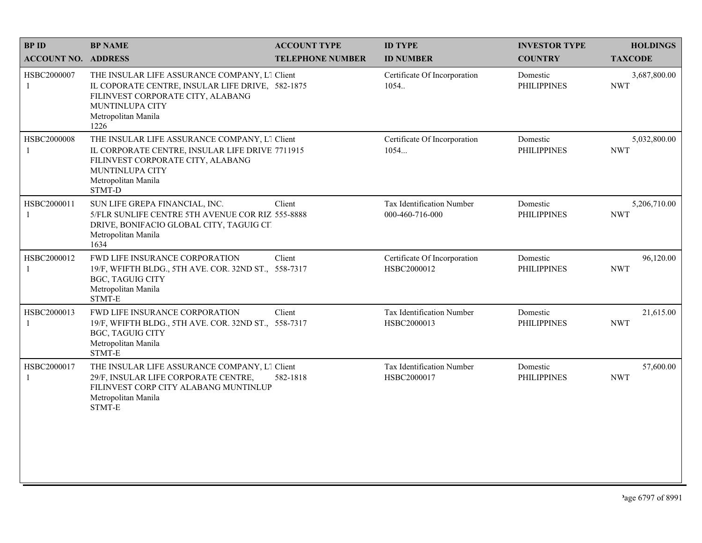| <b>BPID</b>                | <b>BP NAME</b>                                                                                                                                                                                   | <b>ACCOUNT TYPE</b>     | <b>ID TYPE</b>                                  | <b>INVESTOR TYPE</b>           | <b>HOLDINGS</b>            |
|----------------------------|--------------------------------------------------------------------------------------------------------------------------------------------------------------------------------------------------|-------------------------|-------------------------------------------------|--------------------------------|----------------------------|
| <b>ACCOUNT NO. ADDRESS</b> |                                                                                                                                                                                                  | <b>TELEPHONE NUMBER</b> | <b>ID NUMBER</b>                                | <b>COUNTRY</b>                 | <b>TAXCODE</b>             |
| HSBC2000007<br>1           | THE INSULAR LIFE ASSURANCE COMPANY, L1 Client<br>IL COPORATE CENTRE, INSULAR LIFE DRIVE, 582-1875<br>FILINVEST CORPORATE CITY, ALABANG<br>MUNTINLUPA CITY<br>Metropolitan Manila<br>1226         |                         | Certificate Of Incorporation<br>1054.           | Domestic<br><b>PHILIPPINES</b> | 3,687,800.00<br><b>NWT</b> |
| HSBC2000008<br>1           | THE INSULAR LIFE ASSURANCE COMPANY, L1 Client<br>IL CORPORATE CENTRE, INSULAR LIFE DRIVE 7711915<br>FILINVEST CORPORATE CITY, ALABANG<br><b>MUNTINLUPA CITY</b><br>Metropolitan Manila<br>STMT-D |                         | Certificate Of Incorporation<br>1054            | Domestic<br><b>PHILIPPINES</b> | 5,032,800.00<br><b>NWT</b> |
| HSBC2000011<br>1           | SUN LIFE GREPA FINANCIAL, INC.<br>5/FLR SUNLIFE CENTRE 5TH AVENUE COR RIZ 555-8888<br>DRIVE, BONIFACIO GLOBAL CITY, TAGUIG CIT<br>Metropolitan Manila<br>1634                                    | Client                  | Tax Identification Number<br>000-460-716-000    | Domestic<br><b>PHILIPPINES</b> | 5,206,710.00<br><b>NWT</b> |
| HSBC2000012<br>1           | FWD LIFE INSURANCE CORPORATION<br>19/F, WFIFTH BLDG., 5TH AVE. COR. 32ND ST., 558-7317<br><b>BGC, TAGUIG CITY</b><br>Metropolitan Manila<br>STMT-E                                               | Client                  | Certificate Of Incorporation<br>HSBC2000012     | Domestic<br><b>PHILIPPINES</b> | 96,120.00<br><b>NWT</b>    |
| HSBC2000013<br>1           | FWD LIFE INSURANCE CORPORATION<br>19/F, WFIFTH BLDG., 5TH AVE. COR. 32ND ST., 558-7317<br><b>BGC, TAGUIG CITY</b><br>Metropolitan Manila<br>STMT-E                                               | Client                  | <b>Tax Identification Number</b><br>HSBC2000013 | Domestic<br><b>PHILIPPINES</b> | 21,615.00<br><b>NWT</b>    |
| HSBC2000017<br>-1          | THE INSULAR LIFE ASSURANCE COMPANY, L1 Client<br>29/F, INSULAR LIFE CORPORATE CENTRE,<br>FILINVEST CORP CITY ALABANG MUNTINLUP<br>Metropolitan Manila<br>STMT-E                                  | 582-1818                | Tax Identification Number<br>HSBC2000017        | Domestic<br><b>PHILIPPINES</b> | 57,600.00<br><b>NWT</b>    |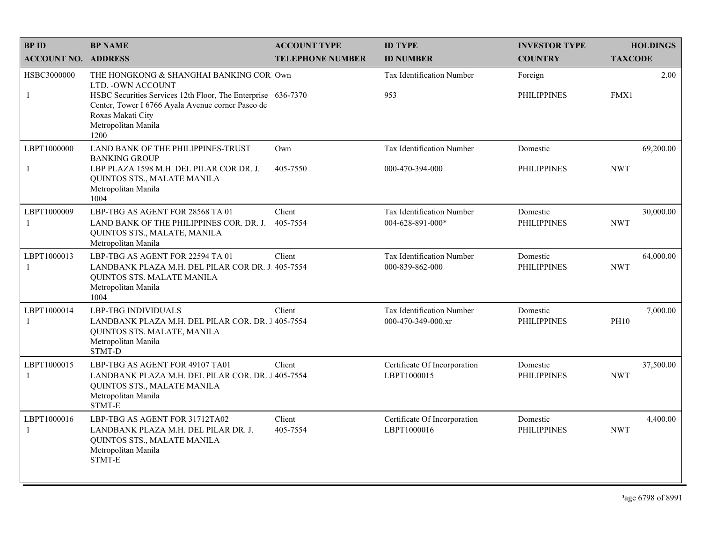| <b>BPID</b>                 | <b>BP NAME</b>                                                                                                                                                                                                                         | <b>ACCOUNT TYPE</b>     | <b>ID TYPE</b>                                      | <b>INVESTOR TYPE</b>           | <b>HOLDINGS</b>         |
|-----------------------------|----------------------------------------------------------------------------------------------------------------------------------------------------------------------------------------------------------------------------------------|-------------------------|-----------------------------------------------------|--------------------------------|-------------------------|
| <b>ACCOUNT NO. ADDRESS</b>  |                                                                                                                                                                                                                                        | <b>TELEPHONE NUMBER</b> | <b>ID NUMBER</b>                                    | <b>COUNTRY</b>                 | <b>TAXCODE</b>          |
| HSBC3000000<br>$\mathbf{1}$ | THE HONGKONG & SHANGHAI BANKING COR Own<br>LTD. - OWN ACCOUNT<br>HSBC Securities Services 12th Floor, The Enterprise 636-7370<br>Center, Tower I 6766 Ayala Avenue corner Paseo de<br>Roxas Makati City<br>Metropolitan Manila<br>1200 |                         | Tax Identification Number<br>953                    | Foreign<br><b>PHILIPPINES</b>  | 2.00<br>FMX1            |
| LBPT1000000<br>$\mathbf{1}$ | <b>LAND BANK OF THE PHILIPPINES-TRUST</b><br><b>BANKING GROUP</b><br>LBP PLAZA 1598 M.H. DEL PILAR COR DR. J.<br>QUINTOS STS., MALATE MANILA<br>Metropolitan Manila<br>1004                                                            | Own<br>405-7550         | <b>Tax Identification Number</b><br>000-470-394-000 | Domestic<br><b>PHILIPPINES</b> | 69,200.00<br><b>NWT</b> |
| LBPT1000009<br>-1           | LBP-TBG AS AGENT FOR 28568 TA 01<br>LAND BANK OF THE PHILIPPINES COR. DR. J.<br>QUINTOS STS., MALATE, MANILA<br>Metropolitan Manila                                                                                                    | Client<br>405-7554      | Tax Identification Number<br>004-628-891-000*       | Domestic<br><b>PHILIPPINES</b> | 30,000.00<br><b>NWT</b> |
| LBPT1000013<br>-1           | LBP-TBG AS AGENT FOR 22594 TA 01<br>LANDBANK PLAZA M.H. DEL PILAR COR DR. J. 405-7554<br>QUINTOS STS. MALATE MANILA<br>Metropolitan Manila<br>1004                                                                                     | Client                  | Tax Identification Number<br>000-839-862-000        | Domestic<br><b>PHILIPPINES</b> | 64,000.00<br><b>NWT</b> |
| LBPT1000014<br>-1           | <b>LBP-TBG INDIVIDUALS</b><br>LANDBANK PLAZA M.H. DEL PILAR COR. DR. 1405-7554<br>QUINTOS STS. MALATE, MANILA<br>Metropolitan Manila<br>STMT-D                                                                                         | Client                  | Tax Identification Number<br>000-470-349-000.xr     | Domestic<br><b>PHILIPPINES</b> | 7,000.00<br><b>PH10</b> |
| LBPT1000015<br>$\mathbf{1}$ | LBP-TBG AS AGENT FOR 49107 TA01<br>LANDBANK PLAZA M.H. DEL PILAR COR. DR. J 405-7554<br>QUINTOS STS., MALATE MANILA<br>Metropolitan Manila<br>STMT-E                                                                                   | Client                  | Certificate Of Incorporation<br>LBPT1000015         | Domestic<br><b>PHILIPPINES</b> | 37,500.00<br><b>NWT</b> |
| LBPT1000016<br>-1           | LBP-TBG AS AGENT FOR 31712TA02<br>LANDBANK PLAZA M.H. DEL PILAR DR. J.<br>QUINTOS STS., MALATE MANILA<br>Metropolitan Manila<br>STMT-E                                                                                                 | Client<br>405-7554      | Certificate Of Incorporation<br>LBPT1000016         | Domestic<br><b>PHILIPPINES</b> | 4,400.00<br><b>NWT</b>  |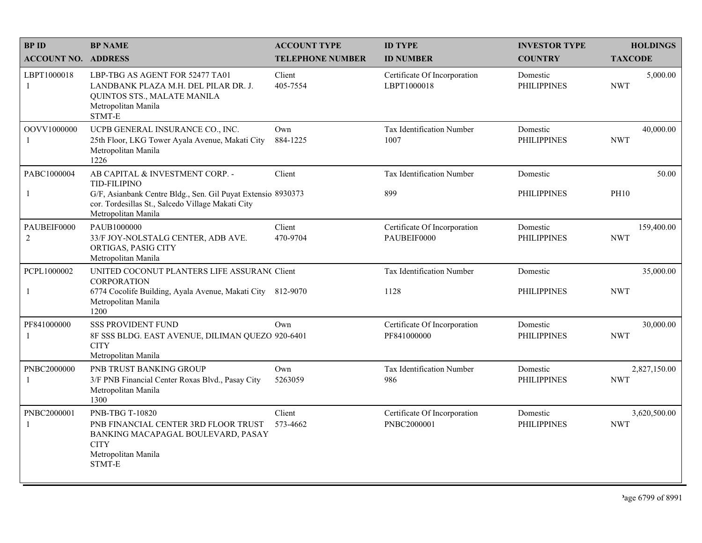| <b>BPID</b>                   | <b>BP NAME</b>                                                                                                                                | <b>ACCOUNT TYPE</b>     | <b>ID TYPE</b>                              | <b>INVESTOR TYPE</b>           | <b>HOLDINGS</b>            |
|-------------------------------|-----------------------------------------------------------------------------------------------------------------------------------------------|-------------------------|---------------------------------------------|--------------------------------|----------------------------|
| <b>ACCOUNT NO. ADDRESS</b>    |                                                                                                                                               | <b>TELEPHONE NUMBER</b> | <b>ID NUMBER</b>                            | <b>COUNTRY</b>                 | <b>TAXCODE</b>             |
| LBPT1000018<br>-1             | LBP-TBG AS AGENT FOR 52477 TA01<br>LANDBANK PLAZA M.H. DEL PILAR DR. J.<br>QUINTOS STS., MALATE MANILA<br>Metropolitan Manila<br>STMT-E       | Client<br>405-7554      | Certificate Of Incorporation<br>LBPT1000018 | Domestic<br><b>PHILIPPINES</b> | 5,000.00<br><b>NWT</b>     |
| OOVV1000000<br>$\mathbf{1}$   | UCPB GENERAL INSURANCE CO., INC.<br>25th Floor, LKG Tower Ayala Avenue, Makati City<br>Metropolitan Manila<br>1226                            | Own<br>884-1225         | Tax Identification Number<br>1007           | Domestic<br><b>PHILIPPINES</b> | 40,000.00<br><b>NWT</b>    |
| PABC1000004                   | AB CAPITAL & INVESTMENT CORP. -<br><b>TID-FILIPINO</b>                                                                                        | Client                  | Tax Identification Number                   | Domestic                       | 50.00                      |
| $\mathbf{1}$                  | G/F, Asianbank Centre Bldg., Sen. Gil Puyat Extensio 8930373<br>cor. Tordesillas St., Salcedo Village Makati City<br>Metropolitan Manila      |                         | 899                                         | <b>PHILIPPINES</b>             | <b>PH10</b>                |
| PAUBEIF0000<br>$\overline{2}$ | PAUB1000000<br>33/F JOY-NOLSTALG CENTER, ADB AVE.<br>ORTIGAS, PASIG CITY<br>Metropolitan Manila                                               | Client<br>470-9704      | Certificate Of Incorporation<br>PAUBEIF0000 | Domestic<br><b>PHILIPPINES</b> | 159,400.00<br><b>NWT</b>   |
| PCPL1000002                   | UNITED COCONUT PLANTERS LIFE ASSURAN( Client<br><b>CORPORATION</b>                                                                            |                         | Tax Identification Number                   | Domestic                       | 35,000.00                  |
| -1                            | 6774 Cocolife Building, Ayala Avenue, Makati City 812-9070<br>Metropolitan Manila<br>1200                                                     |                         | 1128                                        | <b>PHILIPPINES</b>             | <b>NWT</b>                 |
| PF841000000<br>-1             | <b>SSS PROVIDENT FUND</b><br>8F SSS BLDG. EAST AVENUE, DILIMAN QUEZO 920-6401<br><b>CITY</b><br>Metropolitan Manila                           | Own                     | Certificate Of Incorporation<br>PF841000000 | Domestic<br><b>PHILIPPINES</b> | 30,000.00<br><b>NWT</b>    |
| PNBC2000000<br>-1             | PNB TRUST BANKING GROUP<br>3/F PNB Financial Center Roxas Blvd., Pasay City<br>Metropolitan Manila<br>1300                                    | Own<br>5263059          | <b>Tax Identification Number</b><br>986     | Domestic<br><b>PHILIPPINES</b> | 2,827,150.00<br><b>NWT</b> |
| PNBC2000001<br>$\mathbf{1}$   | PNB-TBG T-10820<br>PNB FINANCIAL CENTER 3RD FLOOR TRUST<br>BANKING MACAPAGAL BOULEVARD, PASAY<br><b>CITY</b><br>Metropolitan Manila<br>STMT-E | Client<br>573-4662      | Certificate Of Incorporation<br>PNBC2000001 | Domestic<br><b>PHILIPPINES</b> | 3,620,500.00<br><b>NWT</b> |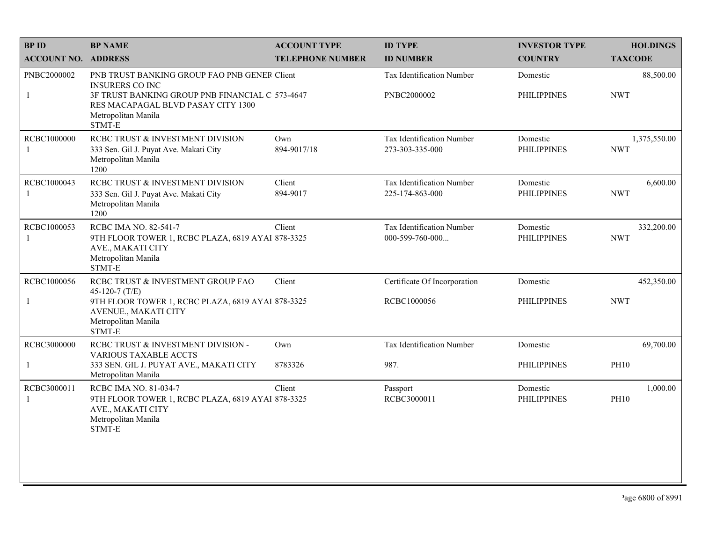| <b>BPID</b>                 | <b>BP NAME</b>                                                                                                                                                                                   | <b>ACCOUNT TYPE</b>     | <b>ID TYPE</b>                                  | <b>INVESTOR TYPE</b>           | <b>HOLDINGS</b>            |
|-----------------------------|--------------------------------------------------------------------------------------------------------------------------------------------------------------------------------------------------|-------------------------|-------------------------------------------------|--------------------------------|----------------------------|
| <b>ACCOUNT NO. ADDRESS</b>  |                                                                                                                                                                                                  | <b>TELEPHONE NUMBER</b> | <b>ID NUMBER</b>                                | <b>COUNTRY</b>                 | <b>TAXCODE</b>             |
| PNBC2000002<br>$\mathbf{1}$ | PNB TRUST BANKING GROUP FAO PNB GENER Client<br><b>INSURERS CO INC</b><br>3F TRUST BANKING GROUP PNB FINANCIAL C 573-4647<br>RES MACAPAGAL BLVD PASAY CITY 1300<br>Metropolitan Manila<br>STMT-E |                         | <b>Tax Identification Number</b><br>PNBC2000002 | Domestic<br><b>PHILIPPINES</b> | 88,500.00<br><b>NWT</b>    |
| RCBC1000000<br>-1           | RCBC TRUST & INVESTMENT DIVISION<br>333 Sen. Gil J. Puyat Ave. Makati City<br>Metropolitan Manila<br>1200                                                                                        | Own<br>894-9017/18      | Tax Identification Number<br>273-303-335-000    | Domestic<br><b>PHILIPPINES</b> | 1,375,550.00<br><b>NWT</b> |
| RCBC1000043<br>$\mathbf{1}$ | RCBC TRUST & INVESTMENT DIVISION<br>333 Sen. Gil J. Puyat Ave. Makati City<br>Metropolitan Manila<br>1200                                                                                        | Client<br>894-9017      | Tax Identification Number<br>225-174-863-000    | Domestic<br><b>PHILIPPINES</b> | 6,600.00<br><b>NWT</b>     |
| RCBC1000053<br>$\mathbf{1}$ | RCBC IMA NO. 82-541-7<br>9TH FLOOR TOWER 1, RCBC PLAZA, 6819 AYAl 878-3325<br>AVE., MAKATI CITY<br>Metropolitan Manila<br>STMT-E                                                                 | Client                  | Tax Identification Number<br>$000-599-760-000$  | Domestic<br><b>PHILIPPINES</b> | 332,200.00<br><b>NWT</b>   |
| RCBC1000056<br>$\mathbf{1}$ | RCBC TRUST & INVESTMENT GROUP FAO<br>45-120-7 $(T/E)$<br>9TH FLOOR TOWER 1, RCBC PLAZA, 6819 AYAI 878-3325<br>AVENUE., MAKATI CITY<br>Metropolitan Manila<br>STMT-E                              | Client                  | Certificate Of Incorporation<br>RCBC1000056     | Domestic<br><b>PHILIPPINES</b> | 452,350.00<br><b>NWT</b>   |
| RCBC3000000<br>$\mathbf{1}$ | RCBC TRUST & INVESTMENT DIVISION -<br><b>VARIOUS TAXABLE ACCTS</b><br>333 SEN. GIL J. PUYAT AVE., MAKATI CITY<br>Metropolitan Manila                                                             | Own<br>8783326          | Tax Identification Number<br>987.               | Domestic<br><b>PHILIPPINES</b> | 69,700.00<br><b>PH10</b>   |
| RCBC3000011<br>$\mathbf{1}$ | RCBC IMA NO. 81-034-7<br>9TH FLOOR TOWER 1, RCBC PLAZA, 6819 AYAI 878-3325<br>AVE., MAKATI CITY<br>Metropolitan Manila<br>STMT-E                                                                 | Client                  | Passport<br>RCBC3000011                         | Domestic<br><b>PHILIPPINES</b> | 1,000.00<br><b>PH10</b>    |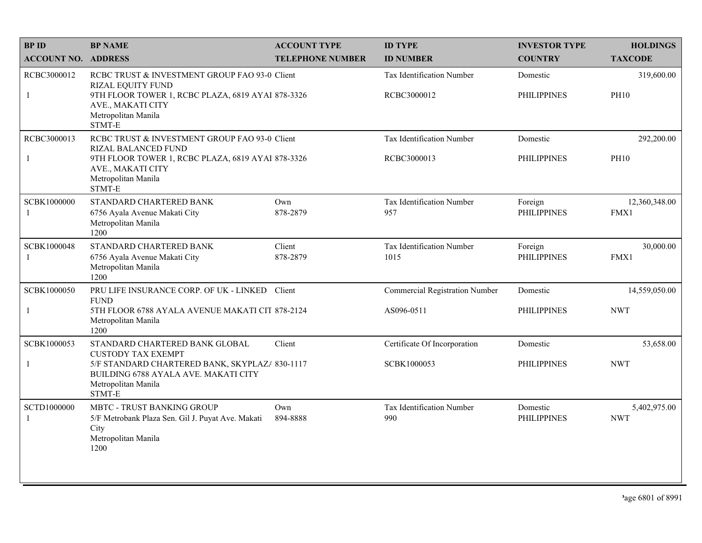| <b>BPID</b>                 | <b>BP NAME</b>                                                                                                                                                                         | <b>ACCOUNT TYPE</b>     | <b>ID TYPE</b>                           | <b>INVESTOR TYPE</b>           | <b>HOLDINGS</b>            |
|-----------------------------|----------------------------------------------------------------------------------------------------------------------------------------------------------------------------------------|-------------------------|------------------------------------------|--------------------------------|----------------------------|
| <b>ACCOUNT NO. ADDRESS</b>  |                                                                                                                                                                                        | <b>TELEPHONE NUMBER</b> | <b>ID NUMBER</b>                         | <b>COUNTRY</b>                 | <b>TAXCODE</b>             |
| RCBC3000012<br>$\mathbf{1}$ | RCBC TRUST & INVESTMENT GROUP FAO 93-0 Client<br><b>RIZAL EQUITY FUND</b><br>9TH FLOOR TOWER 1, RCBC PLAZA, 6819 AYAI 878-3326<br>AVE., MAKATI CITY<br>Metropolitan Manila             |                         | Tax Identification Number<br>RCBC3000012 | Domestic<br><b>PHILIPPINES</b> | 319,600.00<br><b>PH10</b>  |
|                             | STMT-E                                                                                                                                                                                 |                         |                                          |                                |                            |
| RCBC3000013                 | RCBC TRUST & INVESTMENT GROUP FAO 93-0 Client<br><b>RIZAL BALANCED FUND</b><br>9TH FLOOR TOWER 1, RCBC PLAZA, 6819 AYAl 878-3326<br>AVE., MAKATI CITY<br>Metropolitan Manila<br>STMT-E |                         | Tax Identification Number<br>RCBC3000013 | Domestic<br><b>PHILIPPINES</b> | 292,200.00<br><b>PH10</b>  |
| SCBK1000000<br>1            | STANDARD CHARTERED BANK<br>6756 Ayala Avenue Makati City<br>Metropolitan Manila<br>1200                                                                                                | Own<br>878-2879         | Tax Identification Number<br>957         | Foreign<br><b>PHILIPPINES</b>  | 12,360,348.00<br>FMX1      |
| SCBK1000048<br>1            | STANDARD CHARTERED BANK<br>6756 Ayala Avenue Makati City<br>Metropolitan Manila<br>1200                                                                                                | Client<br>878-2879      | Tax Identification Number<br>1015        | Foreign<br><b>PHILIPPINES</b>  | 30,000.00<br>FMX1          |
| SCBK1000050                 | PRU LIFE INSURANCE CORP. OF UK - LINKED                                                                                                                                                | Client                  | <b>Commercial Registration Number</b>    | Domestic                       | 14,559,050.00              |
| 1                           | <b>FUND</b><br>5TH FLOOR 6788 AYALA AVENUE MAKATI CIT 878-2124<br>Metropolitan Manila<br>1200                                                                                          |                         | AS096-0511                               | <b>PHILIPPINES</b>             | <b>NWT</b>                 |
| SCBK1000053                 | STANDARD CHARTERED BANK GLOBAL                                                                                                                                                         | Client                  | Certificate Of Incorporation             | Domestic                       | 53,658.00                  |
|                             | <b>CUSTODY TAX EXEMPT</b><br>5/F STANDARD CHARTERED BANK, SKYPLAZ/ 830-1117<br>BUILDING 6788 AYALA AVE. MAKATI CITY<br>Metropolitan Manila<br>STMT-E                                   |                         | SCBK1000053                              | <b>PHILIPPINES</b>             | <b>NWT</b>                 |
| SCTD1000000                 | <b>MBTC - TRUST BANKING GROUP</b><br>5/F Metrobank Plaza Sen. Gil J. Puyat Ave. Makati<br>City<br>Metropolitan Manila<br>1200                                                          | Own<br>894-8888         | Tax Identification Number<br>990         | Domestic<br><b>PHILIPPINES</b> | 5,402,975.00<br><b>NWT</b> |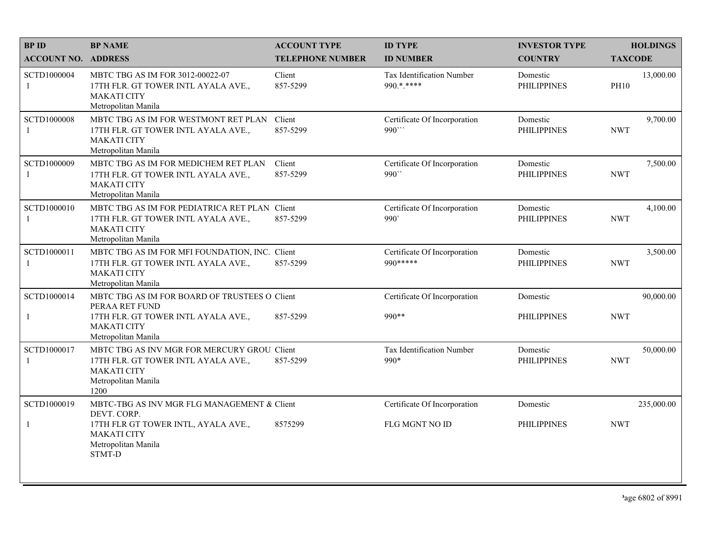| <b>BPID</b>                | <b>BP NAME</b>                                                                                                                           | <b>ACCOUNT TYPE</b>     | <b>ID TYPE</b>                            | <b>INVESTOR TYPE</b>           | <b>HOLDINGS</b>          |
|----------------------------|------------------------------------------------------------------------------------------------------------------------------------------|-------------------------|-------------------------------------------|--------------------------------|--------------------------|
| <b>ACCOUNT NO. ADDRESS</b> |                                                                                                                                          | <b>TELEPHONE NUMBER</b> | <b>ID NUMBER</b>                          | <b>COUNTRY</b>                 | <b>TAXCODE</b>           |
| SCTD1000004                | MBTC TBG AS IM FOR 3012-00022-07<br>17TH FLR. GT TOWER INTL AYALA AVE.,<br><b>MAKATI CITY</b><br>Metropolitan Manila                     | Client<br>857-5299      | Tax Identification Number<br>990.*.****   | Domestic<br><b>PHILIPPINES</b> | 13,000.00<br><b>PH10</b> |
| SCTD1000008<br>1           | MBTC TBG AS IM FOR WESTMONT RET PLAN<br>17TH FLR. GT TOWER INTL AYALA AVE.,<br><b>MAKATI CITY</b><br>Metropolitan Manila                 | Client<br>857-5299      | Certificate Of Incorporation<br>990"      | Domestic<br><b>PHILIPPINES</b> | 9,700.00<br><b>NWT</b>   |
| SCTD1000009<br>1           | MBTC TBG AS IM FOR MEDICHEM RET PLAN<br>17TH FLR. GT TOWER INTL AYALA AVE.,<br><b>MAKATI CITY</b><br>Metropolitan Manila                 | Client<br>857-5299      | Certificate Of Incorporation<br>990"      | Domestic<br><b>PHILIPPINES</b> | 7,500.00<br><b>NWT</b>   |
| SCTD1000010<br>1           | MBTC TBG AS IM FOR PEDIATRICA RET PLAN Client<br>17TH FLR. GT TOWER INTL AYALA AVE.,<br><b>MAKATI CITY</b><br>Metropolitan Manila        | 857-5299                | Certificate Of Incorporation<br>990       | Domestic<br><b>PHILIPPINES</b> | 4,100.00<br><b>NWT</b>   |
| SCTD1000011<br>1           | MBTC TBG AS IM FOR MFI FOUNDATION, INC. Client<br>17TH FLR. GT TOWER INTL AYALA AVE.,<br><b>MAKATI CITY</b><br>Metropolitan Manila       | 857-5299                | Certificate Of Incorporation<br>990 ***** | Domestic<br><b>PHILIPPINES</b> | 3,500.00<br><b>NWT</b>   |
| SCTD1000014                | MBTC TBG AS IM FOR BOARD OF TRUSTEES O Client                                                                                            |                         | Certificate Of Incorporation              | Domestic                       | 90,000.00                |
| $\mathbf{1}$               | PERAA RET FUND<br>17TH FLR. GT TOWER INTL AYALA AVE.,<br><b>MAKATI CITY</b><br>Metropolitan Manila                                       | 857-5299                | 990**                                     | <b>PHILIPPINES</b>             | <b>NWT</b>               |
| SCTD1000017                | MBTC TBG AS INV MGR FOR MERCURY GROU. Client<br>17TH FLR. GT TOWER INTL AYALA AVE.,<br><b>MAKATI CITY</b><br>Metropolitan Manila<br>1200 | 857-5299                | Tax Identification Number<br>990*         | Domestic<br><b>PHILIPPINES</b> | 50,000.00<br><b>NWT</b>  |
| SCTD1000019                | MBTC-TBG AS INV MGR FLG MANAGEMENT & Client<br>DEVT. CORP.                                                                               |                         | Certificate Of Incorporation              | Domestic                       | 235,000.00               |
| 1                          | 17TH FLR GT TOWER INTL, AYALA AVE.,<br><b>MAKATI CITY</b><br>Metropolitan Manila<br>STMT-D                                               | 8575299                 | FLG MGNT NO ID                            | <b>PHILIPPINES</b>             | <b>NWT</b>               |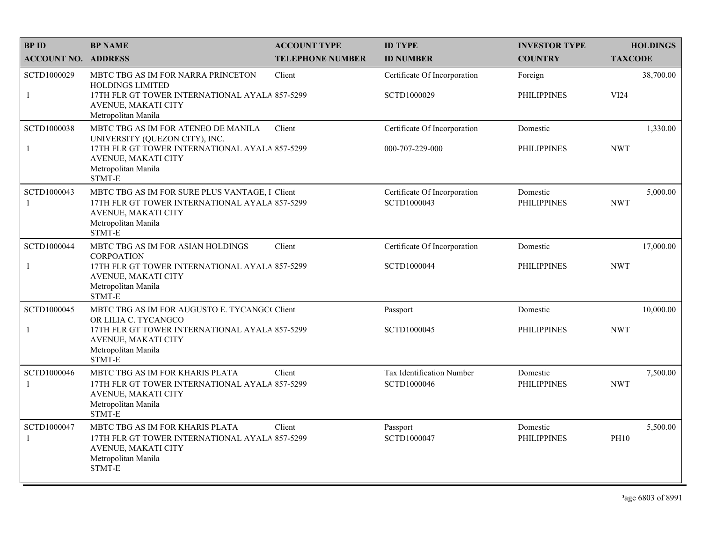| <b>BP ID</b>                | <b>BP NAME</b>                                                                                                                                                                  | <b>ACCOUNT TYPE</b>     | <b>ID TYPE</b>                                  | <b>INVESTOR TYPE</b>           | <b>HOLDINGS</b>         |
|-----------------------------|---------------------------------------------------------------------------------------------------------------------------------------------------------------------------------|-------------------------|-------------------------------------------------|--------------------------------|-------------------------|
| <b>ACCOUNT NO. ADDRESS</b>  |                                                                                                                                                                                 | <b>TELEPHONE NUMBER</b> | <b>ID NUMBER</b>                                | <b>COUNTRY</b>                 | <b>TAXCODE</b>          |
| SCTD1000029<br>$\mathbf{1}$ | MBTC TBG AS IM FOR NARRA PRINCETON<br>HOLDINGS LIMITED<br>17TH FLR GT TOWER INTERNATIONAL AYALA 857-5299<br>AVENUE, MAKATI CITY<br>Metropolitan Manila                          | Client                  | Certificate Of Incorporation<br>SCTD1000029     | Foreign<br><b>PHILIPPINES</b>  | 38,700.00<br>VI24       |
| SCTD1000038<br>-1           | MBTC TBG AS IM FOR ATENEO DE MANILA<br>UNIVERSITY (QUEZON CITY), INC.<br>17TH FLR GT TOWER INTERNATIONAL AYALA 857-5299<br>AVENUE, MAKATI CITY<br>Metropolitan Manila<br>STMT-E | Client                  | Certificate Of Incorporation<br>000-707-229-000 | Domestic<br><b>PHILIPPINES</b> | 1,330.00<br><b>NWT</b>  |
| SCTD1000043<br>$\mathbf{1}$ | MBTC TBG AS IM FOR SURE PLUS VANTAGE, I Client<br>17TH FLR GT TOWER INTERNATIONAL AYALA 857-5299<br><b>AVENUE, MAKATI CITY</b><br>Metropolitan Manila<br>STMT-E                 |                         | Certificate Of Incorporation<br>SCTD1000043     | Domestic<br><b>PHILIPPINES</b> | 5,000.00<br><b>NWT</b>  |
| SCTD1000044<br>$\mathbf{1}$ | MBTC TBG AS IM FOR ASIAN HOLDINGS<br><b>CORPOATION</b><br>17TH FLR GT TOWER INTERNATIONAL AYALA 857-5299<br>AVENUE, MAKATI CITY<br>Metropolitan Manila<br>STMT-E                | Client                  | Certificate Of Incorporation<br>SCTD1000044     | Domestic<br><b>PHILIPPINES</b> | 17,000.00<br><b>NWT</b> |
| SCTD1000045<br>$\mathbf{1}$ | MBTC TBG AS IM FOR AUGUSTO E. TYCANGC Client<br>OR LILIA C. TYCANGCO<br>17TH FLR GT TOWER INTERNATIONAL AYALA 857-5299<br>AVENUE, MAKATI CITY<br>Metropolitan Manila<br>STMT-E  |                         | Passport<br>SCTD1000045                         | Domestic<br><b>PHILIPPINES</b> | 10,000.00<br><b>NWT</b> |
| SCTD1000046<br>-1           | MBTC TBG AS IM FOR KHARIS PLATA<br>17TH FLR GT TOWER INTERNATIONAL AYALA 857-5299<br>AVENUE, MAKATI CITY<br>Metropolitan Manila<br>STMT-E                                       | Client                  | Tax Identification Number<br>SCTD1000046        | Domestic<br><b>PHILIPPINES</b> | 7,500.00<br><b>NWT</b>  |
| SCTD1000047<br>-1           | MBTC TBG AS IM FOR KHARIS PLATA<br>17TH FLR GT TOWER INTERNATIONAL AYALA 857-5299<br>AVENUE, MAKATI CITY<br>Metropolitan Manila<br>STMT-E                                       | Client                  | Passport<br>SCTD1000047                         | Domestic<br><b>PHILIPPINES</b> | 5,500.00<br><b>PH10</b> |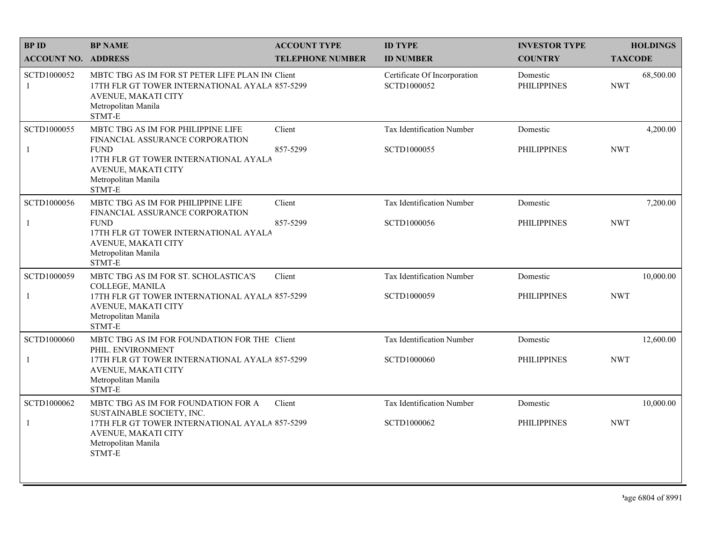| <b>BPID</b>                 | <b>BP NAME</b>                                                                                                                                                                                         | <b>ACCOUNT TYPE</b>     | <b>ID TYPE</b>                              | <b>INVESTOR TYPE</b>           | <b>HOLDINGS</b>         |
|-----------------------------|--------------------------------------------------------------------------------------------------------------------------------------------------------------------------------------------------------|-------------------------|---------------------------------------------|--------------------------------|-------------------------|
| <b>ACCOUNT NO. ADDRESS</b>  |                                                                                                                                                                                                        | <b>TELEPHONE NUMBER</b> | <b>ID NUMBER</b>                            | <b>COUNTRY</b>                 | <b>TAXCODE</b>          |
| SCTD1000052<br>-1           | MBTC TBG AS IM FOR ST PETER LIFE PLAN IN Client<br>17TH FLR GT TOWER INTERNATIONAL AYALA 857-5299<br><b>AVENUE, MAKATI CITY</b><br>Metropolitan Manila<br>STMT-E                                       |                         | Certificate Of Incorporation<br>SCTD1000052 | Domestic<br><b>PHILIPPINES</b> | 68,500.00<br><b>NWT</b> |
| SCTD1000055<br>-1           | MBTC TBG AS IM FOR PHILIPPINE LIFE<br>FINANCIAL ASSURANCE CORPORATION<br><b>FUND</b><br>17TH FLR GT TOWER INTERNATIONAL AYALA<br>AVENUE, MAKATI CITY<br>Metropolitan Manila<br>$\operatorname{STMT-E}$ | Client<br>857-5299      | Tax Identification Number<br>SCTD1000055    | Domestic<br><b>PHILIPPINES</b> | 4,200.00<br><b>NWT</b>  |
| SCTD1000056<br>-1           | MBTC TBG AS IM FOR PHILIPPINE LIFE<br>FINANCIAL ASSURANCE CORPORATION<br><b>FUND</b><br>17TH FLR GT TOWER INTERNATIONAL AYALA<br>AVENUE, MAKATI CITY<br>Metropolitan Manila<br>STMT-E                  | Client<br>857-5299      | Tax Identification Number<br>SCTD1000056    | Domestic<br><b>PHILIPPINES</b> | 7,200.00<br><b>NWT</b>  |
| SCTD1000059<br>$\mathbf{1}$ | MBTC TBG AS IM FOR ST. SCHOLASTICA'S<br>COLLEGE, MANILA<br>17TH FLR GT TOWER INTERNATIONAL AYALA 857-5299<br>AVENUE, MAKATI CITY<br>Metropolitan Manila<br>STMT-E                                      | Client                  | Tax Identification Number<br>SCTD1000059    | Domestic<br><b>PHILIPPINES</b> | 10,000.00<br><b>NWT</b> |
| SCTD1000060<br>$\mathbf{1}$ | MBTC TBG AS IM FOR FOUNDATION FOR THE Client<br>PHIL. ENVIRONMENT<br>17TH FLR GT TOWER INTERNATIONAL AYALA 857-5299<br>AVENUE, MAKATI CITY<br>Metropolitan Manila<br>STMT-E                            |                         | Tax Identification Number<br>SCTD1000060    | Domestic<br><b>PHILIPPINES</b> | 12,600.00<br><b>NWT</b> |
| SCTD1000062<br>$\mathbf{1}$ | MBTC TBG AS IM FOR FOUNDATION FOR A<br>SUSTAINABLE SOCIETY, INC.<br>17TH FLR GT TOWER INTERNATIONAL AYALA 857-5299<br>AVENUE, MAKATI CITY<br>Metropolitan Manila<br>STMT-E                             | Client                  | Tax Identification Number<br>SCTD1000062    | Domestic<br><b>PHILIPPINES</b> | 10,000.00<br><b>NWT</b> |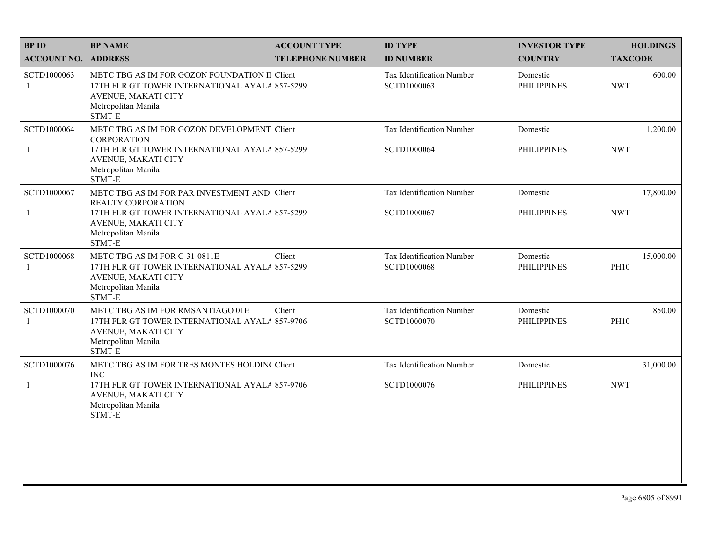| <b>BPID</b>                | <b>BP NAME</b>                                                                                                                                                               | <b>ACCOUNT TYPE</b>     | <b>ID TYPE</b>                           | <b>INVESTOR TYPE</b>           | <b>HOLDINGS</b>          |
|----------------------------|------------------------------------------------------------------------------------------------------------------------------------------------------------------------------|-------------------------|------------------------------------------|--------------------------------|--------------------------|
| <b>ACCOUNT NO. ADDRESS</b> |                                                                                                                                                                              | <b>TELEPHONE NUMBER</b> | <b>ID NUMBER</b>                         | <b>COUNTRY</b>                 | <b>TAXCODE</b>           |
| SCTD1000063<br>1           | MBTC TBG AS IM FOR GOZON FOUNDATION IT Client<br>17TH FLR GT TOWER INTERNATIONAL AYALA 857-5299<br>AVENUE, MAKATI CITY<br>Metropolitan Manila<br>STMT-E                      |                         | Tax Identification Number<br>SCTD1000063 | Domestic<br><b>PHILIPPINES</b> | 600.00<br><b>NWT</b>     |
| SCTD1000064<br>1           | MBTC TBG AS IM FOR GOZON DEVELOPMENT Client<br><b>CORPORATION</b><br>17TH FLR GT TOWER INTERNATIONAL AYALA 857-5299<br>AVENUE, MAKATI CITY<br>Metropolitan Manila<br>STMT-E  |                         | Tax Identification Number<br>SCTD1000064 | Domestic<br><b>PHILIPPINES</b> | 1,200.00<br><b>NWT</b>   |
| SCTD1000067<br>1           | MBTC TBG AS IM FOR PAR INVESTMENT AND Client<br>REALTY CORPORATION<br>17TH FLR GT TOWER INTERNATIONAL AYALA 857-5299<br>AVENUE, MAKATI CITY<br>Metropolitan Manila<br>STMT-E |                         | Tax Identification Number<br>SCTD1000067 | Domestic<br><b>PHILIPPINES</b> | 17,800.00<br><b>NWT</b>  |
| SCTD1000068                | MBTC TBG AS IM FOR C-31-0811E<br>17TH FLR GT TOWER INTERNATIONAL AYALA 857-5299<br>AVENUE, MAKATI CITY<br>Metropolitan Manila<br>STMT-E                                      | Client                  | Tax Identification Number<br>SCTD1000068 | Domestic<br><b>PHILIPPINES</b> | 15,000.00<br><b>PH10</b> |
| SCTD1000070<br>1           | MBTC TBG AS IM FOR RMSANTIAGO 01E<br>17TH FLR GT TOWER INTERNATIONAL AYALA 857-9706<br>AVENUE, MAKATI CITY<br>Metropolitan Manila<br>STMT-E                                  | Client                  | Tax Identification Number<br>SCTD1000070 | Domestic<br><b>PHILIPPINES</b> | 850.00<br><b>PH10</b>    |
| SCTD1000076                | MBTC TBG AS IM FOR TRES MONTES HOLDIN( Client<br><b>INC</b>                                                                                                                  |                         | Tax Identification Number                | Domestic                       | 31,000.00                |
| $\mathbf{1}$               | 17TH FLR GT TOWER INTERNATIONAL AYALA 857-9706<br>AVENUE, MAKATI CITY<br>Metropolitan Manila<br>STMT-E                                                                       |                         | SCTD1000076                              | <b>PHILIPPINES</b>             | <b>NWT</b>               |